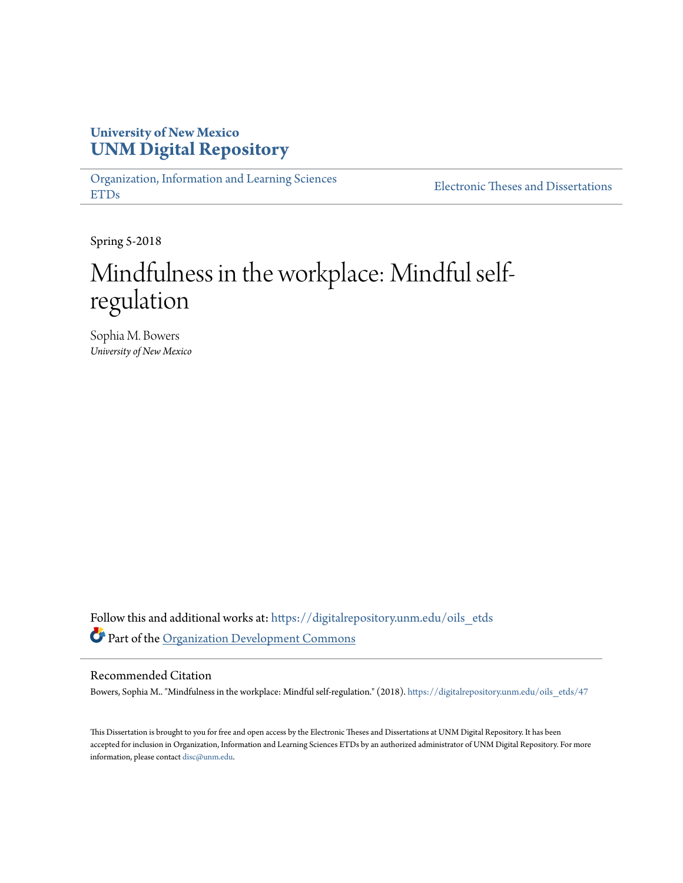# **University of New Mexico [UNM Digital Repository](https://digitalrepository.unm.edu?utm_source=digitalrepository.unm.edu%2Foils_etds%2F47&utm_medium=PDF&utm_campaign=PDFCoverPages)**

[Organization, Information and Learning Sciences](https://digitalrepository.unm.edu/oils_etds?utm_source=digitalrepository.unm.edu%2Foils_etds%2F47&utm_medium=PDF&utm_campaign=PDFCoverPages) [ETDs](https://digitalrepository.unm.edu/oils_etds?utm_source=digitalrepository.unm.edu%2Foils_etds%2F47&utm_medium=PDF&utm_campaign=PDFCoverPages)

[Electronic Theses and Dissertations](https://digitalrepository.unm.edu/etds?utm_source=digitalrepository.unm.edu%2Foils_etds%2F47&utm_medium=PDF&utm_campaign=PDFCoverPages)

Spring 5-2018

# Mindfulness in the workplace: Mindful selfregulation

Sophia M. Bowers *University of New Mexico*

Follow this and additional works at: [https://digitalrepository.unm.edu/oils\\_etds](https://digitalrepository.unm.edu/oils_etds?utm_source=digitalrepository.unm.edu%2Foils_etds%2F47&utm_medium=PDF&utm_campaign=PDFCoverPages) Part of the [Organization Development Commons](http://network.bepress.com/hgg/discipline/1242?utm_source=digitalrepository.unm.edu%2Foils_etds%2F47&utm_medium=PDF&utm_campaign=PDFCoverPages)

#### Recommended Citation

Bowers, Sophia M.. "Mindfulness in the workplace: Mindful self-regulation." (2018). [https://digitalrepository.unm.edu/oils\\_etds/47](https://digitalrepository.unm.edu/oils_etds/47?utm_source=digitalrepository.unm.edu%2Foils_etds%2F47&utm_medium=PDF&utm_campaign=PDFCoverPages)

This Dissertation is brought to you for free and open access by the Electronic Theses and Dissertations at UNM Digital Repository. It has been accepted for inclusion in Organization, Information and Learning Sciences ETDs by an authorized administrator of UNM Digital Repository. For more information, please contact [disc@unm.edu.](mailto:disc@unm.edu)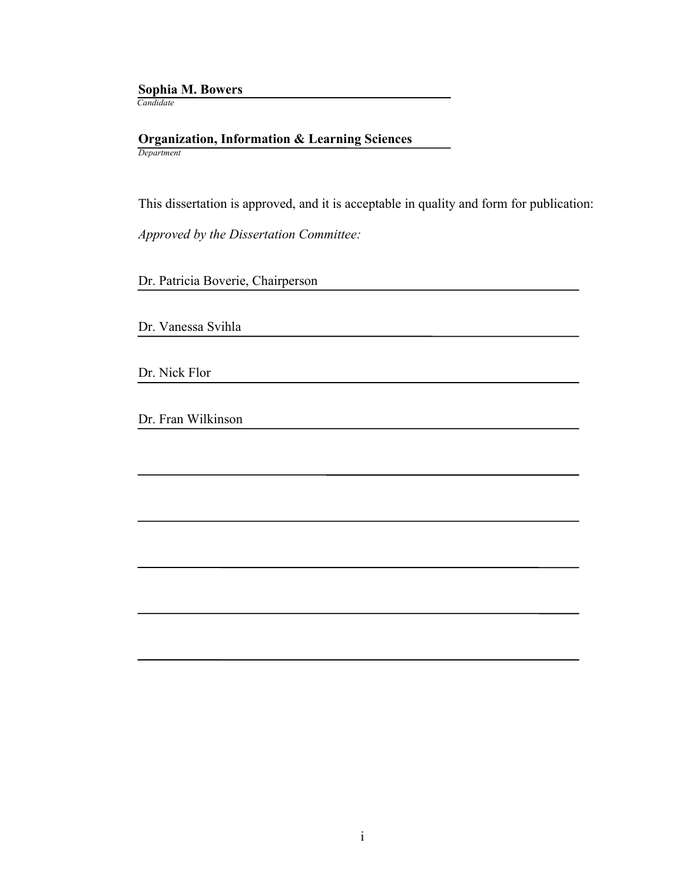#### **Sophia M. Bowers** *Candidate*

#### **Organization, Information & Learning Sciences** *Department*

This dissertation is approved, and it is acceptable in quality and form for publication:

*Approved by the Dissertation Committee:*

Dr. Patricia Boverie, Chairperson

Dr. Vanessa Svihla

Dr. Nick Flor

Dr. Fran Wilkinson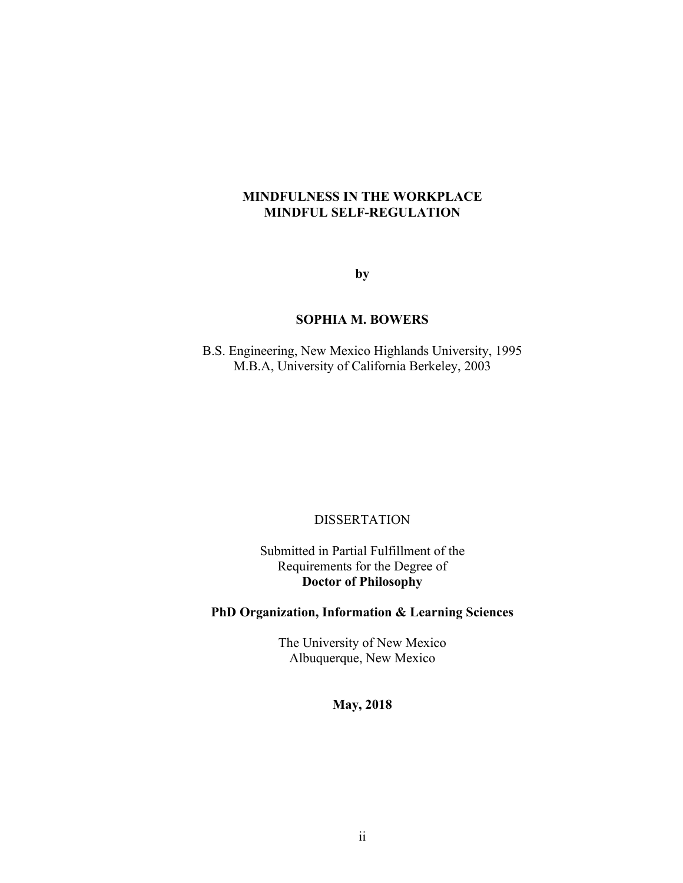# **MINDFULNESS IN THE WORKPLACE MINDFUL SELF-REGULATION**

**by**

# **SOPHIA M. BOWERS**

B.S. Engineering, New Mexico Highlands University, 1995 M.B.A, University of California Berkeley, 2003

## DISSERTATION

Submitted in Partial Fulfillment of the Requirements for the Degree of **Doctor of Philosophy**

# **PhD Organization, Information & Learning Sciences**

The University of New Mexico Albuquerque, New Mexico

# **May, 2018**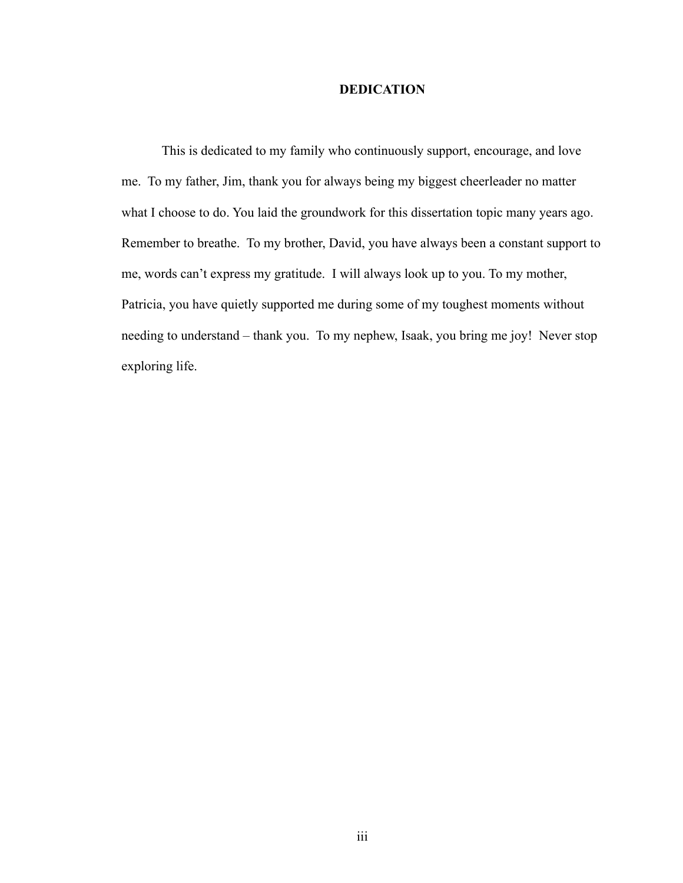## **DEDICATION**

This is dedicated to my family who continuously support, encourage, and love me. To my father, Jim, thank you for always being my biggest cheerleader no matter what I choose to do. You laid the groundwork for this dissertation topic many years ago. Remember to breathe. To my brother, David, you have always been a constant support to me, words can't express my gratitude. I will always look up to you. To my mother, Patricia, you have quietly supported me during some of my toughest moments without needing to understand – thank you. To my nephew, Isaak, you bring me joy! Never stop exploring life.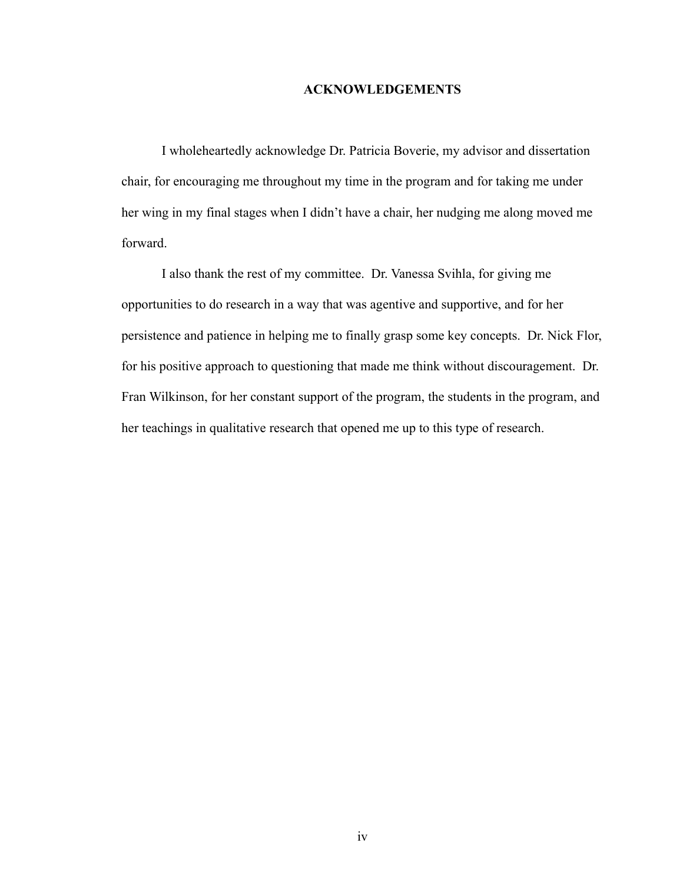#### **ACKNOWLEDGEMENTS**

I wholeheartedly acknowledge Dr. Patricia Boverie, my advisor and dissertation chair, for encouraging me throughout my time in the program and for taking me under her wing in my final stages when I didn't have a chair, her nudging me along moved me forward.

I also thank the rest of my committee. Dr. Vanessa Svihla, for giving me opportunities to do research in a way that was agentive and supportive, and for her persistence and patience in helping me to finally grasp some key concepts. Dr. Nick Flor, for his positive approach to questioning that made me think without discouragement. Dr. Fran Wilkinson, for her constant support of the program, the students in the program, and her teachings in qualitative research that opened me up to this type of research.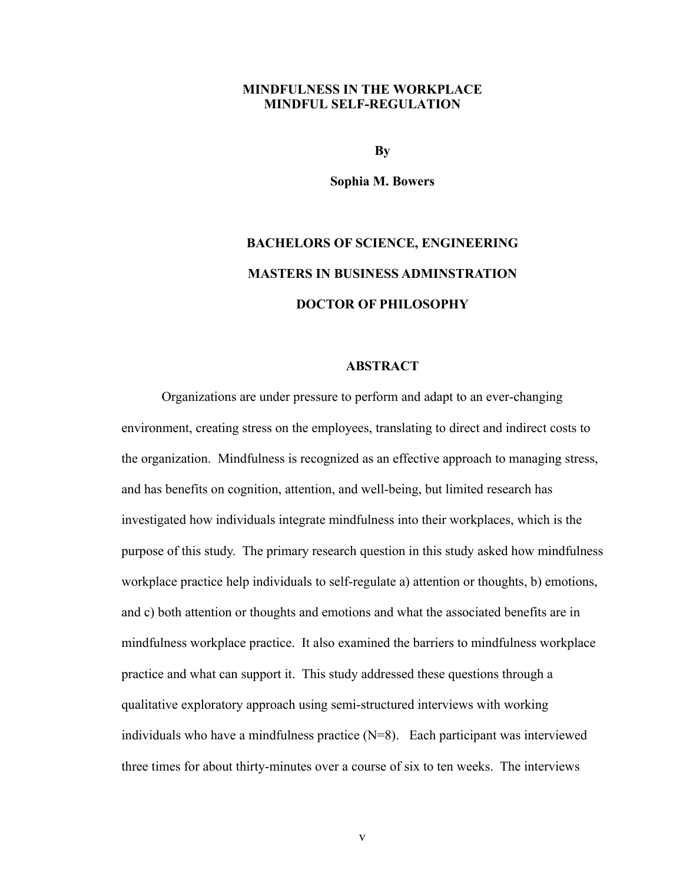## **MINDFULNESS IN THE WORKPLACE MINDFUL SELF-REGULATION**

**By**

**Sophia M. Bowers**

# **BACHELORS OF SCIENCE, ENGINEERING MASTERS IN BUSINESS ADMINSTRATION DOCTOR OF PHILOSOPHY**

#### **ABSTRACT**

Organizations are under pressure to perform and adapt to an ever-changing environment, creating stress on the employees, translating to direct and indirect costs to the organization. Mindfulness is recognized as an effective approach to managing stress, and has benefits on cognition, attention, and well-being, but limited research has investigated how individuals integrate mindfulness into their workplaces, which is the purpose of this study. The primary research question in this study asked how mindfulness workplace practice help individuals to self-regulate a) attention or thoughts, b) emotions, and c) both attention or thoughts and emotions and what the associated benefits are in mindfulness workplace practice. It also examined the barriers to mindfulness workplace practice and what can support it. This study addressed these questions through a qualitative exploratory approach using semi-structured interviews with working individuals who have a mindfulness practice  $(N=8)$ . Each participant was interviewed three times for about thirty-minutes over a course of six to ten weeks. The interviews

v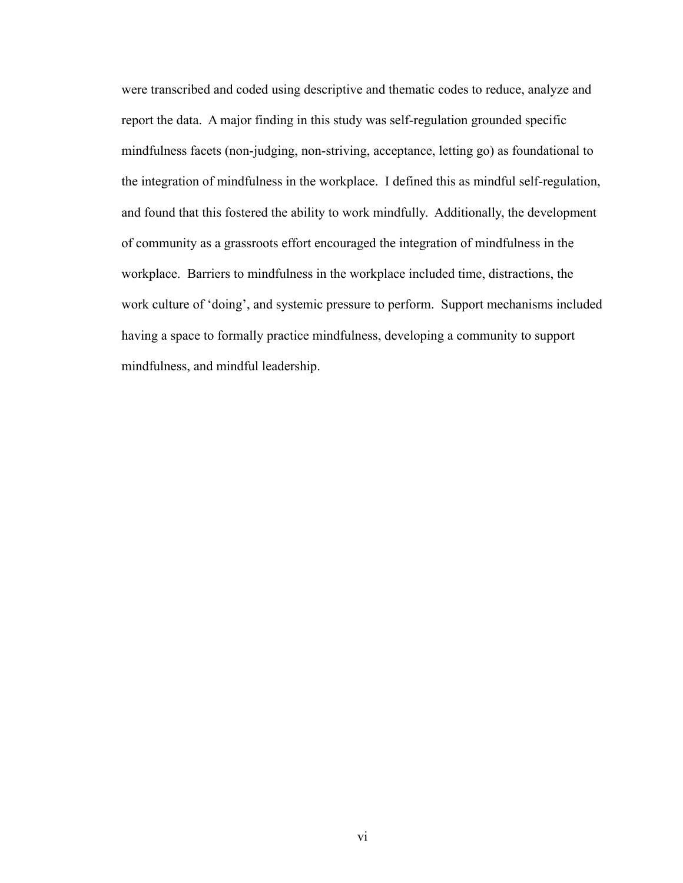were transcribed and coded using descriptive and thematic codes to reduce, analyze and report the data. A major finding in this study was self-regulation grounded specific mindfulness facets (non-judging, non-striving, acceptance, letting go) as foundational to the integration of mindfulness in the workplace. I defined this as mindful self-regulation, and found that this fostered the ability to work mindfully. Additionally, the development of community as a grassroots effort encouraged the integration of mindfulness in the workplace. Barriers to mindfulness in the workplace included time, distractions, the work culture of 'doing', and systemic pressure to perform. Support mechanisms included having a space to formally practice mindfulness, developing a community to support mindfulness, and mindful leadership.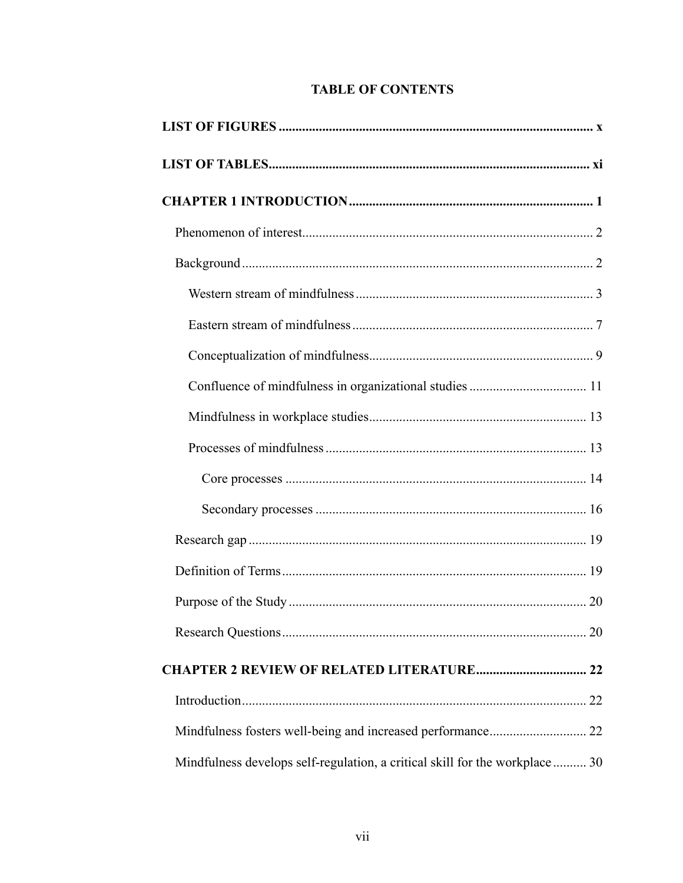# **TABLE OF CONTENTS**

| Mindfulness fosters well-being and increased performance 22                 |
|-----------------------------------------------------------------------------|
| Mindfulness develops self-regulation, a critical skill for the workplace 30 |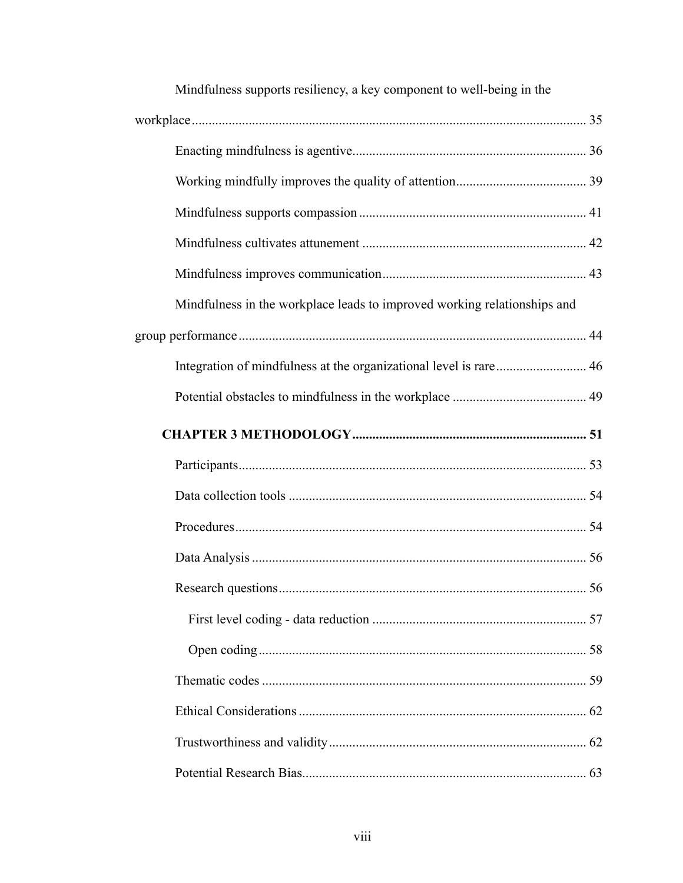| Mindfulness supports resiliency, a key component to well-being in the    |  |
|--------------------------------------------------------------------------|--|
|                                                                          |  |
|                                                                          |  |
|                                                                          |  |
|                                                                          |  |
|                                                                          |  |
|                                                                          |  |
| Mindfulness in the workplace leads to improved working relationships and |  |
|                                                                          |  |
|                                                                          |  |
|                                                                          |  |
|                                                                          |  |
|                                                                          |  |
|                                                                          |  |
|                                                                          |  |
|                                                                          |  |
|                                                                          |  |
|                                                                          |  |
|                                                                          |  |
|                                                                          |  |
|                                                                          |  |
|                                                                          |  |
|                                                                          |  |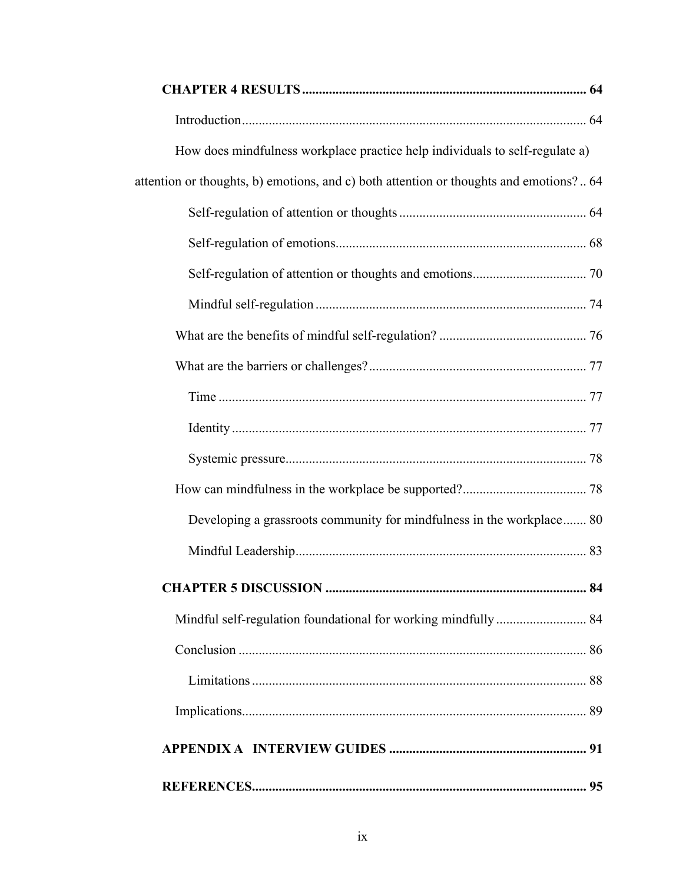| How does mindfulness workplace practice help individuals to self-regulate a)           |    |
|----------------------------------------------------------------------------------------|----|
| attention or thoughts, b) emotions, and c) both attention or thoughts and emotions? 64 |    |
|                                                                                        |    |
|                                                                                        |    |
|                                                                                        |    |
|                                                                                        |    |
|                                                                                        |    |
|                                                                                        |    |
|                                                                                        |    |
|                                                                                        |    |
|                                                                                        |    |
|                                                                                        |    |
| Developing a grassroots community for mindfulness in the workplace 80                  |    |
|                                                                                        |    |
|                                                                                        |    |
| Mindful self-regulation foundational for working mindfully 84                          |    |
|                                                                                        |    |
|                                                                                        |    |
|                                                                                        |    |
|                                                                                        |    |
|                                                                                        |    |
|                                                                                        | 95 |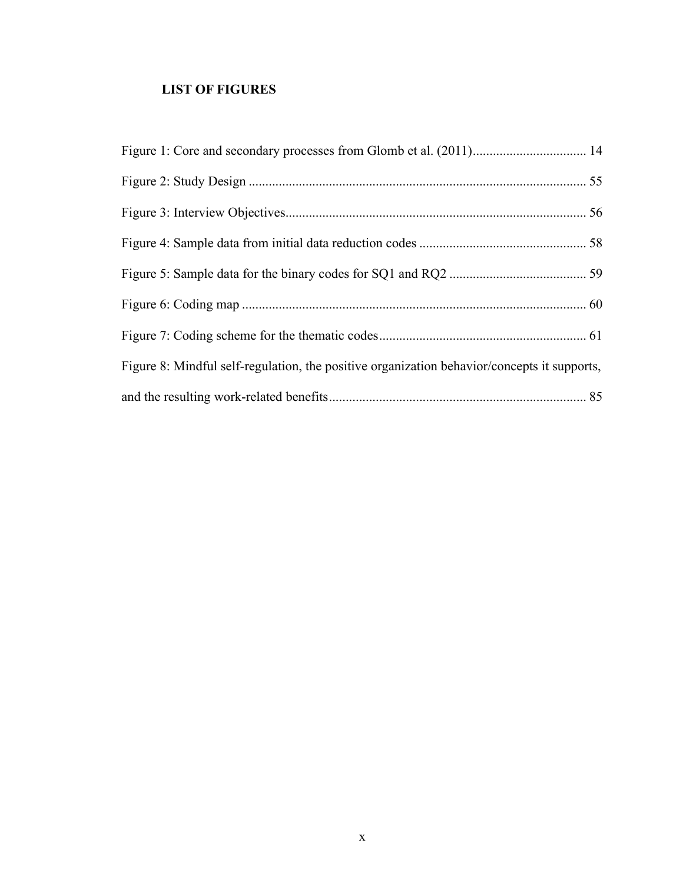# **LIST OF FIGURES**

| Figure 8: Mindful self-regulation, the positive organization behavior/concepts it supports, |  |
|---------------------------------------------------------------------------------------------|--|
|                                                                                             |  |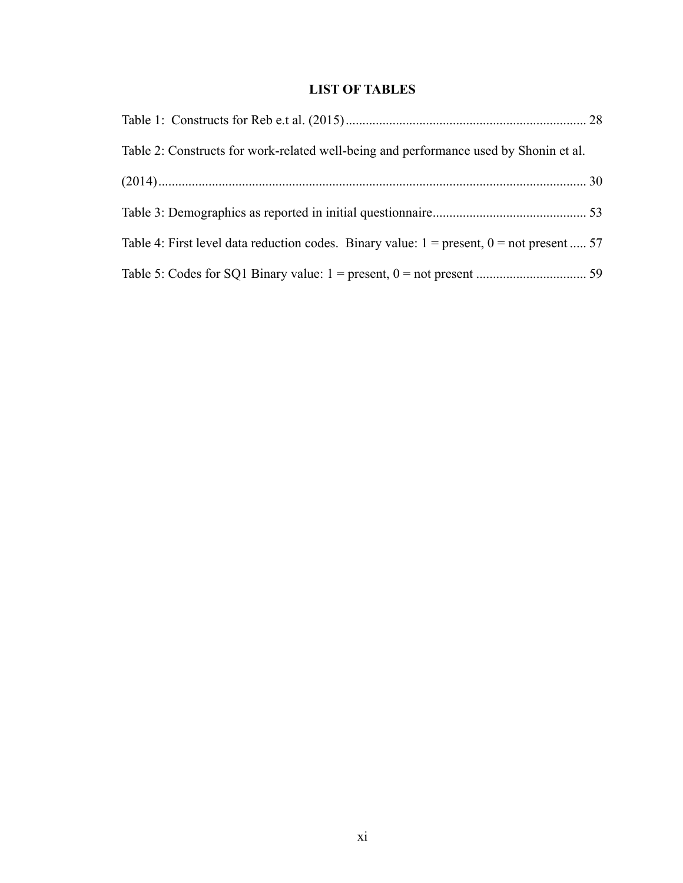# **LIST OF TABLES**

| Table 2: Constructs for work-related well-being and performance used by Shonin et al.         |  |
|-----------------------------------------------------------------------------------------------|--|
|                                                                                               |  |
|                                                                                               |  |
| Table 4: First level data reduction codes. Binary value: $1 = present$ , $0 = not present$ 57 |  |
|                                                                                               |  |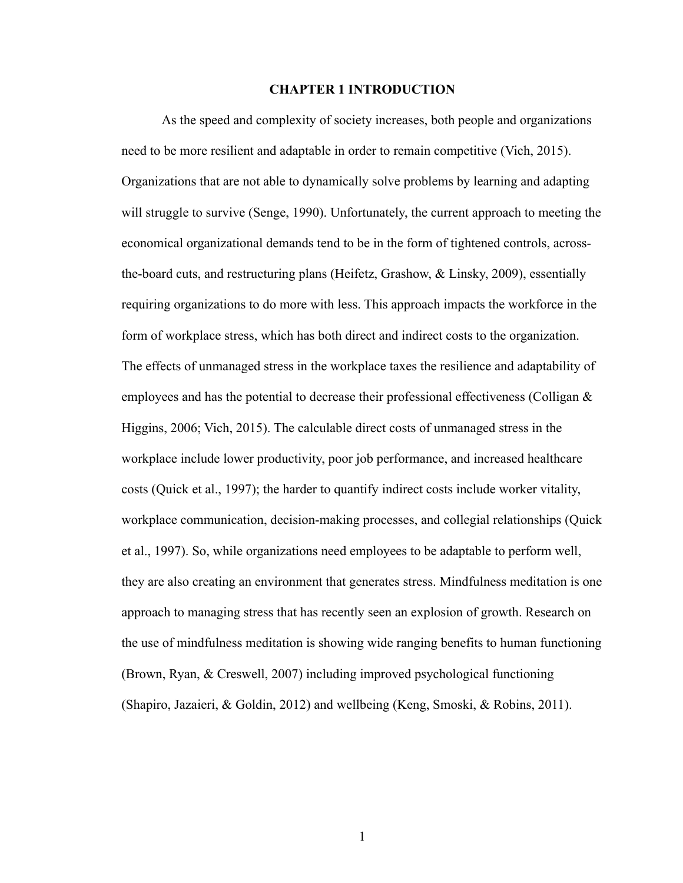#### **CHAPTER 1 INTRODUCTION**

As the speed and complexity of society increases, both people and organizations need to be more resilient and adaptable in order to remain competitive (Vich, 2015). Organizations that are not able to dynamically solve problems by learning and adapting will struggle to survive (Senge, 1990). Unfortunately, the current approach to meeting the economical organizational demands tend to be in the form of tightened controls, acrossthe-board cuts, and restructuring plans (Heifetz, Grashow, & Linsky, 2009), essentially requiring organizations to do more with less. This approach impacts the workforce in the form of workplace stress, which has both direct and indirect costs to the organization. The effects of unmanaged stress in the workplace taxes the resilience and adaptability of employees and has the potential to decrease their professional effectiveness (Colligan  $\&$ Higgins, 2006; Vich, 2015). The calculable direct costs of unmanaged stress in the workplace include lower productivity, poor job performance, and increased healthcare costs (Quick et al., 1997); the harder to quantify indirect costs include worker vitality, workplace communication, decision-making processes, and collegial relationships (Quick et al., 1997). So, while organizations need employees to be adaptable to perform well, they are also creating an environment that generates stress. Mindfulness meditation is one approach to managing stress that has recently seen an explosion of growth. Research on the use of mindfulness meditation is showing wide ranging benefits to human functioning (Brown, Ryan, & Creswell, 2007) including improved psychological functioning (Shapiro, Jazaieri, & Goldin, 2012) and wellbeing (Keng, Smoski, & Robins, 2011).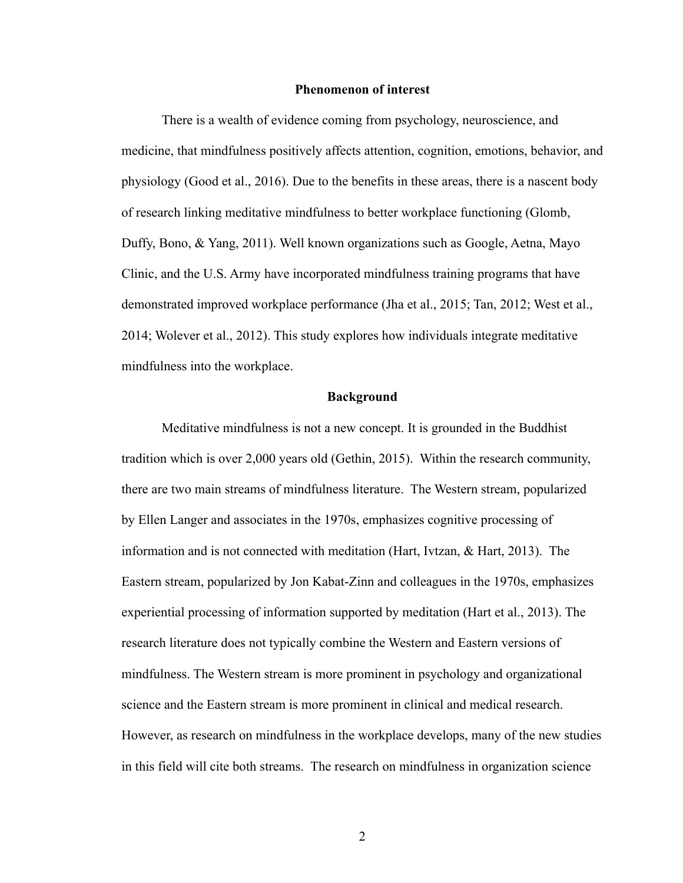#### **Phenomenon of interest**

There is a wealth of evidence coming from psychology, neuroscience, and medicine, that mindfulness positively affects attention, cognition, emotions, behavior, and physiology (Good et al., 2016). Due to the benefits in these areas, there is a nascent body of research linking meditative mindfulness to better workplace functioning (Glomb, Duffy, Bono, & Yang, 2011). Well known organizations such as Google, Aetna, Mayo Clinic, and the U.S. Army have incorporated mindfulness training programs that have demonstrated improved workplace performance (Jha et al., 2015; Tan, 2012; West et al., 2014; Wolever et al., 2012). This study explores how individuals integrate meditative mindfulness into the workplace.

#### **Background**

Meditative mindfulness is not a new concept. It is grounded in the Buddhist tradition which is over 2,000 years old (Gethin, 2015). Within the research community, there are two main streams of mindfulness literature. The Western stream, popularized by Ellen Langer and associates in the 1970s, emphasizes cognitive processing of information and is not connected with meditation (Hart, Ivtzan, & Hart, 2013). The Eastern stream, popularized by Jon Kabat-Zinn and colleagues in the 1970s, emphasizes experiential processing of information supported by meditation (Hart et al., 2013). The research literature does not typically combine the Western and Eastern versions of mindfulness. The Western stream is more prominent in psychology and organizational science and the Eastern stream is more prominent in clinical and medical research. However, as research on mindfulness in the workplace develops, many of the new studies in this field will cite both streams. The research on mindfulness in organization science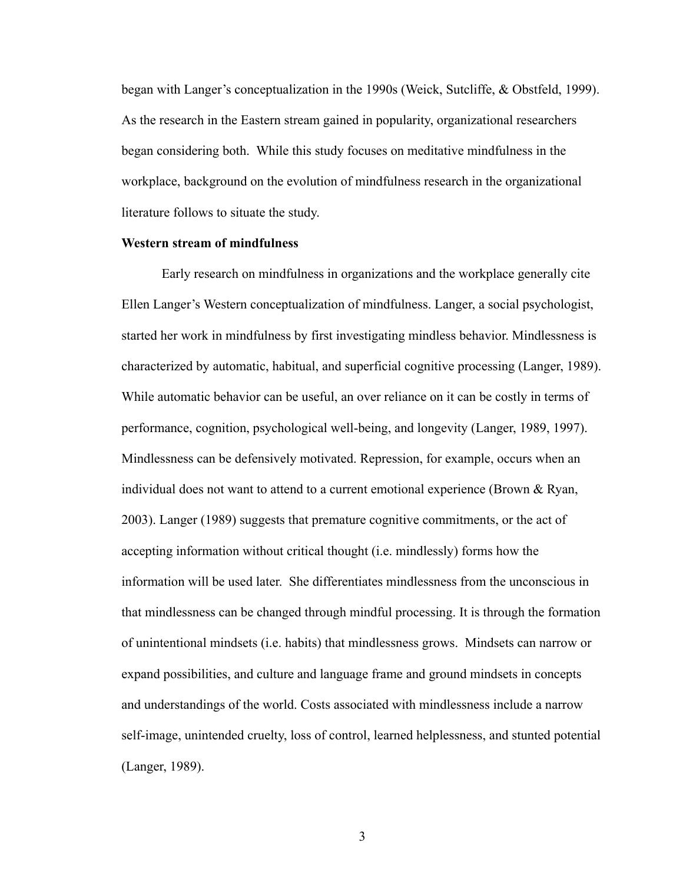began with Langer's conceptualization in the 1990s (Weick, Sutcliffe, & Obstfeld, 1999). As the research in the Eastern stream gained in popularity, organizational researchers began considering both. While this study focuses on meditative mindfulness in the workplace, background on the evolution of mindfulness research in the organizational literature follows to situate the study.

#### **Western stream of mindfulness**

Early research on mindfulness in organizations and the workplace generally cite Ellen Langer's Western conceptualization of mindfulness. Langer, a social psychologist, started her work in mindfulness by first investigating mindless behavior. Mindlessness is characterized by automatic, habitual, and superficial cognitive processing (Langer, 1989). While automatic behavior can be useful, an over reliance on it can be costly in terms of performance, cognition, psychological well-being, and longevity (Langer, 1989, 1997). Mindlessness can be defensively motivated. Repression, for example, occurs when an individual does not want to attend to a current emotional experience (Brown & Ryan, 2003). Langer (1989) suggests that premature cognitive commitments, or the act of accepting information without critical thought (i.e. mindlessly) forms how the information will be used later. She differentiates mindlessness from the unconscious in that mindlessness can be changed through mindful processing. It is through the formation of unintentional mindsets (i.e. habits) that mindlessness grows. Mindsets can narrow or expand possibilities, and culture and language frame and ground mindsets in concepts and understandings of the world. Costs associated with mindlessness include a narrow self-image, unintended cruelty, loss of control, learned helplessness, and stunted potential (Langer, 1989).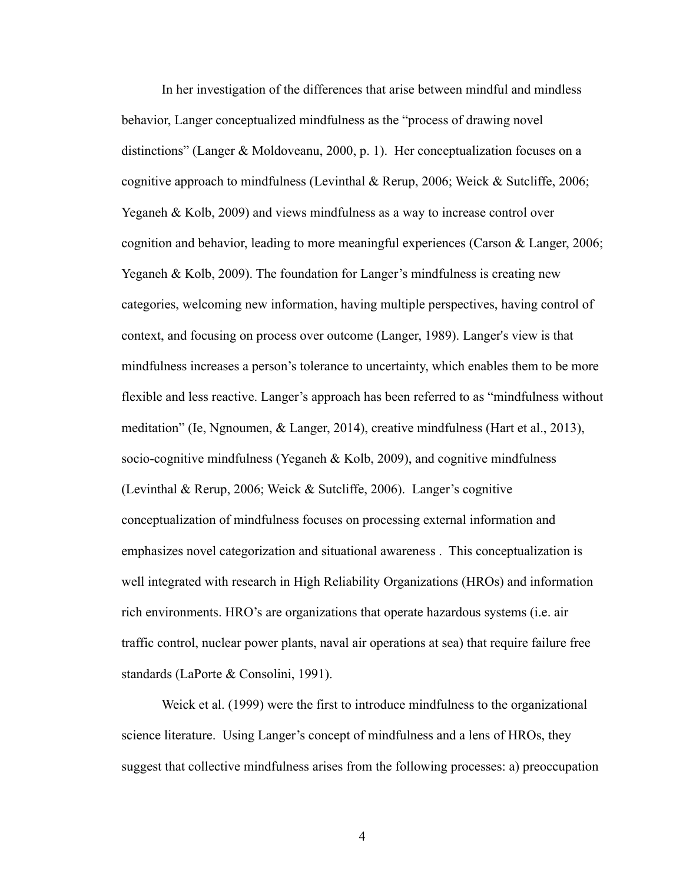In her investigation of the differences that arise between mindful and mindless behavior, Langer conceptualized mindfulness as the "process of drawing novel distinctions" (Langer & Moldoveanu, 2000, p. 1). Her conceptualization focuses on a cognitive approach to mindfulness (Levinthal & Rerup, 2006; Weick & Sutcliffe, 2006; Yeganeh & Kolb, 2009) and views mindfulness as a way to increase control over cognition and behavior, leading to more meaningful experiences (Carson & Langer, 2006; Yeganeh & Kolb, 2009). The foundation for Langer's mindfulness is creating new categories, welcoming new information, having multiple perspectives, having control of context, and focusing on process over outcome (Langer, 1989). Langer's view is that mindfulness increases a person's tolerance to uncertainty, which enables them to be more flexible and less reactive. Langer's approach has been referred to as "mindfulness without meditation" (Ie, Ngnoumen, & Langer, 2014), creative mindfulness (Hart et al., 2013), socio-cognitive mindfulness (Yeganeh & Kolb, 2009), and cognitive mindfulness (Levinthal & Rerup, 2006; Weick & Sutcliffe, 2006). Langer's cognitive conceptualization of mindfulness focuses on processing external information and emphasizes novel categorization and situational awareness . This conceptualization is well integrated with research in High Reliability Organizations (HROs) and information rich environments. HRO's are organizations that operate hazardous systems (i.e. air traffic control, nuclear power plants, naval air operations at sea) that require failure free standards (LaPorte & Consolini, 1991).

Weick et al. (1999) were the first to introduce mindfulness to the organizational science literature. Using Langer's concept of mindfulness and a lens of HROs, they suggest that collective mindfulness arises from the following processes: a) preoccupation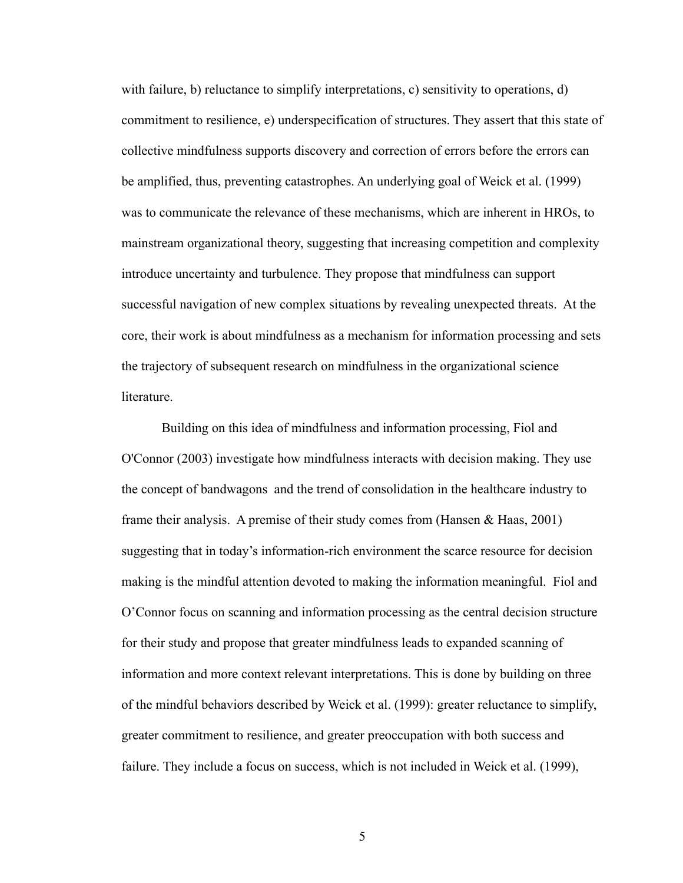with failure, b) reluctance to simplify interpretations, c) sensitivity to operations, d) commitment to resilience, e) underspecification of structures. They assert that this state of collective mindfulness supports discovery and correction of errors before the errors can be amplified, thus, preventing catastrophes. An underlying goal of Weick et al. (1999) was to communicate the relevance of these mechanisms, which are inherent in HROs, to mainstream organizational theory, suggesting that increasing competition and complexity introduce uncertainty and turbulence. They propose that mindfulness can support successful navigation of new complex situations by revealing unexpected threats. At the core, their work is about mindfulness as a mechanism for information processing and sets the trajectory of subsequent research on mindfulness in the organizational science literature.

Building on this idea of mindfulness and information processing, Fiol and O'Connor (2003) investigate how mindfulness interacts with decision making. They use the concept of bandwagons and the trend of consolidation in the healthcare industry to frame their analysis. A premise of their study comes from (Hansen  $\&$  Haas, 2001) suggesting that in today's information-rich environment the scarce resource for decision making is the mindful attention devoted to making the information meaningful. Fiol and O'Connor focus on scanning and information processing as the central decision structure for their study and propose that greater mindfulness leads to expanded scanning of information and more context relevant interpretations. This is done by building on three of the mindful behaviors described by Weick et al. (1999): greater reluctance to simplify, greater commitment to resilience, and greater preoccupation with both success and failure. They include a focus on success, which is not included in Weick et al. (1999),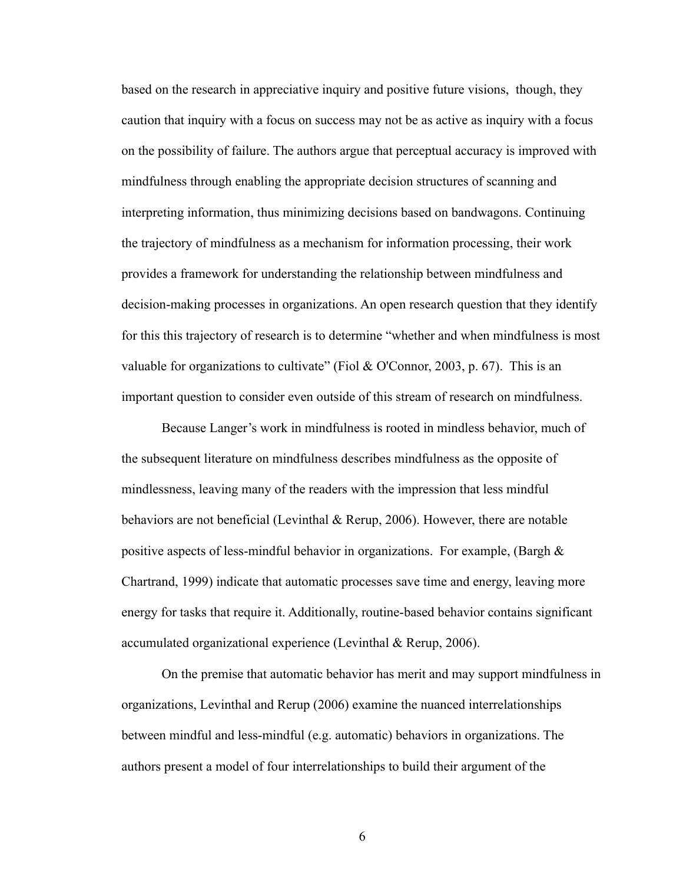based on the research in appreciative inquiry and positive future visions, though, they caution that inquiry with a focus on success may not be as active as inquiry with a focus on the possibility of failure. The authors argue that perceptual accuracy is improved with mindfulness through enabling the appropriate decision structures of scanning and interpreting information, thus minimizing decisions based on bandwagons. Continuing the trajectory of mindfulness as a mechanism for information processing, their work provides a framework for understanding the relationship between mindfulness and decision-making processes in organizations. An open research question that they identify for this this trajectory of research is to determine "whether and when mindfulness is most valuable for organizations to cultivate" (Fiol & O'Connor, 2003, p. 67). This is an important question to consider even outside of this stream of research on mindfulness.

Because Langer's work in mindfulness is rooted in mindless behavior, much of the subsequent literature on mindfulness describes mindfulness as the opposite of mindlessness, leaving many of the readers with the impression that less mindful behaviors are not beneficial (Levinthal & Rerup, 2006). However, there are notable positive aspects of less-mindful behavior in organizations. For example, (Bargh & Chartrand, 1999) indicate that automatic processes save time and energy, leaving more energy for tasks that require it. Additionally, routine-based behavior contains significant accumulated organizational experience (Levinthal & Rerup, 2006).

On the premise that automatic behavior has merit and may support mindfulness in organizations, Levinthal and Rerup (2006) examine the nuanced interrelationships between mindful and less-mindful (e.g. automatic) behaviors in organizations. The authors present a model of four interrelationships to build their argument of the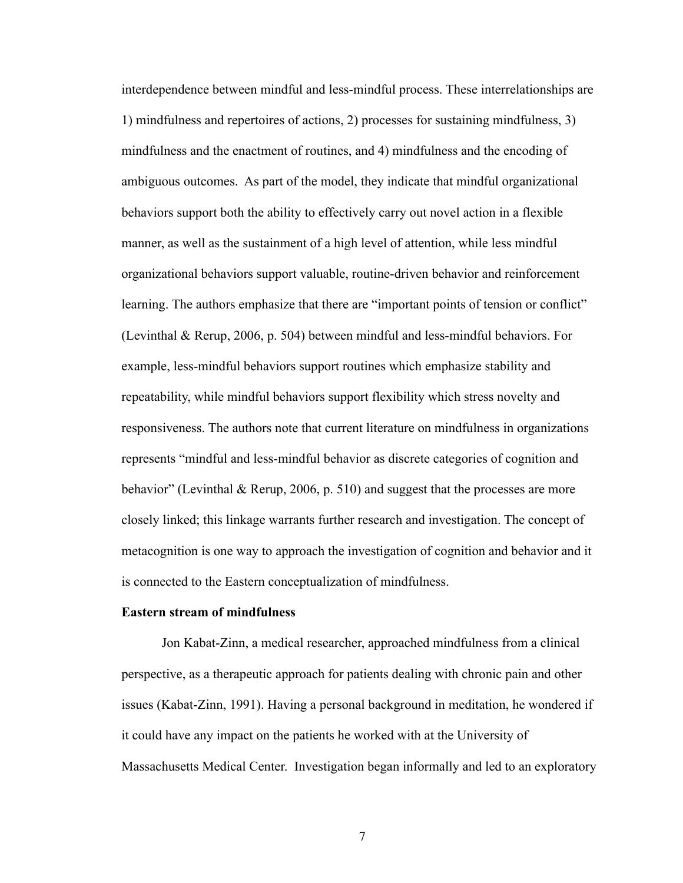interdependence between mindful and less-mindful process. These interrelationships are 1) mindfulness and repertoires of actions, 2) processes for sustaining mindfulness, 3) mindfulness and the enactment of routines, and 4) mindfulness and the encoding of ambiguous outcomes. As part of the model, they indicate that mindful organizational behaviors support both the ability to effectively carry out novel action in a flexible manner, as well as the sustainment of a high level of attention, while less mindful organizational behaviors support valuable, routine-driven behavior and reinforcement learning. The authors emphasize that there are "important points of tension or conflict" (Levinthal & Rerup, 2006, p. 504) between mindful and less-mindful behaviors. For example, less-mindful behaviors support routines which emphasize stability and repeatability, while mindful behaviors support flexibility which stress novelty and responsiveness. The authors note that current literature on mindfulness in organizations represents "mindful and less-mindful behavior as discrete categories of cognition and behavior" (Levinthal & Rerup, 2006, p. 510) and suggest that the processes are more closely linked; this linkage warrants further research and investigation. The concept of metacognition is one way to approach the investigation of cognition and behavior and it is connected to the Eastern conceptualization of mindfulness.

#### **Eastern stream of mindfulness**

Jon Kabat-Zinn, a medical researcher, approached mindfulness from a clinical perspective, as a therapeutic approach for patients dealing with chronic pain and other issues (Kabat-Zinn, 1991). Having a personal background in meditation, he wondered if it could have any impact on the patients he worked with at the University of Massachusetts Medical Center. Investigation began informally and led to an exploratory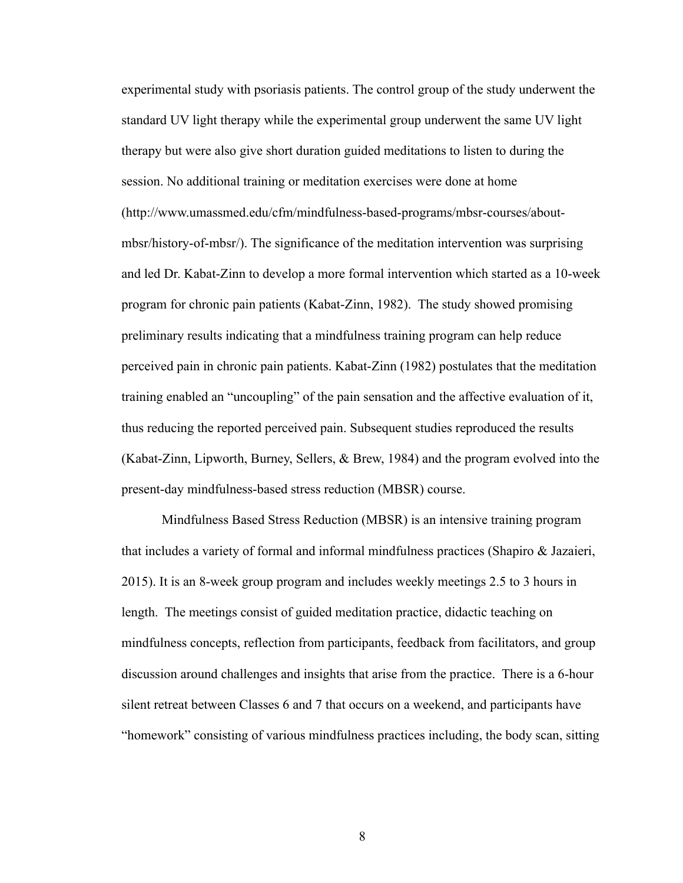experimental study with psoriasis patients. The control group of the study underwent the standard UV light therapy while the experimental group underwent the same UV light therapy but were also give short duration guided meditations to listen to during the session. No additional training or meditation exercises were done at home (http://www.umassmed.edu/cfm/mindfulness-based-programs/mbsr-courses/aboutmbsr/history-of-mbsr/). The significance of the meditation intervention was surprising and led Dr. Kabat-Zinn to develop a more formal intervention which started as a 10-week program for chronic pain patients (Kabat-Zinn, 1982). The study showed promising preliminary results indicating that a mindfulness training program can help reduce perceived pain in chronic pain patients. Kabat-Zinn (1982) postulates that the meditation training enabled an "uncoupling" of the pain sensation and the affective evaluation of it, thus reducing the reported perceived pain. Subsequent studies reproduced the results (Kabat-Zinn, Lipworth, Burney, Sellers, & Brew, 1984) and the program evolved into the present-day mindfulness-based stress reduction (MBSR) course.

Mindfulness Based Stress Reduction (MBSR) is an intensive training program that includes a variety of formal and informal mindfulness practices (Shapiro & Jazaieri, 2015). It is an 8-week group program and includes weekly meetings 2.5 to 3 hours in length. The meetings consist of guided meditation practice, didactic teaching on mindfulness concepts, reflection from participants, feedback from facilitators, and group discussion around challenges and insights that arise from the practice. There is a 6-hour silent retreat between Classes 6 and 7 that occurs on a weekend, and participants have "homework" consisting of various mindfulness practices including, the body scan, sitting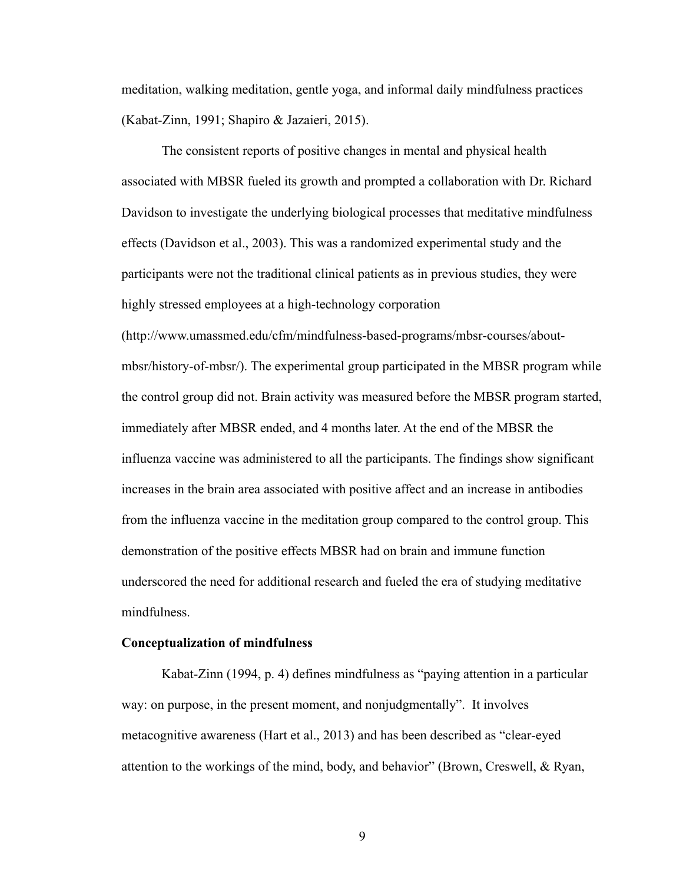meditation, walking meditation, gentle yoga, and informal daily mindfulness practices (Kabat-Zinn, 1991; Shapiro & Jazaieri, 2015).

The consistent reports of positive changes in mental and physical health associated with MBSR fueled its growth and prompted a collaboration with Dr. Richard Davidson to investigate the underlying biological processes that meditative mindfulness effects (Davidson et al., 2003). This was a randomized experimental study and the participants were not the traditional clinical patients as in previous studies, they were highly stressed employees at a high-technology corporation

(http://www.umassmed.edu/cfm/mindfulness-based-programs/mbsr-courses/aboutmbsr/history-of-mbsr/). The experimental group participated in the MBSR program while the control group did not. Brain activity was measured before the MBSR program started, immediately after MBSR ended, and 4 months later. At the end of the MBSR the influenza vaccine was administered to all the participants. The findings show significant increases in the brain area associated with positive affect and an increase in antibodies from the influenza vaccine in the meditation group compared to the control group. This demonstration of the positive effects MBSR had on brain and immune function underscored the need for additional research and fueled the era of studying meditative mindfulness.

## **Conceptualization of mindfulness**

Kabat-Zinn (1994, p. 4) defines mindfulness as "paying attention in a particular way: on purpose, in the present moment, and nonjudgmentally". It involves metacognitive awareness (Hart et al., 2013) and has been described as "clear-eyed attention to the workings of the mind, body, and behavior" (Brown, Creswell, & Ryan,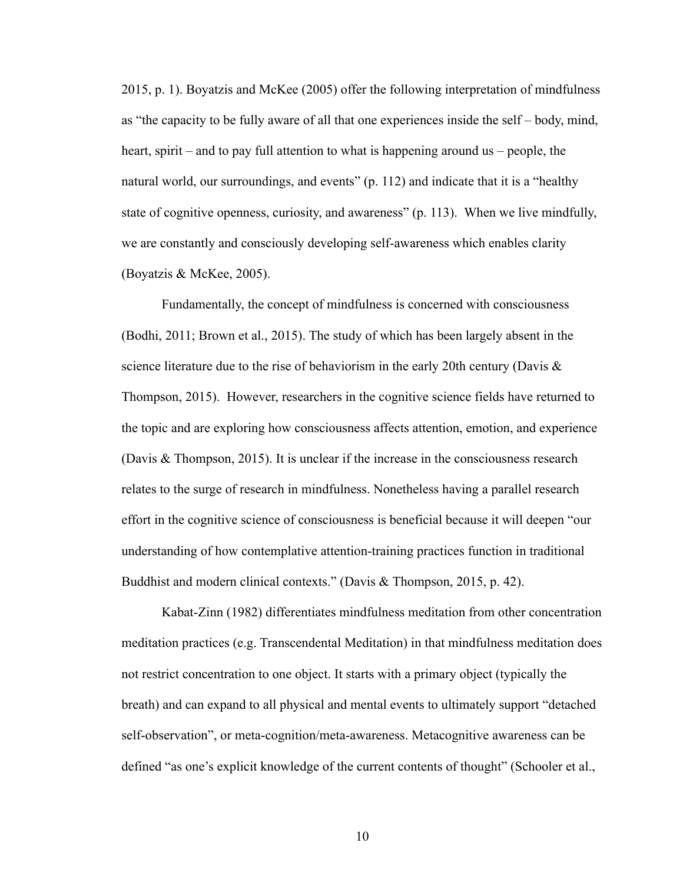2015, p. 1). Boyatzis and McKee (2005) offer the following interpretation of mindfulness as "the capacity to be fully aware of all that one experiences inside the self – body, mind, heart, spirit – and to pay full attention to what is happening around us – people, the natural world, our surroundings, and events" (p. 112) and indicate that it is a "healthy state of cognitive openness, curiosity, and awareness" (p. 113). When we live mindfully, we are constantly and consciously developing self-awareness which enables clarity (Boyatzis & McKee, 2005).

Fundamentally, the concept of mindfulness is concerned with consciousness (Bodhi, 2011; Brown et al., 2015). The study of which has been largely absent in the science literature due to the rise of behaviorism in the early 20th century (Davis  $\&$ Thompson, 2015). However, researchers in the cognitive science fields have returned to the topic and are exploring how consciousness affects attention, emotion, and experience (Davis & Thompson, 2015). It is unclear if the increase in the consciousness research relates to the surge of research in mindfulness. Nonetheless having a parallel research effort in the cognitive science of consciousness is beneficial because it will deepen "our understanding of how contemplative attention-training practices function in traditional Buddhist and modern clinical contexts." (Davis & Thompson, 2015, p. 42).

Kabat-Zinn (1982) differentiates mindfulness meditation from other concentration meditation practices (e.g. Transcendental Meditation) in that mindfulness meditation does not restrict concentration to one object. It starts with a primary object (typically the breath) and can expand to all physical and mental events to ultimately support "detached self-observation", or meta-cognition/meta-awareness. Metacognitive awareness can be defined "as one's explicit knowledge of the current contents of thought" (Schooler et al.,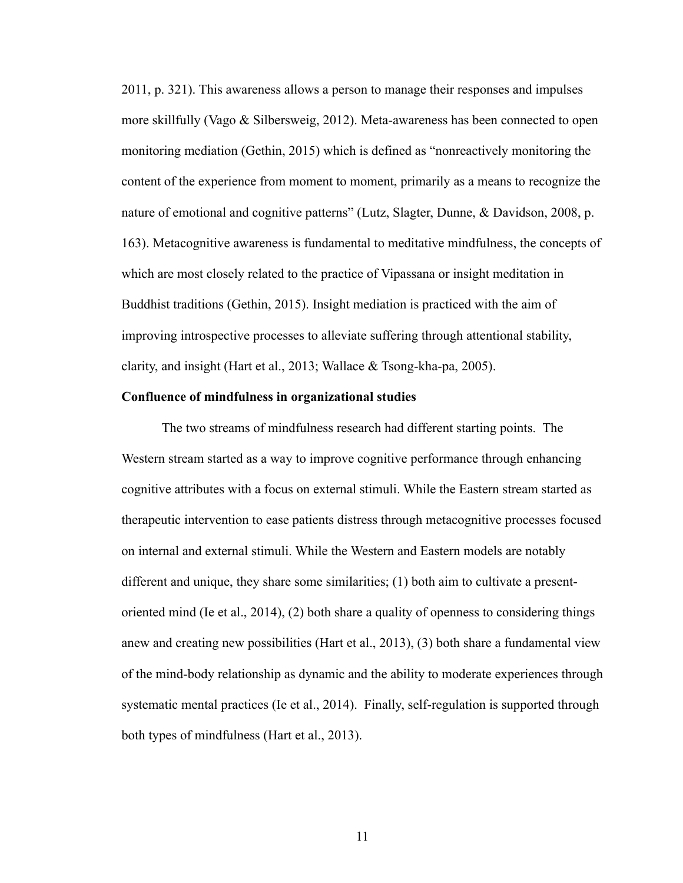2011, p. 321). This awareness allows a person to manage their responses and impulses more skillfully (Vago & Silbersweig, 2012). Meta-awareness has been connected to open monitoring mediation (Gethin, 2015) which is defined as "nonreactively monitoring the content of the experience from moment to moment, primarily as a means to recognize the nature of emotional and cognitive patterns" (Lutz, Slagter, Dunne, & Davidson, 2008, p. 163). Metacognitive awareness is fundamental to meditative mindfulness, the concepts of which are most closely related to the practice of Vipassana or insight meditation in Buddhist traditions (Gethin, 2015). Insight mediation is practiced with the aim of improving introspective processes to alleviate suffering through attentional stability, clarity, and insight (Hart et al., 2013; Wallace & Tsong-kha-pa, 2005).

#### **Confluence of mindfulness in organizational studies**

The two streams of mindfulness research had different starting points. The Western stream started as a way to improve cognitive performance through enhancing cognitive attributes with a focus on external stimuli. While the Eastern stream started as therapeutic intervention to ease patients distress through metacognitive processes focused on internal and external stimuli. While the Western and Eastern models are notably different and unique, they share some similarities; (1) both aim to cultivate a presentoriented mind (Ie et al., 2014), (2) both share a quality of openness to considering things anew and creating new possibilities (Hart et al., 2013), (3) both share a fundamental view of the mind-body relationship as dynamic and the ability to moderate experiences through systematic mental practices (Ie et al., 2014). Finally, self-regulation is supported through both types of mindfulness (Hart et al., 2013).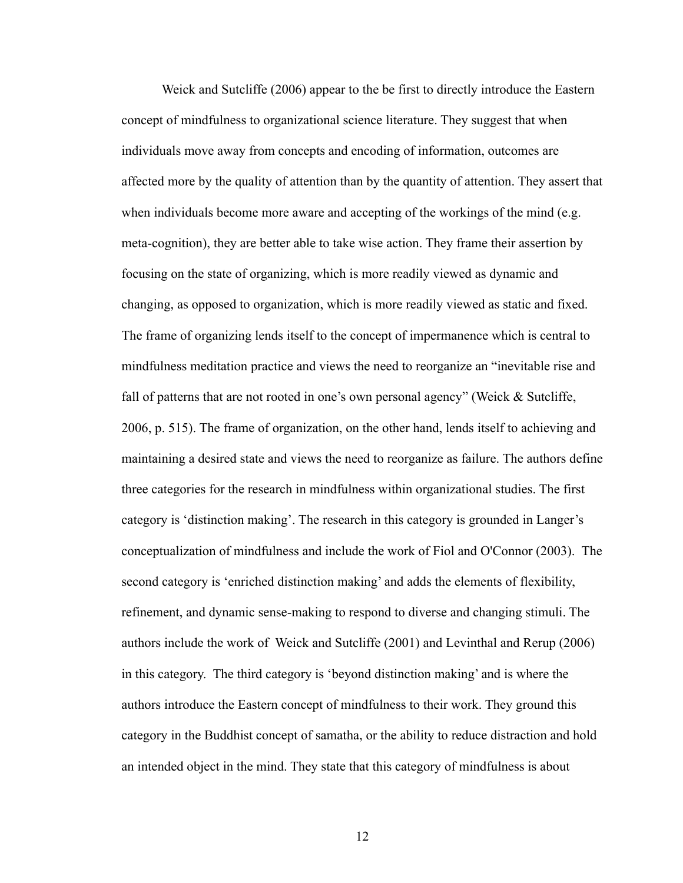Weick and Sutcliffe (2006) appear to the be first to directly introduce the Eastern concept of mindfulness to organizational science literature. They suggest that when individuals move away from concepts and encoding of information, outcomes are affected more by the quality of attention than by the quantity of attention. They assert that when individuals become more aware and accepting of the workings of the mind (e.g. meta-cognition), they are better able to take wise action. They frame their assertion by focusing on the state of organizing, which is more readily viewed as dynamic and changing, as opposed to organization, which is more readily viewed as static and fixed. The frame of organizing lends itself to the concept of impermanence which is central to mindfulness meditation practice and views the need to reorganize an "inevitable rise and fall of patterns that are not rooted in one's own personal agency" (Weick  $\&$  Sutcliffe, 2006, p. 515). The frame of organization, on the other hand, lends itself to achieving and maintaining a desired state and views the need to reorganize as failure. The authors define three categories for the research in mindfulness within organizational studies. The first category is 'distinction making'. The research in this category is grounded in Langer's conceptualization of mindfulness and include the work of Fiol and O'Connor (2003). The second category is 'enriched distinction making' and adds the elements of flexibility, refinement, and dynamic sense-making to respond to diverse and changing stimuli. The authors include the work of Weick and Sutcliffe (2001) and Levinthal and Rerup (2006) in this category. The third category is 'beyond distinction making' and is where the authors introduce the Eastern concept of mindfulness to their work. They ground this category in the Buddhist concept of samatha, or the ability to reduce distraction and hold an intended object in the mind. They state that this category of mindfulness is about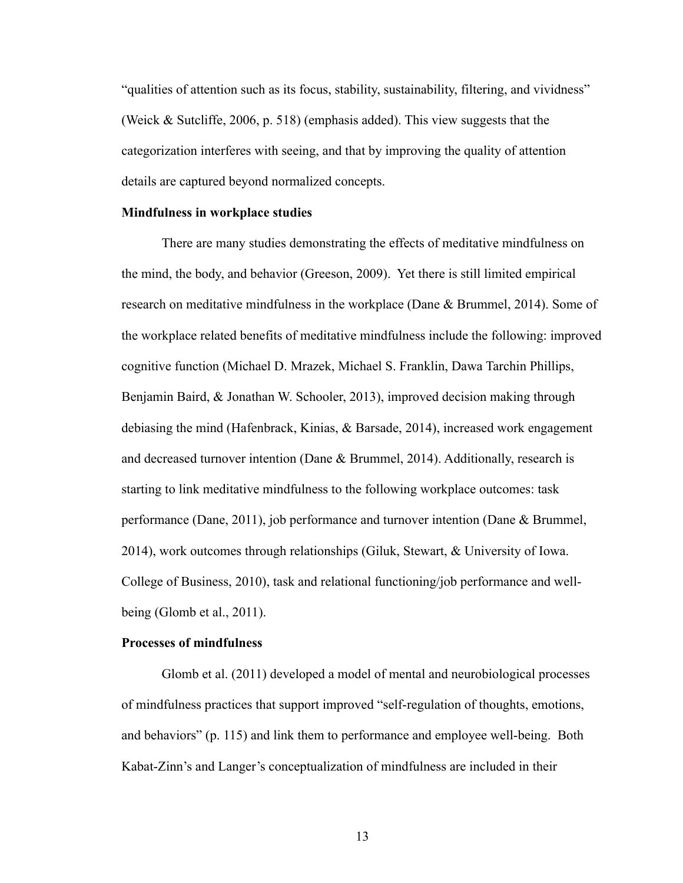"qualities of attention such as its focus, stability, sustainability, filtering, and vividness" (Weick & Sutcliffe, 2006, p. 518) (emphasis added). This view suggests that the categorization interferes with seeing, and that by improving the quality of attention details are captured beyond normalized concepts.

#### **Mindfulness in workplace studies**

There are many studies demonstrating the effects of meditative mindfulness on the mind, the body, and behavior (Greeson, 2009). Yet there is still limited empirical research on meditative mindfulness in the workplace (Dane & Brummel, 2014). Some of the workplace related benefits of meditative mindfulness include the following: improved cognitive function (Michael D. Mrazek, Michael S. Franklin, Dawa Tarchin Phillips, Benjamin Baird, & Jonathan W. Schooler, 2013), improved decision making through debiasing the mind (Hafenbrack, Kinias, & Barsade, 2014), increased work engagement and decreased turnover intention (Dane & Brummel, 2014). Additionally, research is starting to link meditative mindfulness to the following workplace outcomes: task performance (Dane, 2011), job performance and turnover intention (Dane & Brummel, 2014), work outcomes through relationships (Giluk, Stewart, & University of Iowa. College of Business, 2010), task and relational functioning/job performance and wellbeing (Glomb et al., 2011).

## **Processes of mindfulness**

Glomb et al. (2011) developed a model of mental and neurobiological processes of mindfulness practices that support improved "self-regulation of thoughts, emotions, and behaviors" (p. 115) and link them to performance and employee well-being. Both Kabat-Zinn's and Langer's conceptualization of mindfulness are included in their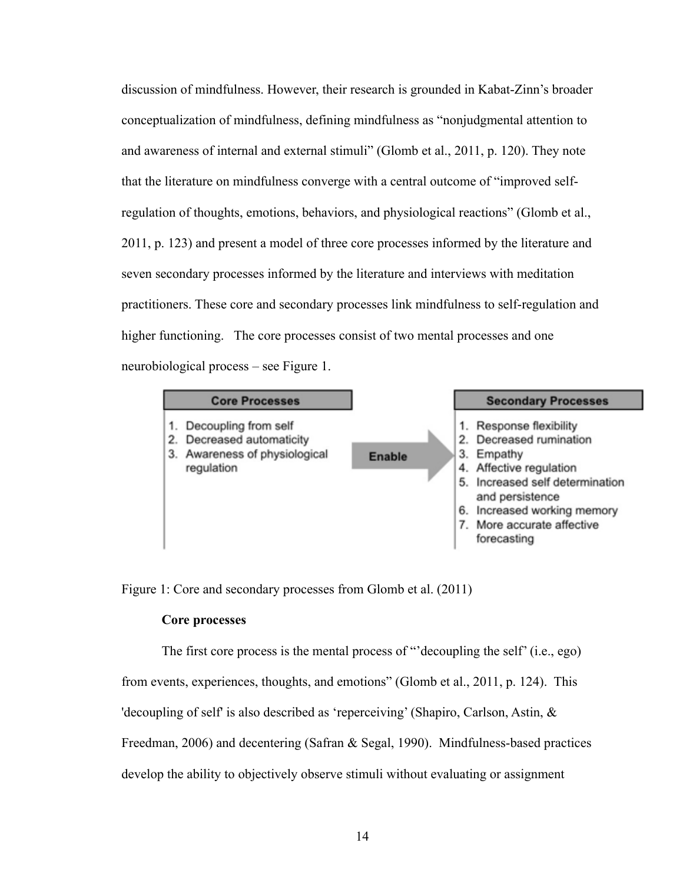discussion of mindfulness. However, their research is grounded in Kabat-Zinn's broader conceptualization of mindfulness, defining mindfulness as "nonjudgmental attention to and awareness of internal and external stimuli" (Glomb et al., 2011, p. 120). They note that the literature on mindfulness converge with a central outcome of "improved selfregulation of thoughts, emotions, behaviors, and physiological reactions" (Glomb et al., 2011, p. 123) and present a model of three core processes informed by the literature and seven secondary processes informed by the literature and interviews with meditation practitioners. These core and secondary processes link mindfulness to self-regulation and higher functioning. The core processes consist of two mental processes and one neurobiological process – see Figure 1.



Figure 1: Core and secondary processes from Glomb et al. (2011)

#### **Core processes**

The first core process is the mental process of "'decoupling the self' (i.e., ego)

from events, experiences, thoughts, and emotions" (Glomb et al., 2011, p. 124). This

'decoupling of self' is also described as 'reperceiving' (Shapiro, Carlson, Astin, &

Freedman, 2006) and decentering (Safran & Segal, 1990). Mindfulness-based practices

develop the ability to objectively observe stimuli without evaluating or assignment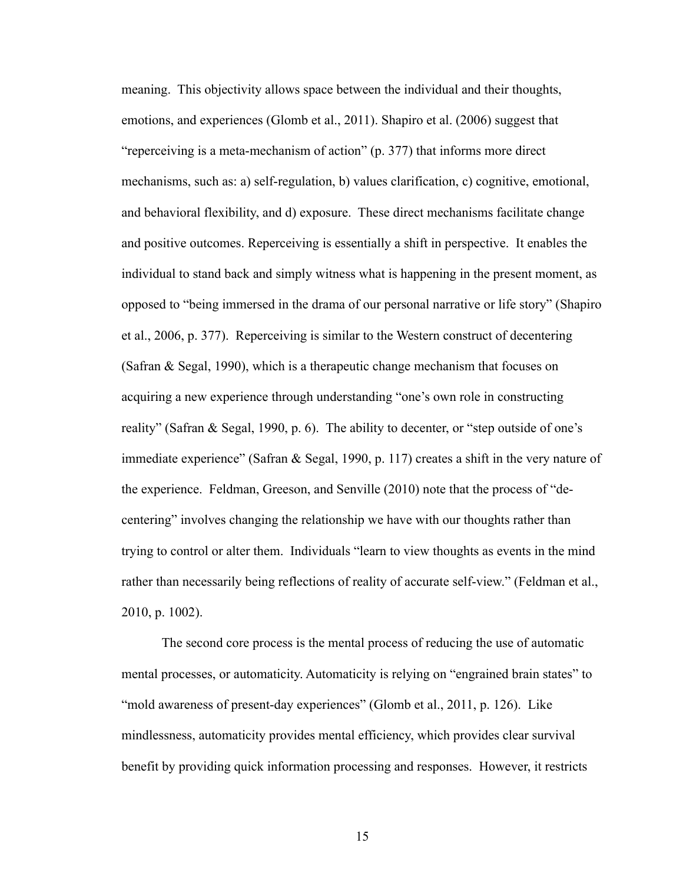meaning. This objectivity allows space between the individual and their thoughts, emotions, and experiences (Glomb et al., 2011). Shapiro et al. (2006) suggest that "reperceiving is a meta-mechanism of action" (p. 377) that informs more direct mechanisms, such as: a) self-regulation, b) values clarification, c) cognitive, emotional, and behavioral flexibility, and d) exposure. These direct mechanisms facilitate change and positive outcomes. Reperceiving is essentially a shift in perspective. It enables the individual to stand back and simply witness what is happening in the present moment, as opposed to "being immersed in the drama of our personal narrative or life story" (Shapiro et al., 2006, p. 377). Reperceiving is similar to the Western construct of decentering (Safran & Segal, 1990), which is a therapeutic change mechanism that focuses on acquiring a new experience through understanding "one's own role in constructing reality" (Safran & Segal, 1990, p. 6). The ability to decenter, or "step outside of one's immediate experience" (Safran & Segal, 1990, p. 117) creates a shift in the very nature of the experience. Feldman, Greeson, and Senville (2010) note that the process of "decentering" involves changing the relationship we have with our thoughts rather than trying to control or alter them. Individuals "learn to view thoughts as events in the mind rather than necessarily being reflections of reality of accurate self-view." (Feldman et al., 2010, p. 1002).

The second core process is the mental process of reducing the use of automatic mental processes, or automaticity. Automaticity is relying on "engrained brain states" to "mold awareness of present-day experiences" (Glomb et al., 2011, p. 126). Like mindlessness, automaticity provides mental efficiency, which provides clear survival benefit by providing quick information processing and responses. However, it restricts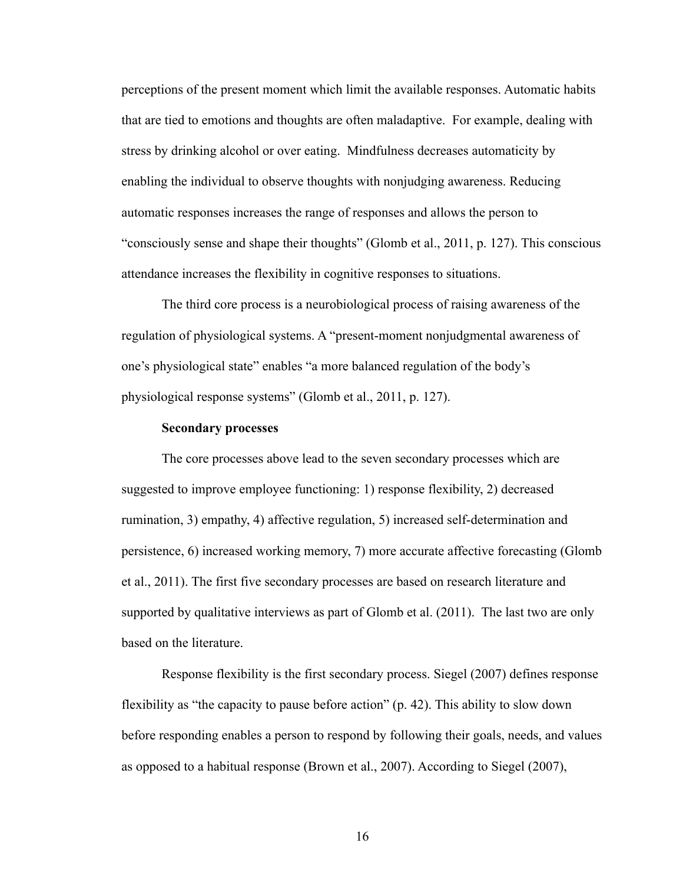perceptions of the present moment which limit the available responses. Automatic habits that are tied to emotions and thoughts are often maladaptive. For example, dealing with stress by drinking alcohol or over eating. Mindfulness decreases automaticity by enabling the individual to observe thoughts with nonjudging awareness. Reducing automatic responses increases the range of responses and allows the person to "consciously sense and shape their thoughts" (Glomb et al., 2011, p. 127). This conscious attendance increases the flexibility in cognitive responses to situations.

The third core process is a neurobiological process of raising awareness of the regulation of physiological systems. A "present-moment nonjudgmental awareness of one's physiological state" enables "a more balanced regulation of the body's physiological response systems" (Glomb et al., 2011, p. 127).

#### **Secondary processes**

The core processes above lead to the seven secondary processes which are suggested to improve employee functioning: 1) response flexibility, 2) decreased rumination, 3) empathy, 4) affective regulation, 5) increased self-determination and persistence, 6) increased working memory, 7) more accurate affective forecasting (Glomb et al., 2011). The first five secondary processes are based on research literature and supported by qualitative interviews as part of Glomb et al. (2011). The last two are only based on the literature.

Response flexibility is the first secondary process. Siegel (2007) defines response flexibility as "the capacity to pause before action" (p. 42). This ability to slow down before responding enables a person to respond by following their goals, needs, and values as opposed to a habitual response (Brown et al., 2007). According to Siegel (2007),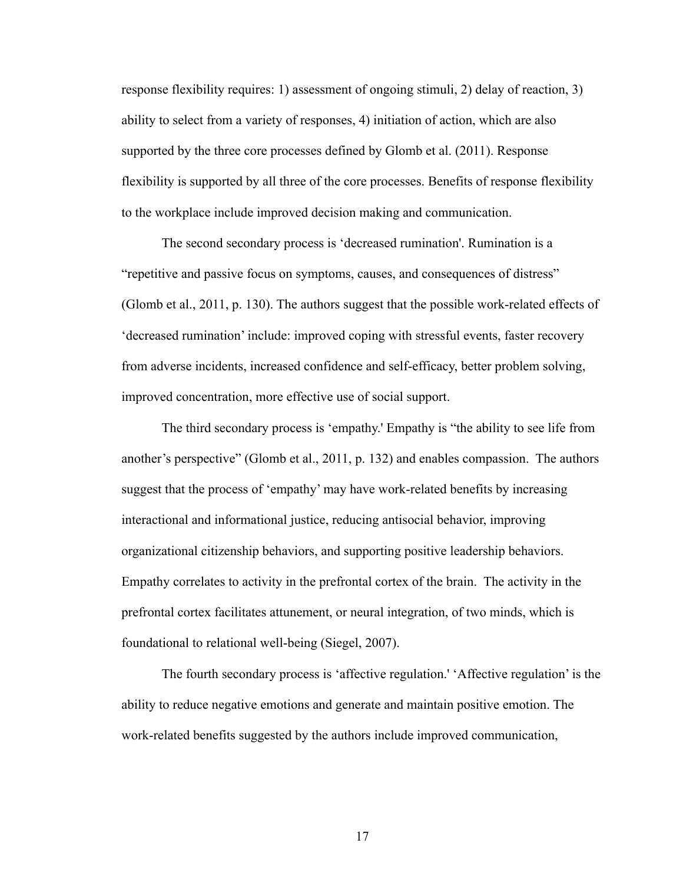response flexibility requires: 1) assessment of ongoing stimuli, 2) delay of reaction, 3) ability to select from a variety of responses, 4) initiation of action, which are also supported by the three core processes defined by Glomb et al. (2011). Response flexibility is supported by all three of the core processes. Benefits of response flexibility to the workplace include improved decision making and communication.

The second secondary process is 'decreased rumination'. Rumination is a "repetitive and passive focus on symptoms, causes, and consequences of distress" (Glomb et al., 2011, p. 130). The authors suggest that the possible work-related effects of 'decreased rumination' include: improved coping with stressful events, faster recovery from adverse incidents, increased confidence and self-efficacy, better problem solving, improved concentration, more effective use of social support.

The third secondary process is 'empathy.' Empathy is "the ability to see life from another's perspective" (Glomb et al., 2011, p. 132) and enables compassion. The authors suggest that the process of 'empathy' may have work-related benefits by increasing interactional and informational justice, reducing antisocial behavior, improving organizational citizenship behaviors, and supporting positive leadership behaviors. Empathy correlates to activity in the prefrontal cortex of the brain. The activity in the prefrontal cortex facilitates attunement, or neural integration, of two minds, which is foundational to relational well-being (Siegel, 2007).

The fourth secondary process is 'affective regulation.' 'Affective regulation' is the ability to reduce negative emotions and generate and maintain positive emotion. The work-related benefits suggested by the authors include improved communication,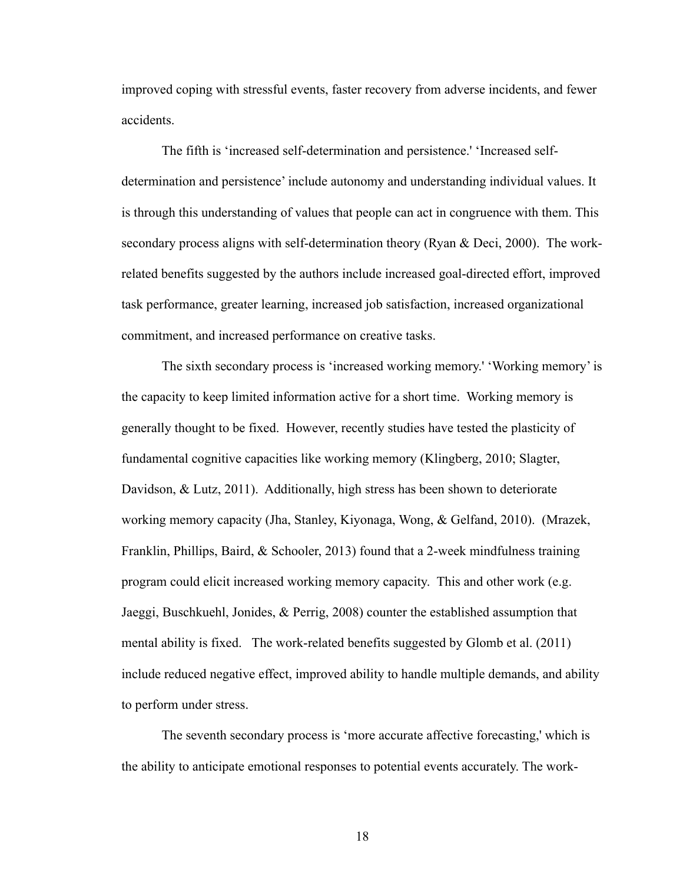improved coping with stressful events, faster recovery from adverse incidents, and fewer accidents.

The fifth is 'increased self-determination and persistence.' 'Increased selfdetermination and persistence' include autonomy and understanding individual values. It is through this understanding of values that people can act in congruence with them. This secondary process aligns with self-determination theory (Ryan & Deci, 2000). The workrelated benefits suggested by the authors include increased goal-directed effort, improved task performance, greater learning, increased job satisfaction, increased organizational commitment, and increased performance on creative tasks.

The sixth secondary process is 'increased working memory.' 'Working memory' is the capacity to keep limited information active for a short time. Working memory is generally thought to be fixed. However, recently studies have tested the plasticity of fundamental cognitive capacities like working memory (Klingberg, 2010; Slagter, Davidson, & Lutz, 2011). Additionally, high stress has been shown to deteriorate working memory capacity (Jha, Stanley, Kiyonaga, Wong, & Gelfand, 2010). (Mrazek, Franklin, Phillips, Baird, & Schooler, 2013) found that a 2-week mindfulness training program could elicit increased working memory capacity. This and other work (e.g. Jaeggi, Buschkuehl, Jonides, & Perrig, 2008) counter the established assumption that mental ability is fixed. The work-related benefits suggested by Glomb et al. (2011) include reduced negative effect, improved ability to handle multiple demands, and ability to perform under stress.

The seventh secondary process is 'more accurate affective forecasting,' which is the ability to anticipate emotional responses to potential events accurately. The work-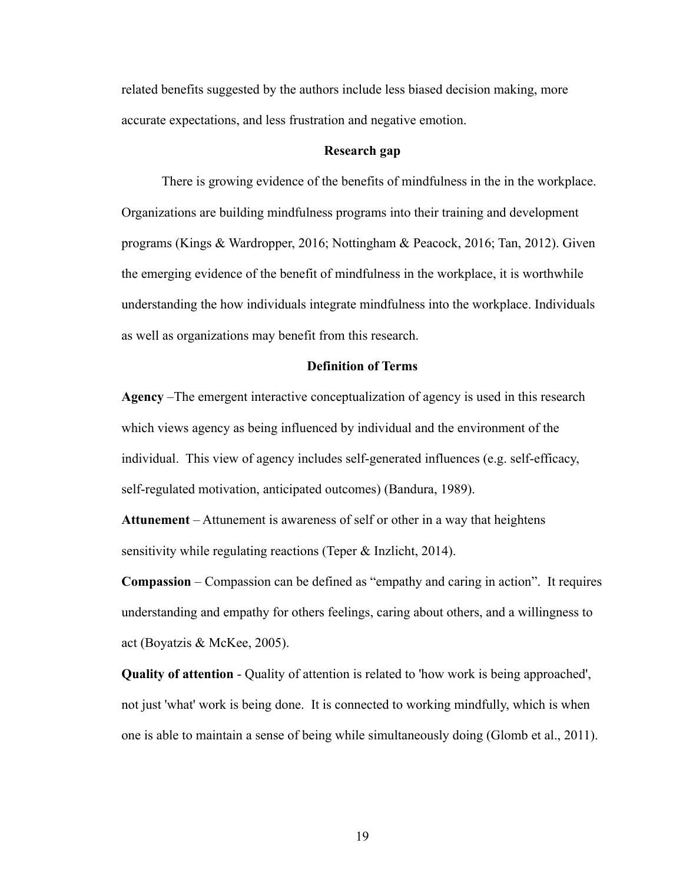related benefits suggested by the authors include less biased decision making, more accurate expectations, and less frustration and negative emotion.

### **Research gap**

There is growing evidence of the benefits of mindfulness in the in the workplace. Organizations are building mindfulness programs into their training and development programs (Kings & Wardropper, 2016; Nottingham & Peacock, 2016; Tan, 2012). Given the emerging evidence of the benefit of mindfulness in the workplace, it is worthwhile understanding the how individuals integrate mindfulness into the workplace. Individuals as well as organizations may benefit from this research.

## **Definition of Terms**

**Agency** –The emergent interactive conceptualization of agency is used in this research which views agency as being influenced by individual and the environment of the individual. This view of agency includes self-generated influences (e.g. self-efficacy, self-regulated motivation, anticipated outcomes) (Bandura, 1989).

**Attunement** – Attunement is awareness of self or other in a way that heightens sensitivity while regulating reactions (Teper & Inzlicht, 2014).

**Compassion** – Compassion can be defined as "empathy and caring in action". It requires understanding and empathy for others feelings, caring about others, and a willingness to act (Boyatzis & McKee, 2005).

**Quality of attention** - Quality of attention is related to 'how work is being approached', not just 'what' work is being done. It is connected to working mindfully, which is when one is able to maintain a sense of being while simultaneously doing (Glomb et al., 2011).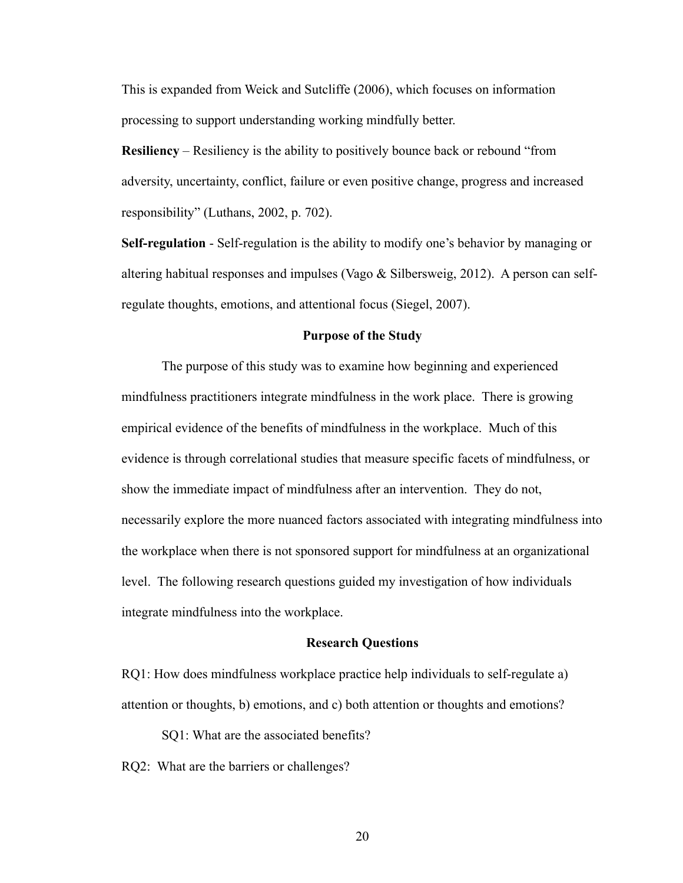This is expanded from Weick and Sutcliffe (2006), which focuses on information processing to support understanding working mindfully better.

**Resiliency** – Resiliency is the ability to positively bounce back or rebound "from adversity, uncertainty, conflict, failure or even positive change, progress and increased responsibility" (Luthans, 2002, p. 702).

**Self-regulation** - Self-regulation is the ability to modify one's behavior by managing or altering habitual responses and impulses (Vago  $\&$  Silbersweig, 2012). A person can selfregulate thoughts, emotions, and attentional focus (Siegel, 2007).

#### **Purpose of the Study**

The purpose of this study was to examine how beginning and experienced mindfulness practitioners integrate mindfulness in the work place. There is growing empirical evidence of the benefits of mindfulness in the workplace. Much of this evidence is through correlational studies that measure specific facets of mindfulness, or show the immediate impact of mindfulness after an intervention. They do not, necessarily explore the more nuanced factors associated with integrating mindfulness into the workplace when there is not sponsored support for mindfulness at an organizational level. The following research questions guided my investigation of how individuals integrate mindfulness into the workplace.

## **Research Questions**

RQ1: How does mindfulness workplace practice help individuals to self-regulate a) attention or thoughts, b) emotions, and c) both attention or thoughts and emotions?

SQ1: What are the associated benefits?

RQ2: What are the barriers or challenges?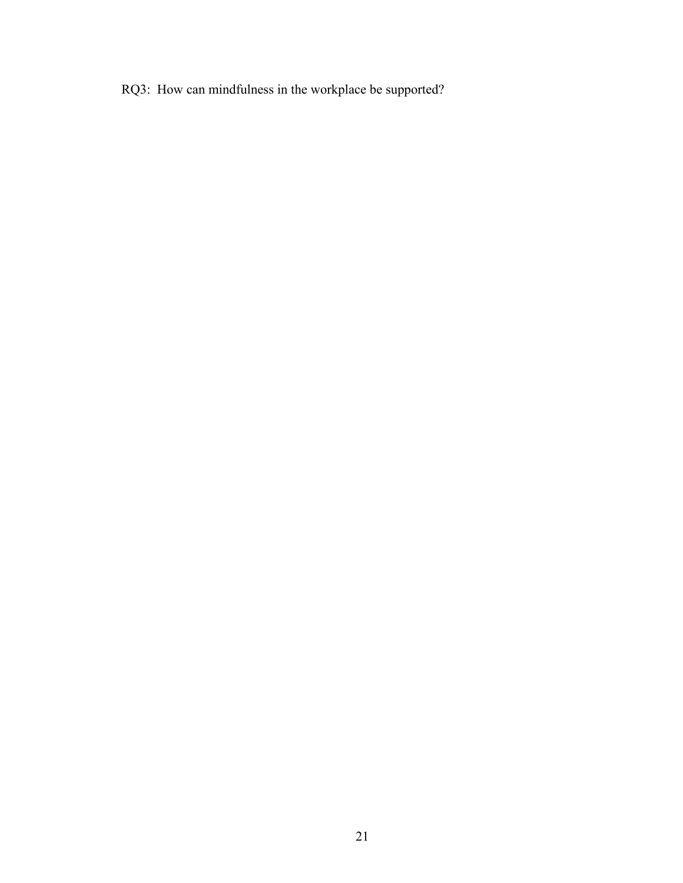RQ3: How can mindfulness in the workplace be supported?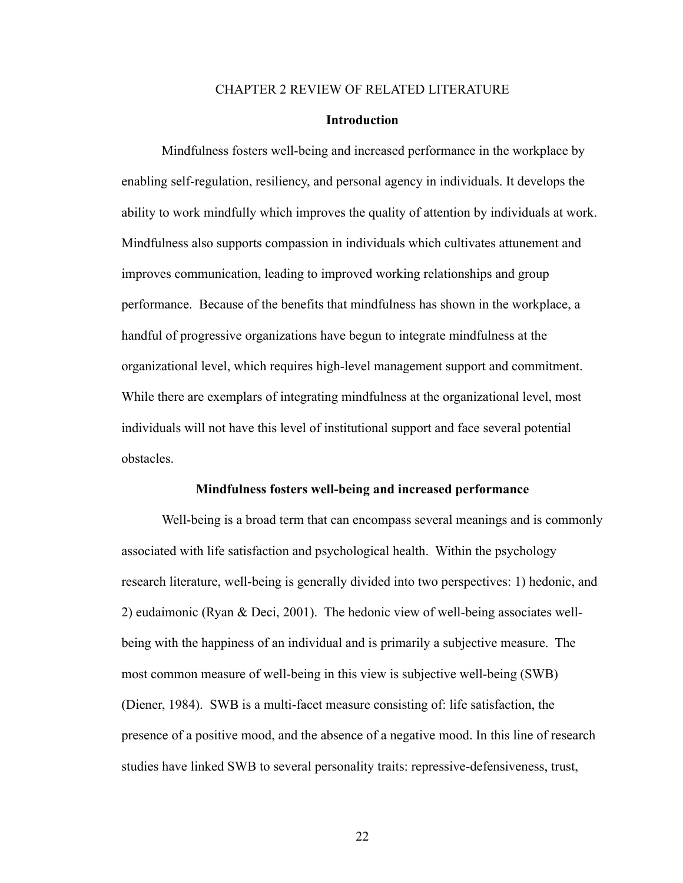#### CHAPTER 2 REVIEW OF RELATED LITERATURE

#### **Introduction**

Mindfulness fosters well-being and increased performance in the workplace by enabling self-regulation, resiliency, and personal agency in individuals. It develops the ability to work mindfully which improves the quality of attention by individuals at work. Mindfulness also supports compassion in individuals which cultivates attunement and improves communication, leading to improved working relationships and group performance. Because of the benefits that mindfulness has shown in the workplace, a handful of progressive organizations have begun to integrate mindfulness at the organizational level, which requires high-level management support and commitment. While there are exemplars of integrating mindfulness at the organizational level, most individuals will not have this level of institutional support and face several potential obstacles.

#### **Mindfulness fosters well-being and increased performance**

Well-being is a broad term that can encompass several meanings and is commonly associated with life satisfaction and psychological health. Within the psychology research literature, well-being is generally divided into two perspectives: 1) hedonic, and 2) eudaimonic (Ryan & Deci, 2001). The hedonic view of well-being associates wellbeing with the happiness of an individual and is primarily a subjective measure. The most common measure of well-being in this view is subjective well-being (SWB) (Diener, 1984). SWB is a multi-facet measure consisting of: life satisfaction, the presence of a positive mood, and the absence of a negative mood. In this line of research studies have linked SWB to several personality traits: repressive-defensiveness, trust,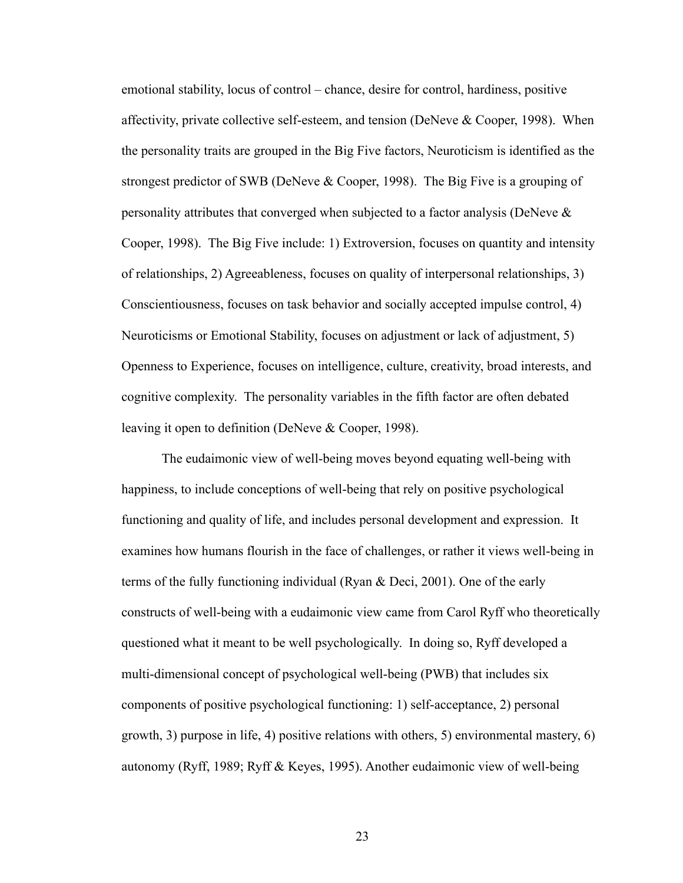emotional stability, locus of control – chance, desire for control, hardiness, positive affectivity, private collective self-esteem, and tension (DeNeve & Cooper, 1998). When the personality traits are grouped in the Big Five factors, Neuroticism is identified as the strongest predictor of SWB (DeNeve & Cooper, 1998). The Big Five is a grouping of personality attributes that converged when subjected to a factor analysis (DeNeve & Cooper, 1998). The Big Five include: 1) Extroversion, focuses on quantity and intensity of relationships, 2) Agreeableness, focuses on quality of interpersonal relationships, 3) Conscientiousness, focuses on task behavior and socially accepted impulse control, 4) Neuroticisms or Emotional Stability, focuses on adjustment or lack of adjustment, 5) Openness to Experience, focuses on intelligence, culture, creativity, broad interests, and cognitive complexity. The personality variables in the fifth factor are often debated leaving it open to definition (DeNeve & Cooper, 1998).

The eudaimonic view of well-being moves beyond equating well-being with happiness, to include conceptions of well-being that rely on positive psychological functioning and quality of life, and includes personal development and expression. It examines how humans flourish in the face of challenges, or rather it views well-being in terms of the fully functioning individual (Ryan & Deci, 2001). One of the early constructs of well-being with a eudaimonic view came from Carol Ryff who theoretically questioned what it meant to be well psychologically. In doing so, Ryff developed a multi-dimensional concept of psychological well-being (PWB) that includes six components of positive psychological functioning: 1) self-acceptance, 2) personal growth, 3) purpose in life, 4) positive relations with others, 5) environmental mastery, 6) autonomy (Ryff, 1989; Ryff & Keyes, 1995). Another eudaimonic view of well-being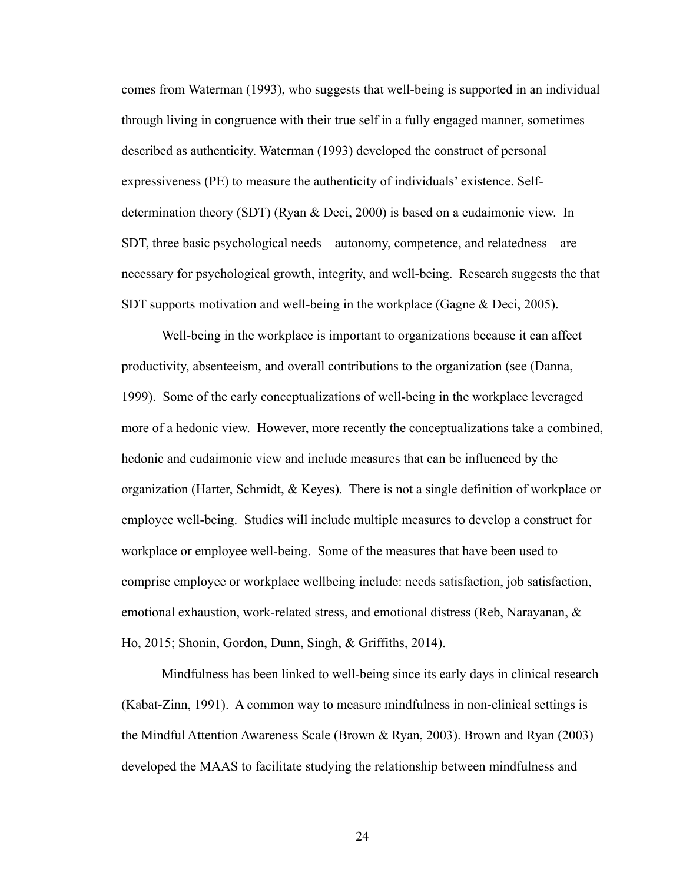comes from Waterman (1993), who suggests that well-being is supported in an individual through living in congruence with their true self in a fully engaged manner, sometimes described as authenticity. Waterman (1993) developed the construct of personal expressiveness (PE) to measure the authenticity of individuals' existence. Selfdetermination theory (SDT) (Ryan & Deci, 2000) is based on a eudaimonic view. In SDT, three basic psychological needs – autonomy, competence, and relatedness – are necessary for psychological growth, integrity, and well-being. Research suggests the that SDT supports motivation and well-being in the workplace (Gagne & Deci, 2005).

Well-being in the workplace is important to organizations because it can affect productivity, absenteeism, and overall contributions to the organization (see (Danna, 1999). Some of the early conceptualizations of well-being in the workplace leveraged more of a hedonic view. However, more recently the conceptualizations take a combined, hedonic and eudaimonic view and include measures that can be influenced by the organization (Harter, Schmidt, & Keyes). There is not a single definition of workplace or employee well-being. Studies will include multiple measures to develop a construct for workplace or employee well-being. Some of the measures that have been used to comprise employee or workplace wellbeing include: needs satisfaction, job satisfaction, emotional exhaustion, work-related stress, and emotional distress (Reb, Narayanan, & Ho, 2015; Shonin, Gordon, Dunn, Singh, & Griffiths, 2014).

Mindfulness has been linked to well-being since its early days in clinical research (Kabat-Zinn, 1991). A common way to measure mindfulness in non-clinical settings is the Mindful Attention Awareness Scale (Brown & Ryan, 2003). Brown and Ryan (2003) developed the MAAS to facilitate studying the relationship between mindfulness and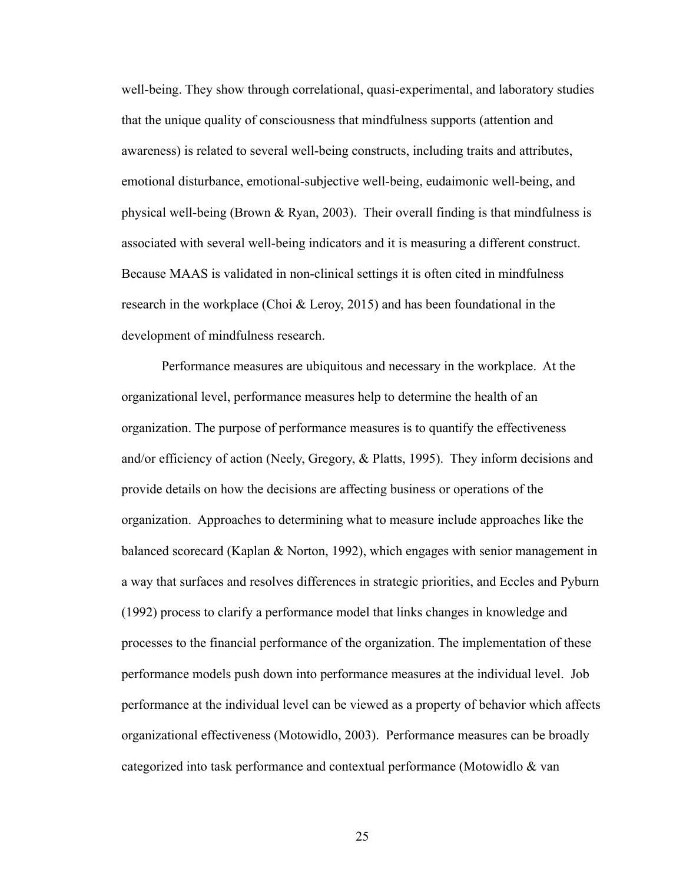well-being. They show through correlational, quasi-experimental, and laboratory studies that the unique quality of consciousness that mindfulness supports (attention and awareness) is related to several well-being constructs, including traits and attributes, emotional disturbance, emotional-subjective well-being, eudaimonic well-being, and physical well-being (Brown & Ryan, 2003). Their overall finding is that mindfulness is associated with several well-being indicators and it is measuring a different construct. Because MAAS is validated in non-clinical settings it is often cited in mindfulness research in the workplace (Choi  $\&$  Leroy, 2015) and has been foundational in the development of mindfulness research.

Performance measures are ubiquitous and necessary in the workplace. At the organizational level, performance measures help to determine the health of an organization. The purpose of performance measures is to quantify the effectiveness and/or efficiency of action (Neely, Gregory, & Platts, 1995). They inform decisions and provide details on how the decisions are affecting business or operations of the organization. Approaches to determining what to measure include approaches like the balanced scorecard (Kaplan & Norton, 1992), which engages with senior management in a way that surfaces and resolves differences in strategic priorities, and Eccles and Pyburn (1992) process to clarify a performance model that links changes in knowledge and processes to the financial performance of the organization. The implementation of these performance models push down into performance measures at the individual level. Job performance at the individual level can be viewed as a property of behavior which affects organizational effectiveness (Motowidlo, 2003). Performance measures can be broadly categorized into task performance and contextual performance (Motowidlo & van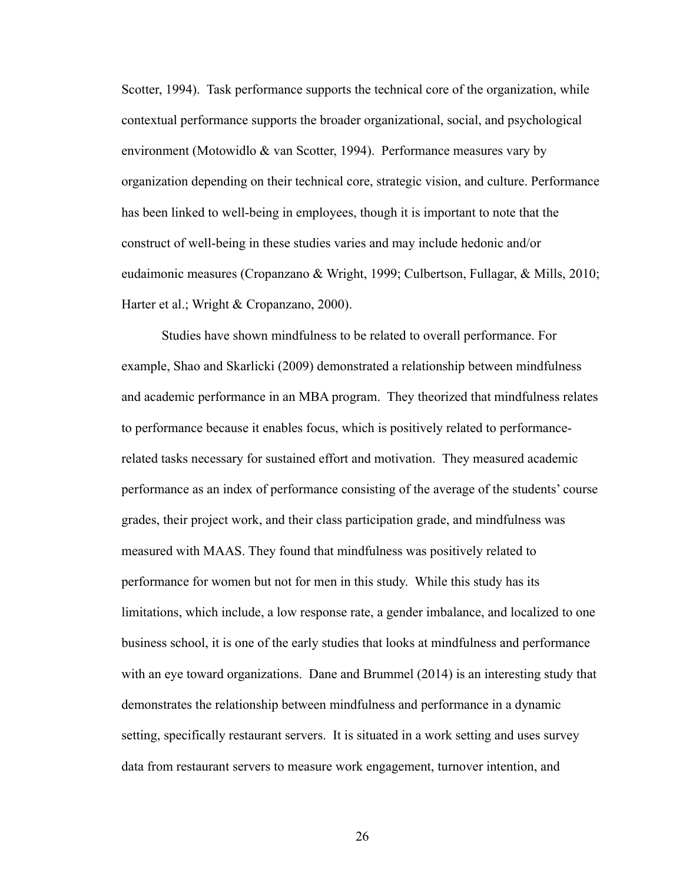Scotter, 1994). Task performance supports the technical core of the organization, while contextual performance supports the broader organizational, social, and psychological environment (Motowidlo & van Scotter, 1994). Performance measures vary by organization depending on their technical core, strategic vision, and culture. Performance has been linked to well-being in employees, though it is important to note that the construct of well-being in these studies varies and may include hedonic and/or eudaimonic measures (Cropanzano & Wright, 1999; Culbertson, Fullagar, & Mills, 2010; Harter et al.; Wright & Cropanzano, 2000).

Studies have shown mindfulness to be related to overall performance. For example, Shao and Skarlicki (2009) demonstrated a relationship between mindfulness and academic performance in an MBA program. They theorized that mindfulness relates to performance because it enables focus, which is positively related to performancerelated tasks necessary for sustained effort and motivation. They measured academic performance as an index of performance consisting of the average of the students' course grades, their project work, and their class participation grade, and mindfulness was measured with MAAS. They found that mindfulness was positively related to performance for women but not for men in this study. While this study has its limitations, which include, a low response rate, a gender imbalance, and localized to one business school, it is one of the early studies that looks at mindfulness and performance with an eye toward organizations. Dane and Brummel (2014) is an interesting study that demonstrates the relationship between mindfulness and performance in a dynamic setting, specifically restaurant servers. It is situated in a work setting and uses survey data from restaurant servers to measure work engagement, turnover intention, and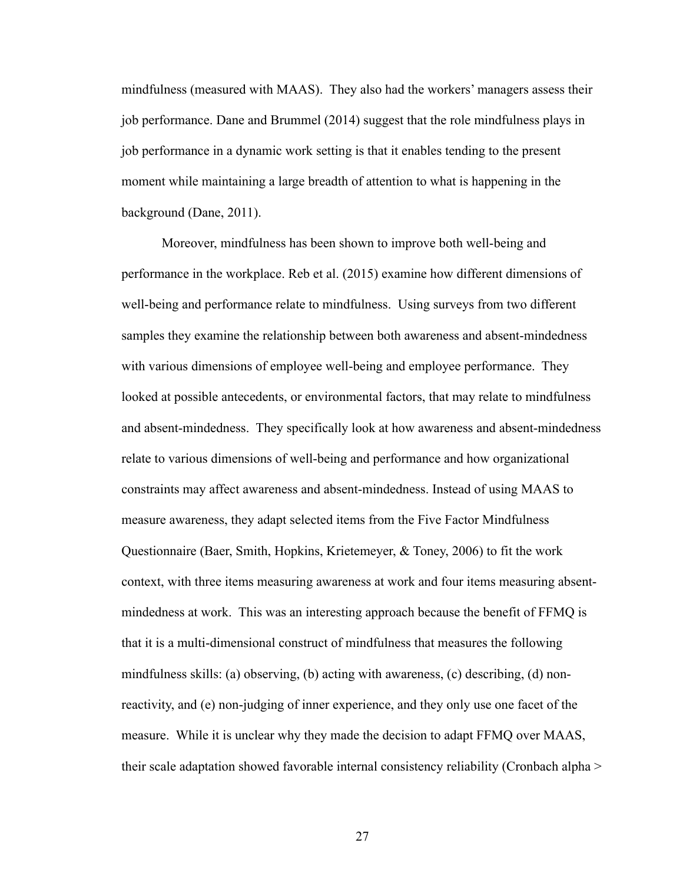mindfulness (measured with MAAS). They also had the workers' managers assess their job performance. Dane and Brummel (2014) suggest that the role mindfulness plays in job performance in a dynamic work setting is that it enables tending to the present moment while maintaining a large breadth of attention to what is happening in the background (Dane, 2011).

Moreover, mindfulness has been shown to improve both well-being and performance in the workplace. Reb et al. (2015) examine how different dimensions of well-being and performance relate to mindfulness. Using surveys from two different samples they examine the relationship between both awareness and absent-mindedness with various dimensions of employee well-being and employee performance. They looked at possible antecedents, or environmental factors, that may relate to mindfulness and absent-mindedness. They specifically look at how awareness and absent-mindedness relate to various dimensions of well-being and performance and how organizational constraints may affect awareness and absent-mindedness. Instead of using MAAS to measure awareness, they adapt selected items from the Five Factor Mindfulness Questionnaire (Baer, Smith, Hopkins, Krietemeyer, & Toney, 2006) to fit the work context, with three items measuring awareness at work and four items measuring absentmindedness at work. This was an interesting approach because the benefit of FFMQ is that it is a multi-dimensional construct of mindfulness that measures the following mindfulness skills: (a) observing, (b) acting with awareness, (c) describing, (d) nonreactivity, and (e) non-judging of inner experience, and they only use one facet of the measure. While it is unclear why they made the decision to adapt FFMQ over MAAS, their scale adaptation showed favorable internal consistency reliability (Cronbach alpha >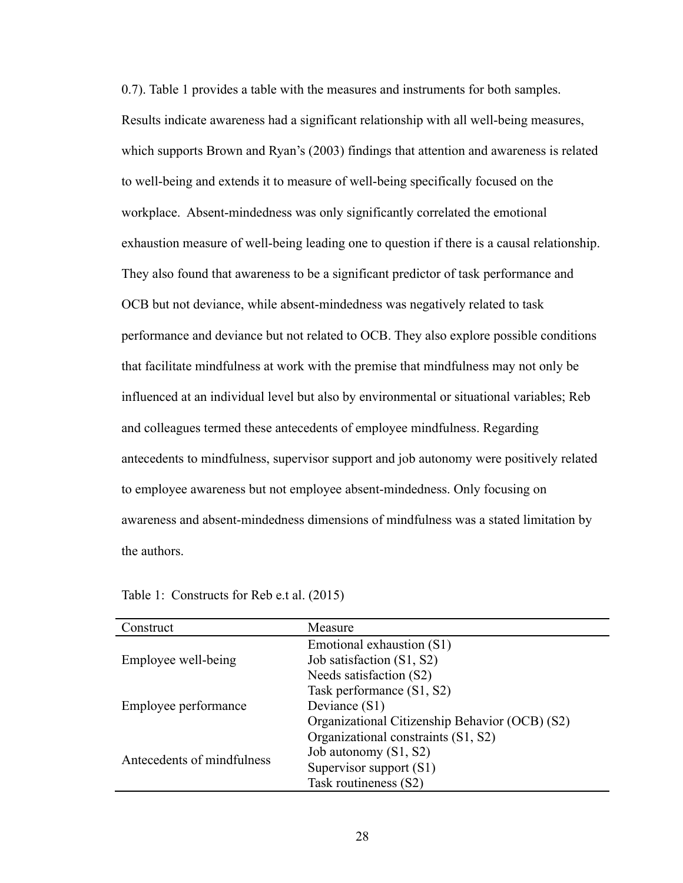0.7). Table 1 provides a table with the measures and instruments for both samples. Results indicate awareness had a significant relationship with all well-being measures, which supports Brown and Ryan's (2003) findings that attention and awareness is related to well-being and extends it to measure of well-being specifically focused on the workplace. Absent-mindedness was only significantly correlated the emotional exhaustion measure of well-being leading one to question if there is a causal relationship. They also found that awareness to be a significant predictor of task performance and OCB but not deviance, while absent-mindedness was negatively related to task performance and deviance but not related to OCB. They also explore possible conditions that facilitate mindfulness at work with the premise that mindfulness may not only be influenced at an individual level but also by environmental or situational variables; Reb and colleagues termed these antecedents of employee mindfulness. Regarding antecedents to mindfulness, supervisor support and job autonomy were positively related to employee awareness but not employee absent-mindedness. Only focusing on awareness and absent-mindedness dimensions of mindfulness was a stated limitation by the authors.

| Construct                  | Measure                                        |
|----------------------------|------------------------------------------------|
|                            | Emotional exhaustion (S1)                      |
| Employee well-being        | Job satisfaction (S1, S2)                      |
|                            | Needs satisfaction (S2)                        |
| Employee performance       | Task performance (S1, S2)                      |
|                            | Deviance (S1)                                  |
|                            | Organizational Citizenship Behavior (OCB) (S2) |
| Antecedents of mindfulness | Organizational constraints (S1, S2)            |
|                            | Job autonomy (S1, S2)                          |
|                            | Supervisor support (S1)                        |
|                            | Task routineness (S2)                          |

Table 1: Constructs for Reb e.t al. (2015)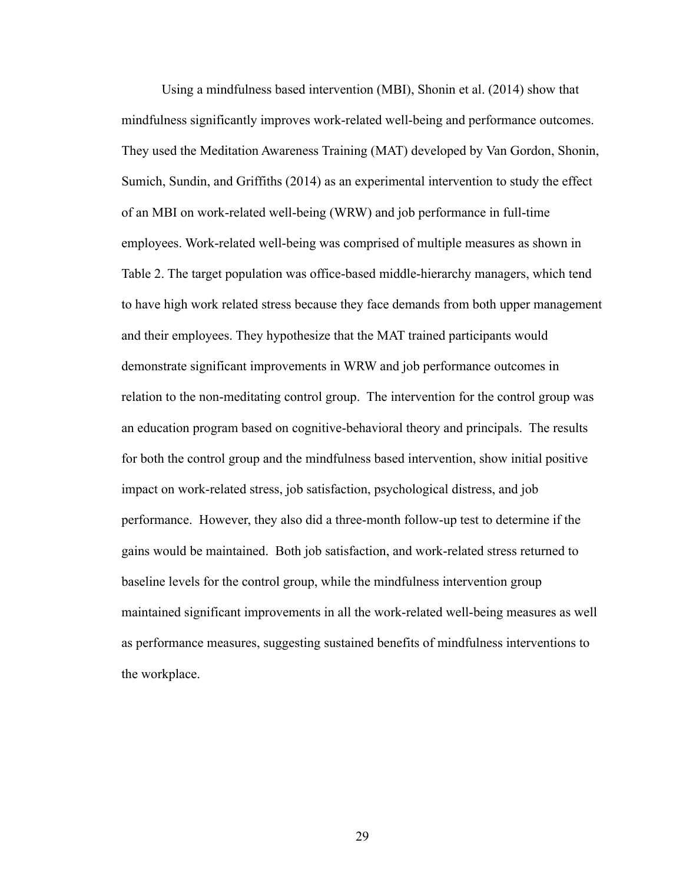Using a mindfulness based intervention (MBI), Shonin et al. (2014) show that mindfulness significantly improves work-related well-being and performance outcomes. They used the Meditation Awareness Training (MAT) developed by Van Gordon, Shonin, Sumich, Sundin, and Griffiths (2014) as an experimental intervention to study the effect of an MBI on work-related well-being (WRW) and job performance in full-time employees. Work-related well-being was comprised of multiple measures as shown in Table 2. The target population was office-based middle-hierarchy managers, which tend to have high work related stress because they face demands from both upper management and their employees. They hypothesize that the MAT trained participants would demonstrate significant improvements in WRW and job performance outcomes in relation to the non-meditating control group. The intervention for the control group was an education program based on cognitive-behavioral theory and principals. The results for both the control group and the mindfulness based intervention, show initial positive impact on work-related stress, job satisfaction, psychological distress, and job performance. However, they also did a three-month follow-up test to determine if the gains would be maintained. Both job satisfaction, and work-related stress returned to baseline levels for the control group, while the mindfulness intervention group maintained significant improvements in all the work-related well-being measures as well as performance measures, suggesting sustained benefits of mindfulness interventions to the workplace.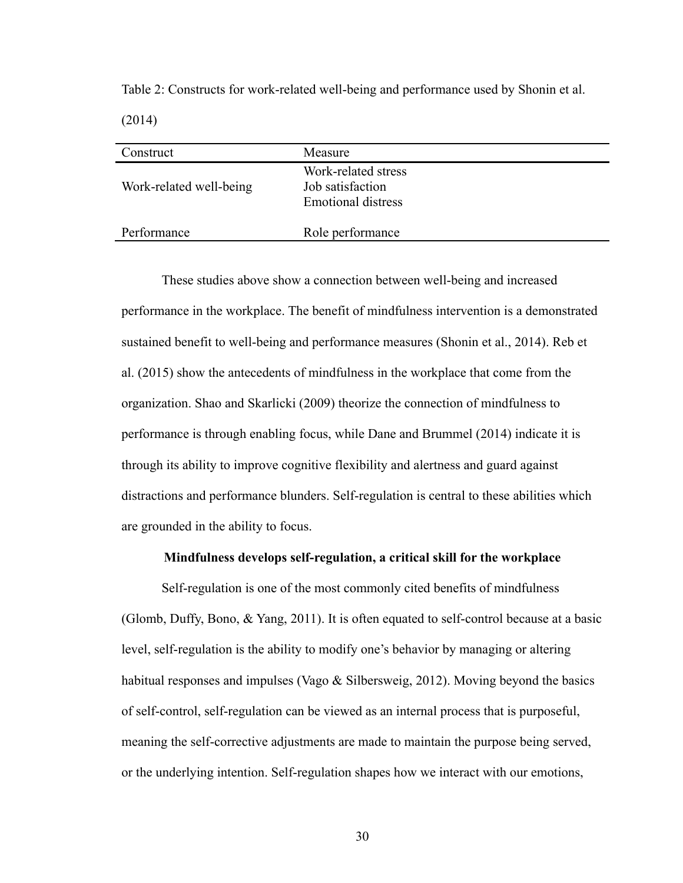Table 2: Constructs for work-related well-being and performance used by Shonin et al. (2014)

| Construct               | Measure                                                              |
|-------------------------|----------------------------------------------------------------------|
| Work-related well-being | Work-related stress<br>Job satisfaction<br><b>Emotional distress</b> |
| Performance             | Role performance                                                     |

These studies above show a connection between well-being and increased performance in the workplace. The benefit of mindfulness intervention is a demonstrated sustained benefit to well-being and performance measures (Shonin et al., 2014). Reb et al. (2015) show the antecedents of mindfulness in the workplace that come from the organization. Shao and Skarlicki (2009) theorize the connection of mindfulness to performance is through enabling focus, while Dane and Brummel (2014) indicate it is through its ability to improve cognitive flexibility and alertness and guard against distractions and performance blunders. Self-regulation is central to these abilities which are grounded in the ability to focus.

#### **Mindfulness develops self-regulation, a critical skill for the workplace**

Self-regulation is one of the most commonly cited benefits of mindfulness (Glomb, Duffy, Bono, & Yang, 2011). It is often equated to self-control because at a basic level, self-regulation is the ability to modify one's behavior by managing or altering habitual responses and impulses (Vago & Silbersweig, 2012). Moving beyond the basics of self-control, self-regulation can be viewed as an internal process that is purposeful, meaning the self-corrective adjustments are made to maintain the purpose being served, or the underlying intention. Self-regulation shapes how we interact with our emotions,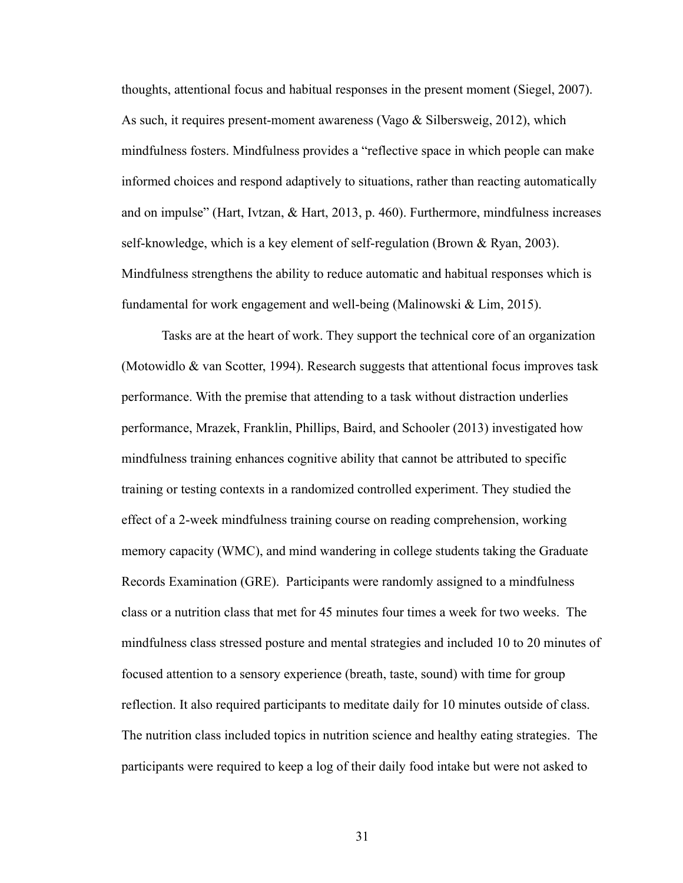thoughts, attentional focus and habitual responses in the present moment (Siegel, 2007). As such, it requires present-moment awareness (Vago  $\&$  Silbersweig, 2012), which mindfulness fosters. Mindfulness provides a "reflective space in which people can make informed choices and respond adaptively to situations, rather than reacting automatically and on impulse" (Hart, Ivtzan, & Hart, 2013, p. 460). Furthermore, mindfulness increases self-knowledge, which is a key element of self-regulation (Brown & Ryan, 2003). Mindfulness strengthens the ability to reduce automatic and habitual responses which is fundamental for work engagement and well-being (Malinowski & Lim, 2015).

Tasks are at the heart of work. They support the technical core of an organization (Motowidlo & van Scotter, 1994). Research suggests that attentional focus improves task performance. With the premise that attending to a task without distraction underlies performance, Mrazek, Franklin, Phillips, Baird, and Schooler (2013) investigated how mindfulness training enhances cognitive ability that cannot be attributed to specific training or testing contexts in a randomized controlled experiment. They studied the effect of a 2-week mindfulness training course on reading comprehension, working memory capacity (WMC), and mind wandering in college students taking the Graduate Records Examination (GRE). Participants were randomly assigned to a mindfulness class or a nutrition class that met for 45 minutes four times a week for two weeks. The mindfulness class stressed posture and mental strategies and included 10 to 20 minutes of focused attention to a sensory experience (breath, taste, sound) with time for group reflection. It also required participants to meditate daily for 10 minutes outside of class. The nutrition class included topics in nutrition science and healthy eating strategies. The participants were required to keep a log of their daily food intake but were not asked to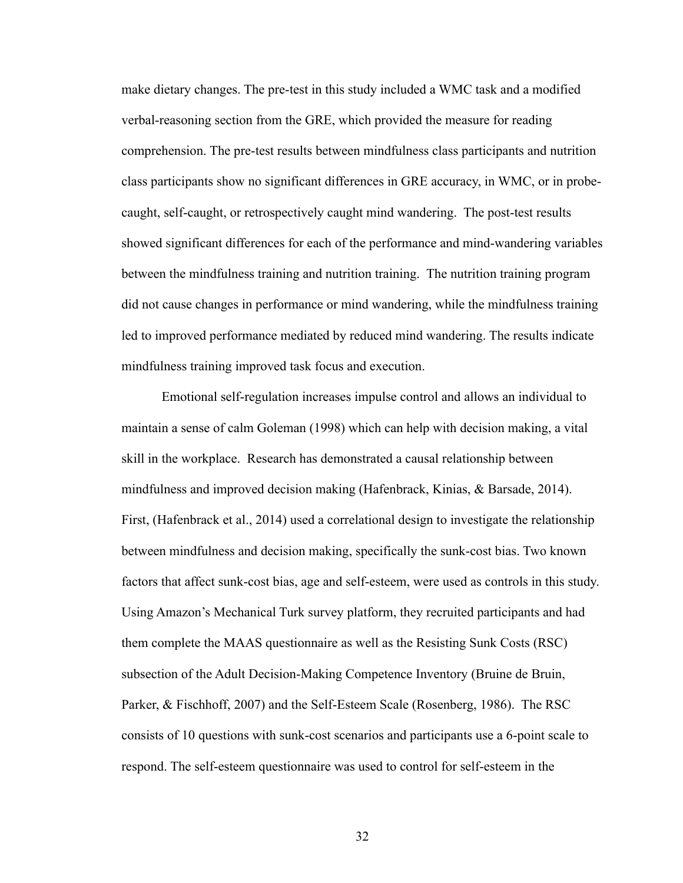make dietary changes. The pre-test in this study included a WMC task and a modified verbal-reasoning section from the GRE, which provided the measure for reading comprehension. The pre-test results between mindfulness class participants and nutrition class participants show no significant differences in GRE accuracy, in WMC, or in probecaught, self-caught, or retrospectively caught mind wandering. The post-test results showed significant differences for each of the performance and mind-wandering variables between the mindfulness training and nutrition training. The nutrition training program did not cause changes in performance or mind wandering, while the mindfulness training led to improved performance mediated by reduced mind wandering. The results indicate mindfulness training improved task focus and execution.

Emotional self-regulation increases impulse control and allows an individual to maintain a sense of calm Goleman (1998) which can help with decision making, a vital skill in the workplace. Research has demonstrated a causal relationship between mindfulness and improved decision making (Hafenbrack, Kinias, & Barsade, 2014). First, (Hafenbrack et al., 2014) used a correlational design to investigate the relationship between mindfulness and decision making, specifically the sunk-cost bias. Two known factors that affect sunk-cost bias, age and self-esteem, were used as controls in this study. Using Amazon's Mechanical Turk survey platform, they recruited participants and had them complete the MAAS questionnaire as well as the Resisting Sunk Costs (RSC) subsection of the Adult Decision-Making Competence Inventory (Bruine de Bruin, Parker, & Fischhoff, 2007) and the Self-Esteem Scale (Rosenberg, 1986). The RSC consists of 10 questions with sunk-cost scenarios and participants use a 6-point scale to respond. The self-esteem questionnaire was used to control for self-esteem in the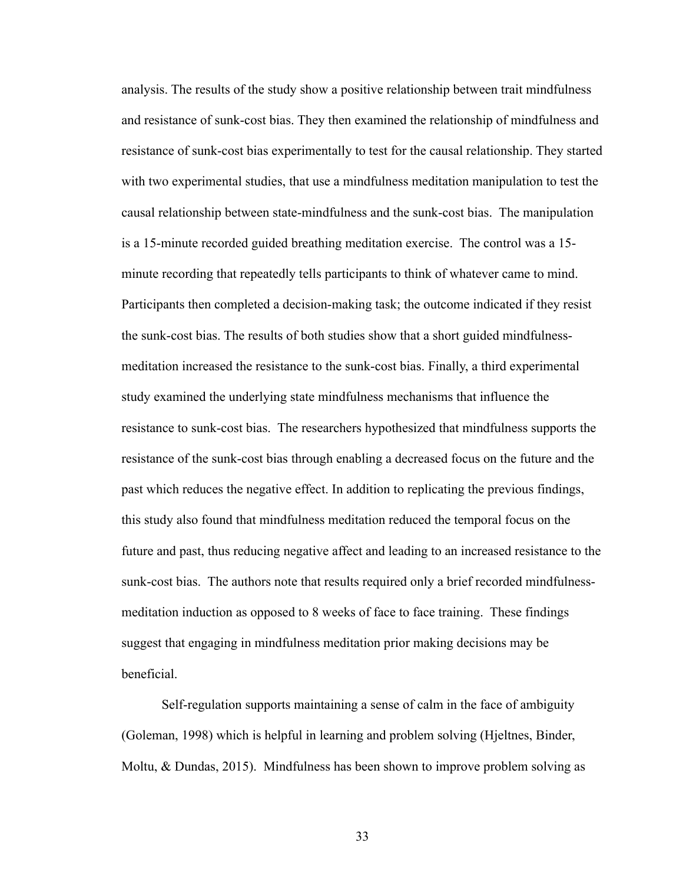analysis. The results of the study show a positive relationship between trait mindfulness and resistance of sunk-cost bias. They then examined the relationship of mindfulness and resistance of sunk-cost bias experimentally to test for the causal relationship. They started with two experimental studies, that use a mindfulness meditation manipulation to test the causal relationship between state-mindfulness and the sunk-cost bias. The manipulation is a 15-minute recorded guided breathing meditation exercise. The control was a 15 minute recording that repeatedly tells participants to think of whatever came to mind. Participants then completed a decision-making task; the outcome indicated if they resist the sunk-cost bias. The results of both studies show that a short guided mindfulnessmeditation increased the resistance to the sunk-cost bias. Finally, a third experimental study examined the underlying state mindfulness mechanisms that influence the resistance to sunk-cost bias. The researchers hypothesized that mindfulness supports the resistance of the sunk-cost bias through enabling a decreased focus on the future and the past which reduces the negative effect. In addition to replicating the previous findings, this study also found that mindfulness meditation reduced the temporal focus on the future and past, thus reducing negative affect and leading to an increased resistance to the sunk-cost bias. The authors note that results required only a brief recorded mindfulnessmeditation induction as opposed to 8 weeks of face to face training. These findings suggest that engaging in mindfulness meditation prior making decisions may be beneficial.

Self-regulation supports maintaining a sense of calm in the face of ambiguity (Goleman, 1998) which is helpful in learning and problem solving (Hjeltnes, Binder, Moltu, & Dundas, 2015). Mindfulness has been shown to improve problem solving as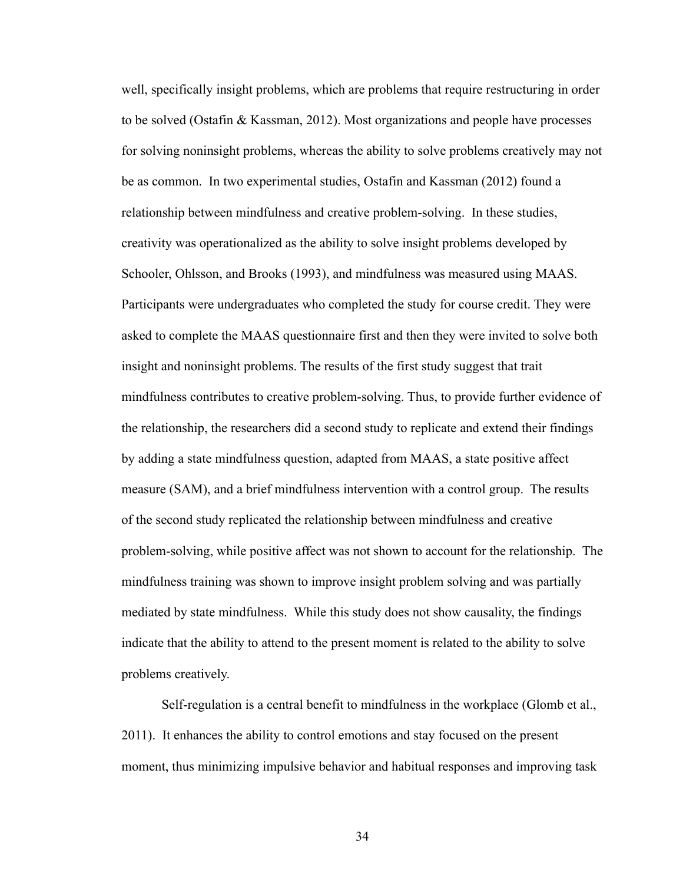well, specifically insight problems, which are problems that require restructuring in order to be solved (Ostafin & Kassman, 2012). Most organizations and people have processes for solving noninsight problems, whereas the ability to solve problems creatively may not be as common. In two experimental studies, Ostafin and Kassman (2012) found a relationship between mindfulness and creative problem-solving. In these studies, creativity was operationalized as the ability to solve insight problems developed by Schooler, Ohlsson, and Brooks (1993), and mindfulness was measured using MAAS. Participants were undergraduates who completed the study for course credit. They were asked to complete the MAAS questionnaire first and then they were invited to solve both insight and noninsight problems. The results of the first study suggest that trait mindfulness contributes to creative problem-solving. Thus, to provide further evidence of the relationship, the researchers did a second study to replicate and extend their findings by adding a state mindfulness question, adapted from MAAS, a state positive affect measure (SAM), and a brief mindfulness intervention with a control group. The results of the second study replicated the relationship between mindfulness and creative problem-solving, while positive affect was not shown to account for the relationship. The mindfulness training was shown to improve insight problem solving and was partially mediated by state mindfulness. While this study does not show causality, the findings indicate that the ability to attend to the present moment is related to the ability to solve problems creatively.

Self-regulation is a central benefit to mindfulness in the workplace (Glomb et al., 2011). It enhances the ability to control emotions and stay focused on the present moment, thus minimizing impulsive behavior and habitual responses and improving task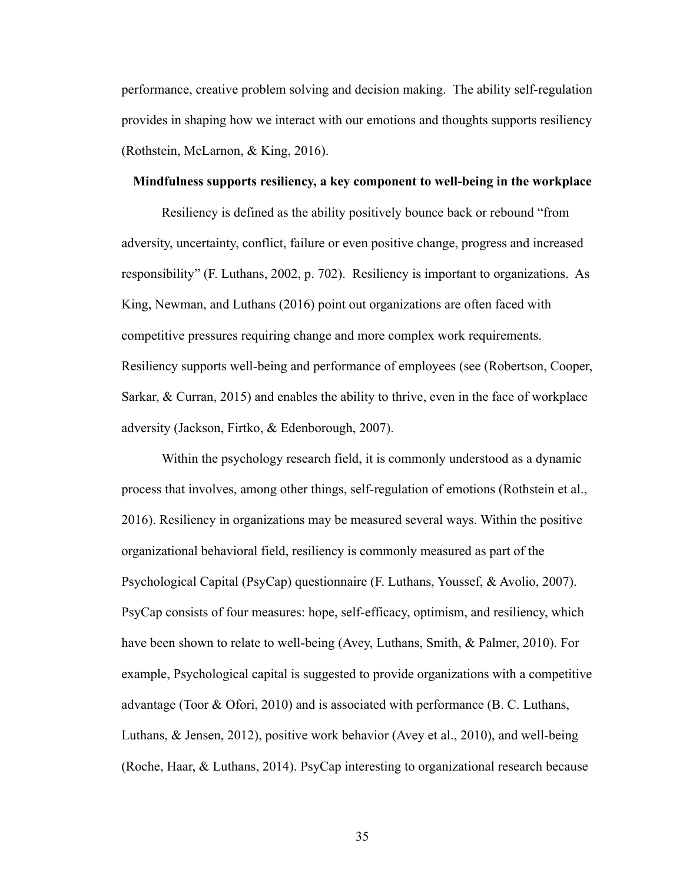performance, creative problem solving and decision making. The ability self-regulation provides in shaping how we interact with our emotions and thoughts supports resiliency (Rothstein, McLarnon, & King, 2016).

#### **Mindfulness supports resiliency, a key component to well-being in the workplace**

Resiliency is defined as the ability positively bounce back or rebound "from adversity, uncertainty, conflict, failure or even positive change, progress and increased responsibility" (F. Luthans, 2002, p. 702). Resiliency is important to organizations. As King, Newman, and Luthans (2016) point out organizations are often faced with competitive pressures requiring change and more complex work requirements. Resiliency supports well-being and performance of employees (see (Robertson, Cooper, Sarkar, & Curran, 2015) and enables the ability to thrive, even in the face of workplace adversity (Jackson, Firtko, & Edenborough, 2007).

Within the psychology research field, it is commonly understood as a dynamic process that involves, among other things, self-regulation of emotions (Rothstein et al., 2016). Resiliency in organizations may be measured several ways. Within the positive organizational behavioral field, resiliency is commonly measured as part of the Psychological Capital (PsyCap) questionnaire (F. Luthans, Youssef, & Avolio, 2007). PsyCap consists of four measures: hope, self-efficacy, optimism, and resiliency, which have been shown to relate to well-being (Avey, Luthans, Smith, & Palmer, 2010). For example, Psychological capital is suggested to provide organizations with a competitive advantage (Toor & Ofori, 2010) and is associated with performance (B. C. Luthans, Luthans, & Jensen, 2012), positive work behavior (Avey et al., 2010), and well-being (Roche, Haar, & Luthans, 2014). PsyCap interesting to organizational research because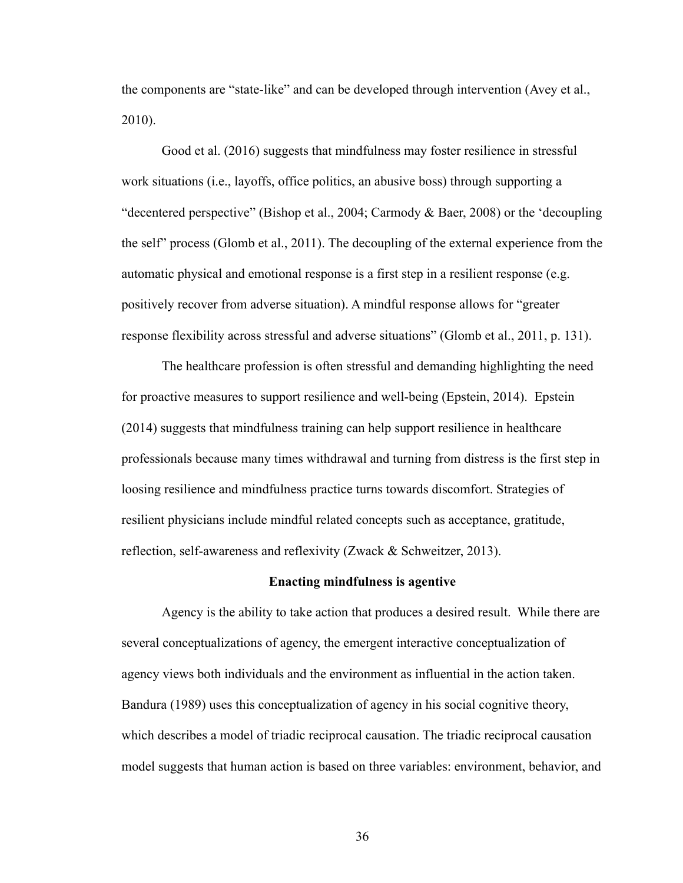the components are "state-like" and can be developed through intervention (Avey et al., 2010).

Good et al. (2016) suggests that mindfulness may foster resilience in stressful work situations (i.e., layoffs, office politics, an abusive boss) through supporting a "decentered perspective" (Bishop et al., 2004; Carmody & Baer, 2008) or the 'decoupling the self" process (Glomb et al., 2011). The decoupling of the external experience from the automatic physical and emotional response is a first step in a resilient response (e.g. positively recover from adverse situation). A mindful response allows for "greater response flexibility across stressful and adverse situations" (Glomb et al., 2011, p. 131).

The healthcare profession is often stressful and demanding highlighting the need for proactive measures to support resilience and well-being (Epstein, 2014). Epstein (2014) suggests that mindfulness training can help support resilience in healthcare professionals because many times withdrawal and turning from distress is the first step in loosing resilience and mindfulness practice turns towards discomfort. Strategies of resilient physicians include mindful related concepts such as acceptance, gratitude, reflection, self-awareness and reflexivity (Zwack & Schweitzer, 2013).

#### **Enacting mindfulness is agentive**

Agency is the ability to take action that produces a desired result. While there are several conceptualizations of agency, the emergent interactive conceptualization of agency views both individuals and the environment as influential in the action taken. Bandura (1989) uses this conceptualization of agency in his social cognitive theory, which describes a model of triadic reciprocal causation. The triadic reciprocal causation model suggests that human action is based on three variables: environment, behavior, and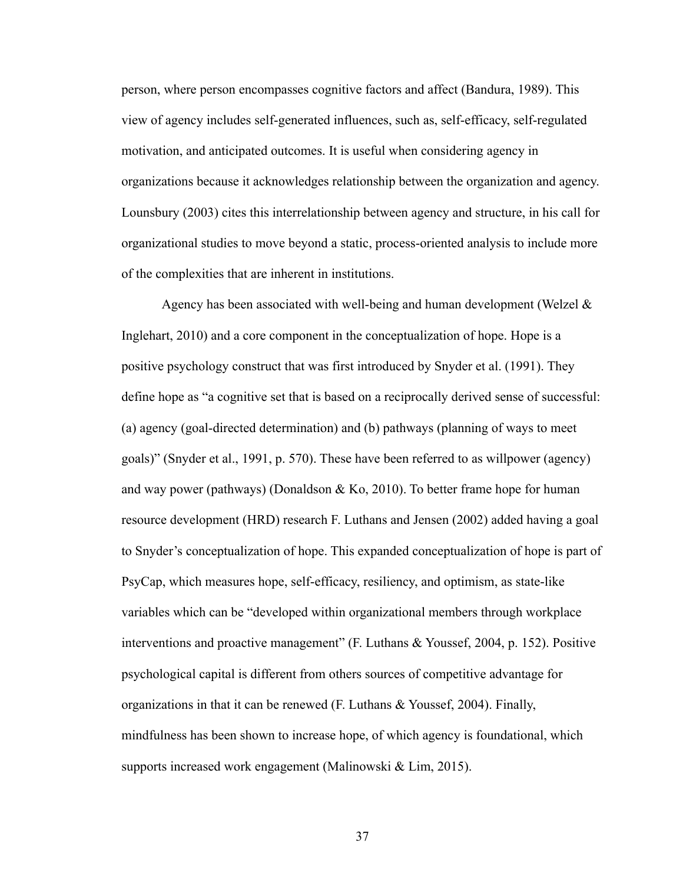person, where person encompasses cognitive factors and affect (Bandura, 1989). This view of agency includes self-generated influences, such as, self-efficacy, self-regulated motivation, and anticipated outcomes. It is useful when considering agency in organizations because it acknowledges relationship between the organization and agency. Lounsbury (2003) cites this interrelationship between agency and structure, in his call for organizational studies to move beyond a static, process-oriented analysis to include more of the complexities that are inherent in institutions.

Agency has been associated with well-being and human development (Welzel  $\&$ Inglehart, 2010) and a core component in the conceptualization of hope. Hope is a positive psychology construct that was first introduced by Snyder et al. (1991). They define hope as "a cognitive set that is based on a reciprocally derived sense of successful: (a) agency (goal-directed determination) and (b) pathways (planning of ways to meet goals)" (Snyder et al., 1991, p. 570). These have been referred to as willpower (agency) and way power (pathways) (Donaldson & Ko, 2010). To better frame hope for human resource development (HRD) research F. Luthans and Jensen (2002) added having a goal to Snyder's conceptualization of hope. This expanded conceptualization of hope is part of PsyCap, which measures hope, self-efficacy, resiliency, and optimism, as state-like variables which can be "developed within organizational members through workplace interventions and proactive management" (F. Luthans & Youssef, 2004, p. 152). Positive psychological capital is different from others sources of competitive advantage for organizations in that it can be renewed (F. Luthans & Youssef, 2004). Finally, mindfulness has been shown to increase hope, of which agency is foundational, which supports increased work engagement (Malinowski & Lim, 2015).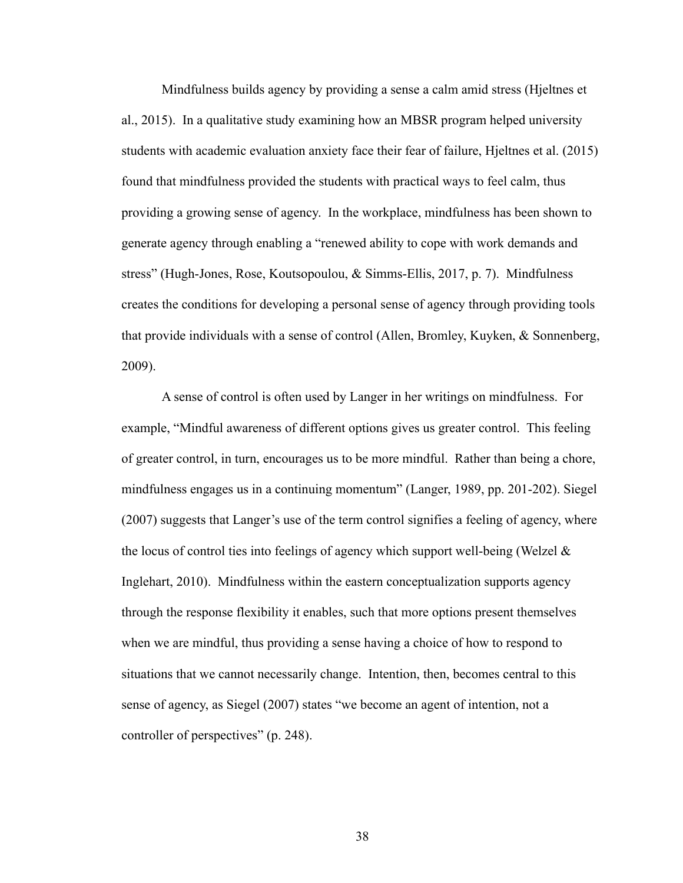Mindfulness builds agency by providing a sense a calm amid stress (Hjeltnes et al., 2015). In a qualitative study examining how an MBSR program helped university students with academic evaluation anxiety face their fear of failure, Hjeltnes et al. (2015) found that mindfulness provided the students with practical ways to feel calm, thus providing a growing sense of agency. In the workplace, mindfulness has been shown to generate agency through enabling a "renewed ability to cope with work demands and stress" (Hugh-Jones, Rose, Koutsopoulou, & Simms-Ellis, 2017, p. 7). Mindfulness creates the conditions for developing a personal sense of agency through providing tools that provide individuals with a sense of control (Allen, Bromley, Kuyken, & Sonnenberg, 2009).

A sense of control is often used by Langer in her writings on mindfulness. For example, "Mindful awareness of different options gives us greater control. This feeling of greater control, in turn, encourages us to be more mindful. Rather than being a chore, mindfulness engages us in a continuing momentum" (Langer, 1989, pp. 201-202). Siegel (2007) suggests that Langer's use of the term control signifies a feeling of agency, where the locus of control ties into feelings of agency which support well-being (Welzel  $\&$ Inglehart, 2010). Mindfulness within the eastern conceptualization supports agency through the response flexibility it enables, such that more options present themselves when we are mindful, thus providing a sense having a choice of how to respond to situations that we cannot necessarily change. Intention, then, becomes central to this sense of agency, as Siegel (2007) states "we become an agent of intention, not a controller of perspectives" (p. 248).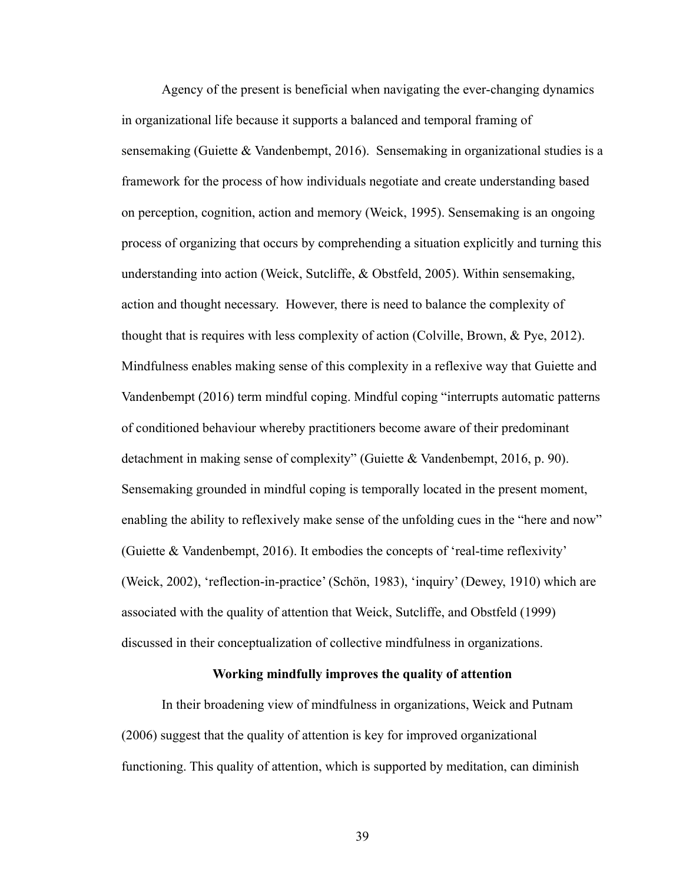Agency of the present is beneficial when navigating the ever-changing dynamics in organizational life because it supports a balanced and temporal framing of sensemaking (Guiette & Vandenbempt, 2016). Sensemaking in organizational studies is a framework for the process of how individuals negotiate and create understanding based on perception, cognition, action and memory (Weick, 1995). Sensemaking is an ongoing process of organizing that occurs by comprehending a situation explicitly and turning this understanding into action (Weick, Sutcliffe, & Obstfeld, 2005). Within sensemaking, action and thought necessary. However, there is need to balance the complexity of thought that is requires with less complexity of action (Colville, Brown, & Pye, 2012). Mindfulness enables making sense of this complexity in a reflexive way that Guiette and Vandenbempt (2016) term mindful coping. Mindful coping "interrupts automatic patterns of conditioned behaviour whereby practitioners become aware of their predominant detachment in making sense of complexity" (Guiette & Vandenbempt, 2016, p. 90). Sensemaking grounded in mindful coping is temporally located in the present moment, enabling the ability to reflexively make sense of the unfolding cues in the "here and now" (Guiette & Vandenbempt, 2016). It embodies the concepts of 'real-time reflexivity' (Weick, 2002), 'reflection-in-practice' (Schön, 1983), 'inquiry' (Dewey, 1910) which are associated with the quality of attention that Weick, Sutcliffe, and Obstfeld (1999) discussed in their conceptualization of collective mindfulness in organizations.

## **Working mindfully improves the quality of attention**

In their broadening view of mindfulness in organizations, Weick and Putnam (2006) suggest that the quality of attention is key for improved organizational functioning. This quality of attention, which is supported by meditation, can diminish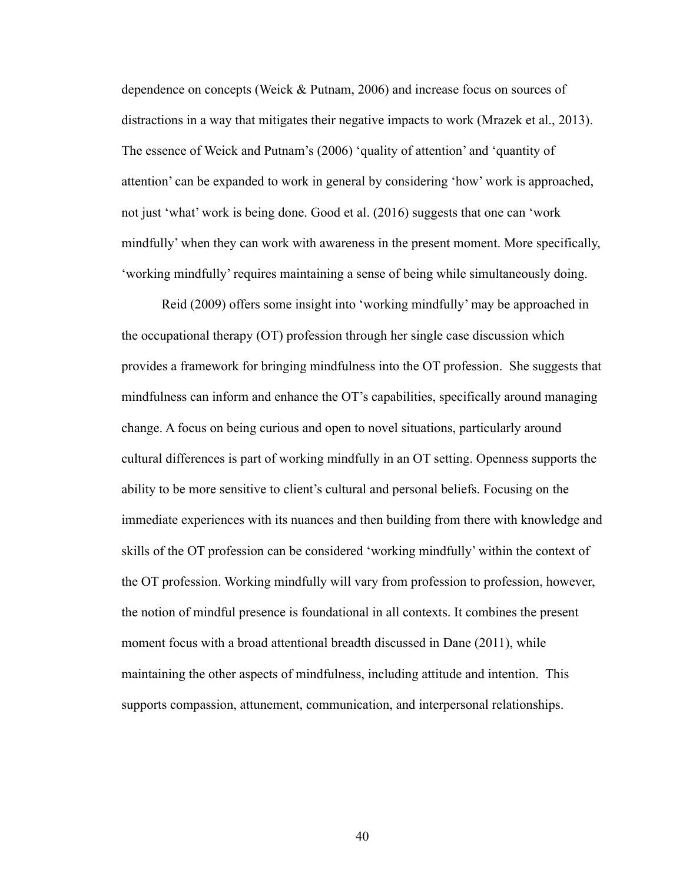dependence on concepts (Weick & Putnam, 2006) and increase focus on sources of distractions in a way that mitigates their negative impacts to work (Mrazek et al., 2013). The essence of Weick and Putnam's (2006) 'quality of attention' and 'quantity of attention' can be expanded to work in general by considering 'how' work is approached, not just 'what' work is being done. Good et al. (2016) suggests that one can 'work mindfully' when they can work with awareness in the present moment. More specifically, 'working mindfully' requires maintaining a sense of being while simultaneously doing.

Reid (2009) offers some insight into 'working mindfully' may be approached in the occupational therapy (OT) profession through her single case discussion which provides a framework for bringing mindfulness into the OT profession. She suggests that mindfulness can inform and enhance the OT's capabilities, specifically around managing change. A focus on being curious and open to novel situations, particularly around cultural differences is part of working mindfully in an OT setting. Openness supports the ability to be more sensitive to client's cultural and personal beliefs. Focusing on the immediate experiences with its nuances and then building from there with knowledge and skills of the OT profession can be considered 'working mindfully' within the context of the OT profession. Working mindfully will vary from profession to profession, however, the notion of mindful presence is foundational in all contexts. It combines the present moment focus with a broad attentional breadth discussed in Dane (2011), while maintaining the other aspects of mindfulness, including attitude and intention. This supports compassion, attunement, communication, and interpersonal relationships.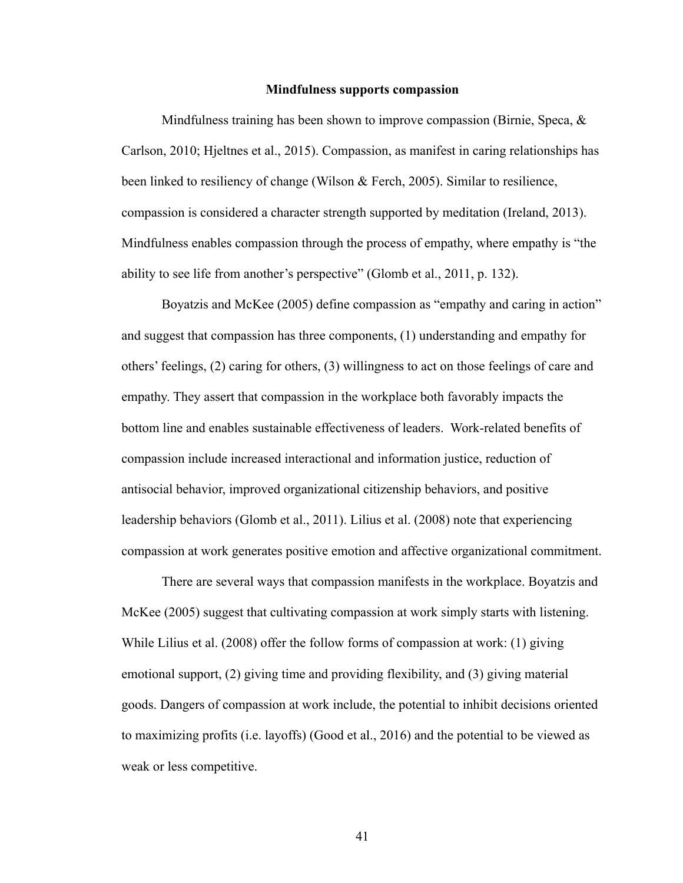#### **Mindfulness supports compassion**

Mindfulness training has been shown to improve compassion (Birnie, Speca,  $\&$ Carlson, 2010; Hjeltnes et al., 2015). Compassion, as manifest in caring relationships has been linked to resiliency of change (Wilson & Ferch, 2005). Similar to resilience, compassion is considered a character strength supported by meditation (Ireland, 2013). Mindfulness enables compassion through the process of empathy, where empathy is "the ability to see life from another's perspective" (Glomb et al., 2011, p. 132).

Boyatzis and McKee (2005) define compassion as "empathy and caring in action" and suggest that compassion has three components, (1) understanding and empathy for others' feelings, (2) caring for others, (3) willingness to act on those feelings of care and empathy. They assert that compassion in the workplace both favorably impacts the bottom line and enables sustainable effectiveness of leaders. Work-related benefits of compassion include increased interactional and information justice, reduction of antisocial behavior, improved organizational citizenship behaviors, and positive leadership behaviors (Glomb et al., 2011). Lilius et al. (2008) note that experiencing compassion at work generates positive emotion and affective organizational commitment.

There are several ways that compassion manifests in the workplace. Boyatzis and McKee (2005) suggest that cultivating compassion at work simply starts with listening. While Lilius et al. (2008) offer the follow forms of compassion at work: (1) giving emotional support, (2) giving time and providing flexibility, and (3) giving material goods. Dangers of compassion at work include, the potential to inhibit decisions oriented to maximizing profits (i.e. layoffs) (Good et al., 2016) and the potential to be viewed as weak or less competitive.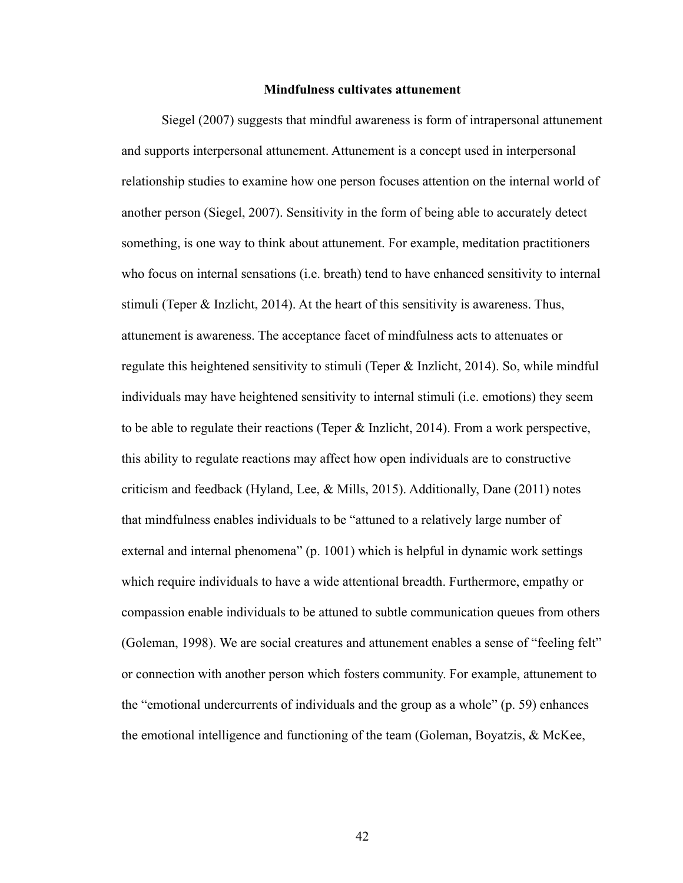#### **Mindfulness cultivates attunement**

Siegel (2007) suggests that mindful awareness is form of intrapersonal attunement and supports interpersonal attunement. Attunement is a concept used in interpersonal relationship studies to examine how one person focuses attention on the internal world of another person (Siegel, 2007). Sensitivity in the form of being able to accurately detect something, is one way to think about attunement. For example, meditation practitioners who focus on internal sensations (i.e. breath) tend to have enhanced sensitivity to internal stimuli (Teper  $\&$  Inzlicht, 2014). At the heart of this sensitivity is awareness. Thus, attunement is awareness. The acceptance facet of mindfulness acts to attenuates or regulate this heightened sensitivity to stimuli (Teper & Inzlicht, 2014). So, while mindful individuals may have heightened sensitivity to internal stimuli (i.e. emotions) they seem to be able to regulate their reactions (Teper & Inzlicht, 2014). From a work perspective, this ability to regulate reactions may affect how open individuals are to constructive criticism and feedback (Hyland, Lee, & Mills, 2015). Additionally, Dane (2011) notes that mindfulness enables individuals to be "attuned to a relatively large number of external and internal phenomena" (p. 1001) which is helpful in dynamic work settings which require individuals to have a wide attentional breadth. Furthermore, empathy or compassion enable individuals to be attuned to subtle communication queues from others (Goleman, 1998). We are social creatures and attunement enables a sense of "feeling felt" or connection with another person which fosters community. For example, attunement to the "emotional undercurrents of individuals and the group as a whole" (p. 59) enhances the emotional intelligence and functioning of the team (Goleman, Boyatzis, & McKee,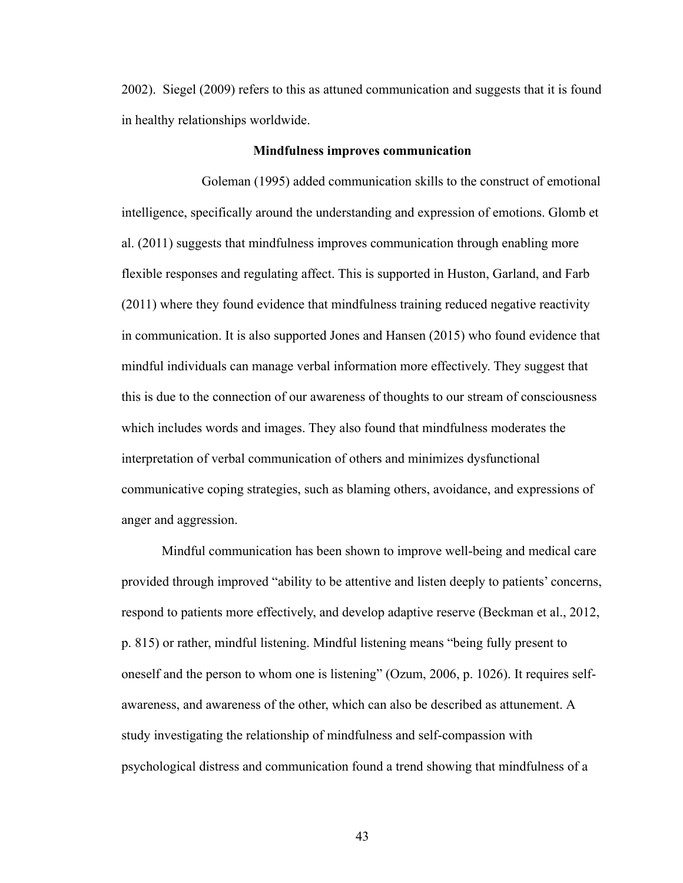2002). Siegel (2009) refers to this as attuned communication and suggests that it is found in healthy relationships worldwide.

#### **Mindfulness improves communication**

Goleman (1995) added communication skills to the construct of emotional intelligence, specifically around the understanding and expression of emotions. Glomb et al. (2011) suggests that mindfulness improves communication through enabling more flexible responses and regulating affect. This is supported in Huston, Garland, and Farb (2011) where they found evidence that mindfulness training reduced negative reactivity in communication. It is also supported Jones and Hansen (2015) who found evidence that mindful individuals can manage verbal information more effectively. They suggest that this is due to the connection of our awareness of thoughts to our stream of consciousness which includes words and images. They also found that mindfulness moderates the interpretation of verbal communication of others and minimizes dysfunctional communicative coping strategies, such as blaming others, avoidance, and expressions of anger and aggression.

Mindful communication has been shown to improve well-being and medical care provided through improved "ability to be attentive and listen deeply to patients' concerns, respond to patients more effectively, and develop adaptive reserve (Beckman et al., 2012, p. 815) or rather, mindful listening. Mindful listening means "being fully present to oneself and the person to whom one is listening" (Ozum, 2006, p. 1026). It requires selfawareness, and awareness of the other, which can also be described as attunement. A study investigating the relationship of mindfulness and self-compassion with psychological distress and communication found a trend showing that mindfulness of a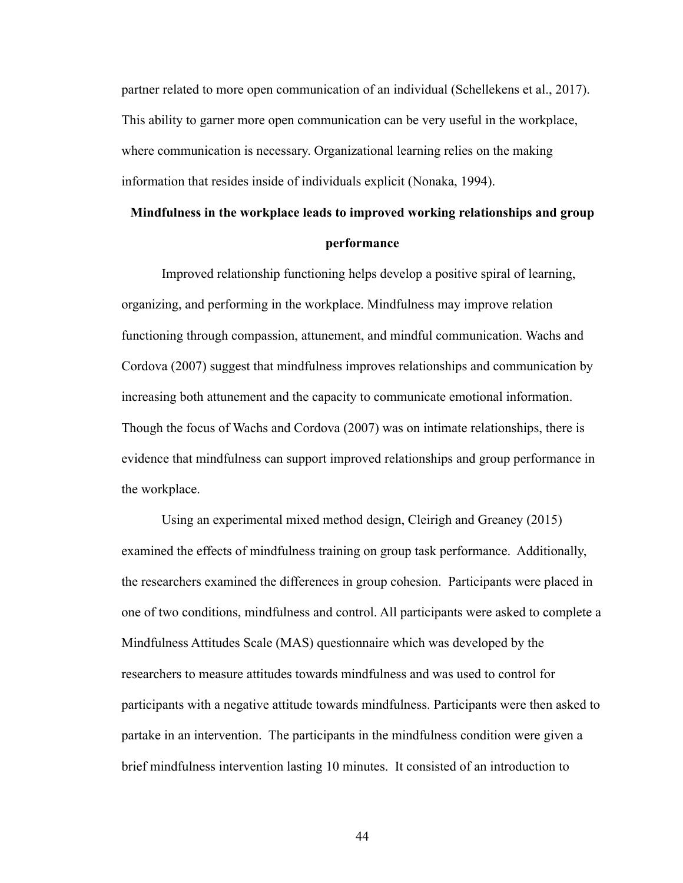partner related to more open communication of an individual (Schellekens et al., 2017). This ability to garner more open communication can be very useful in the workplace, where communication is necessary. Organizational learning relies on the making information that resides inside of individuals explicit (Nonaka, 1994).

# **Mindfulness in the workplace leads to improved working relationships and group performance**

Improved relationship functioning helps develop a positive spiral of learning, organizing, and performing in the workplace. Mindfulness may improve relation functioning through compassion, attunement, and mindful communication. Wachs and Cordova (2007) suggest that mindfulness improves relationships and communication by increasing both attunement and the capacity to communicate emotional information. Though the focus of Wachs and Cordova (2007) was on intimate relationships, there is evidence that mindfulness can support improved relationships and group performance in the workplace.

Using an experimental mixed method design, Cleirigh and Greaney (2015) examined the effects of mindfulness training on group task performance. Additionally, the researchers examined the differences in group cohesion. Participants were placed in one of two conditions, mindfulness and control. All participants were asked to complete a Mindfulness Attitudes Scale (MAS) questionnaire which was developed by the researchers to measure attitudes towards mindfulness and was used to control for participants with a negative attitude towards mindfulness. Participants were then asked to partake in an intervention. The participants in the mindfulness condition were given a brief mindfulness intervention lasting 10 minutes. It consisted of an introduction to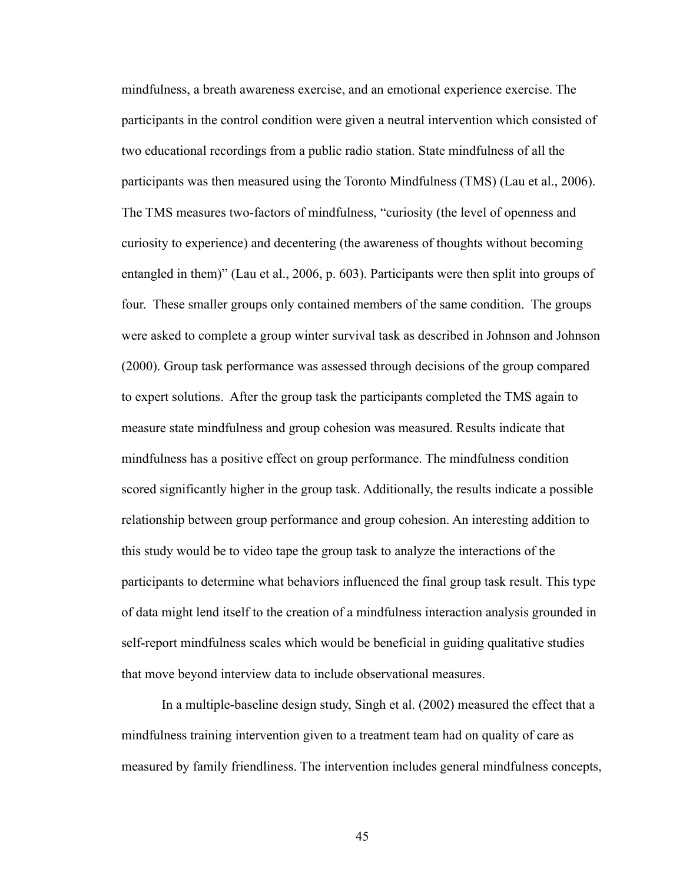mindfulness, a breath awareness exercise, and an emotional experience exercise. The participants in the control condition were given a neutral intervention which consisted of two educational recordings from a public radio station. State mindfulness of all the participants was then measured using the Toronto Mindfulness (TMS) (Lau et al., 2006). The TMS measures two-factors of mindfulness, "curiosity (the level of openness and curiosity to experience) and decentering (the awareness of thoughts without becoming entangled in them)" (Lau et al., 2006, p. 603). Participants were then split into groups of four. These smaller groups only contained members of the same condition. The groups were asked to complete a group winter survival task as described in Johnson and Johnson (2000). Group task performance was assessed through decisions of the group compared to expert solutions. After the group task the participants completed the TMS again to measure state mindfulness and group cohesion was measured. Results indicate that mindfulness has a positive effect on group performance. The mindfulness condition scored significantly higher in the group task. Additionally, the results indicate a possible relationship between group performance and group cohesion. An interesting addition to this study would be to video tape the group task to analyze the interactions of the participants to determine what behaviors influenced the final group task result. This type of data might lend itself to the creation of a mindfulness interaction analysis grounded in self-report mindfulness scales which would be beneficial in guiding qualitative studies that move beyond interview data to include observational measures.

In a multiple-baseline design study, Singh et al. (2002) measured the effect that a mindfulness training intervention given to a treatment team had on quality of care as measured by family friendliness. The intervention includes general mindfulness concepts,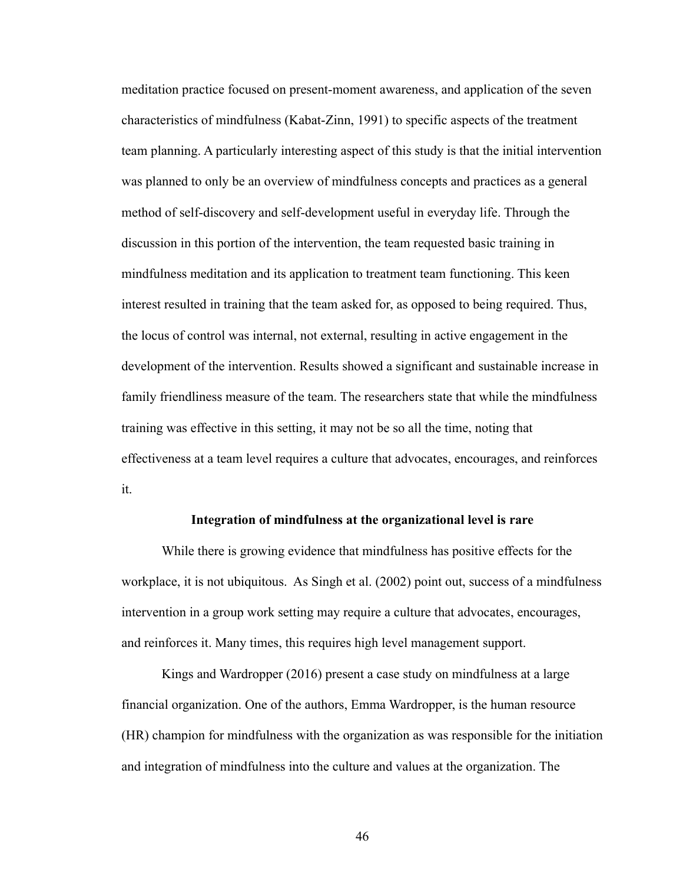meditation practice focused on present-moment awareness, and application of the seven characteristics of mindfulness (Kabat-Zinn, 1991) to specific aspects of the treatment team planning. A particularly interesting aspect of this study is that the initial intervention was planned to only be an overview of mindfulness concepts and practices as a general method of self-discovery and self-development useful in everyday life. Through the discussion in this portion of the intervention, the team requested basic training in mindfulness meditation and its application to treatment team functioning. This keen interest resulted in training that the team asked for, as opposed to being required. Thus, the locus of control was internal, not external, resulting in active engagement in the development of the intervention. Results showed a significant and sustainable increase in family friendliness measure of the team. The researchers state that while the mindfulness training was effective in this setting, it may not be so all the time, noting that effectiveness at a team level requires a culture that advocates, encourages, and reinforces it.

#### **Integration of mindfulness at the organizational level is rare**

While there is growing evidence that mindfulness has positive effects for the workplace, it is not ubiquitous. As Singh et al. (2002) point out, success of a mindfulness intervention in a group work setting may require a culture that advocates, encourages, and reinforces it. Many times, this requires high level management support.

Kings and Wardropper (2016) present a case study on mindfulness at a large financial organization. One of the authors, Emma Wardropper, is the human resource (HR) champion for mindfulness with the organization as was responsible for the initiation and integration of mindfulness into the culture and values at the organization. The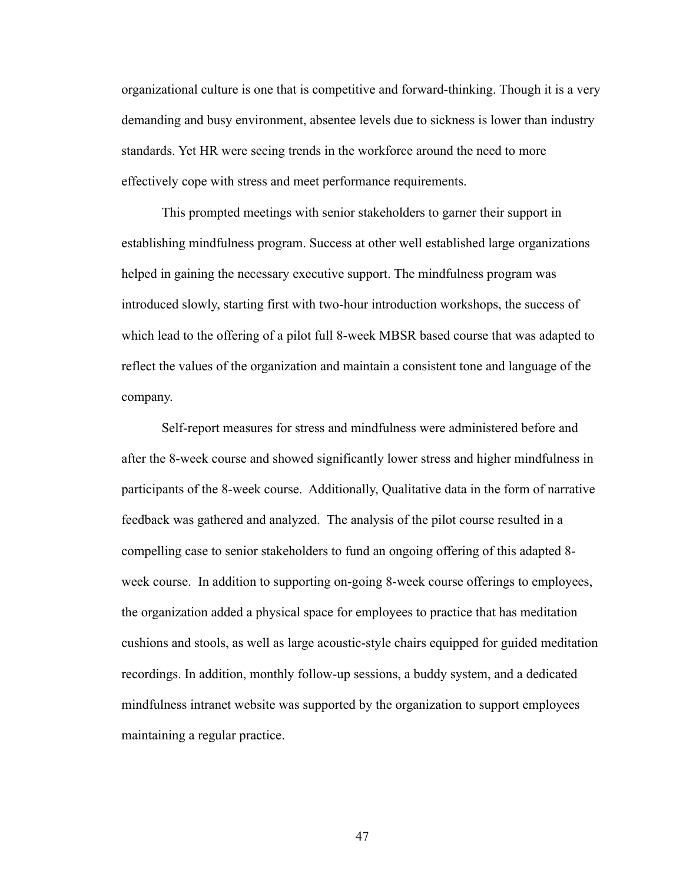organizational culture is one that is competitive and forward-thinking. Though it is a very demanding and busy environment, absentee levels due to sickness is lower than industry standards. Yet HR were seeing trends in the workforce around the need to more effectively cope with stress and meet performance requirements.

This prompted meetings with senior stakeholders to garner their support in establishing mindfulness program. Success at other well established large organizations helped in gaining the necessary executive support. The mindfulness program was introduced slowly, starting first with two-hour introduction workshops, the success of which lead to the offering of a pilot full 8-week MBSR based course that was adapted to reflect the values of the organization and maintain a consistent tone and language of the company.

Self-report measures for stress and mindfulness were administered before and after the 8-week course and showed significantly lower stress and higher mindfulness in participants of the 8-week course. Additionally, Qualitative data in the form of narrative feedback was gathered and analyzed. The analysis of the pilot course resulted in a compelling case to senior stakeholders to fund an ongoing offering of this adapted 8 week course. In addition to supporting on-going 8-week course offerings to employees, the organization added a physical space for employees to practice that has meditation cushions and stools, as well as large acoustic-style chairs equipped for guided meditation recordings. In addition, monthly follow-up sessions, a buddy system, and a dedicated mindfulness intranet website was supported by the organization to support employees maintaining a regular practice.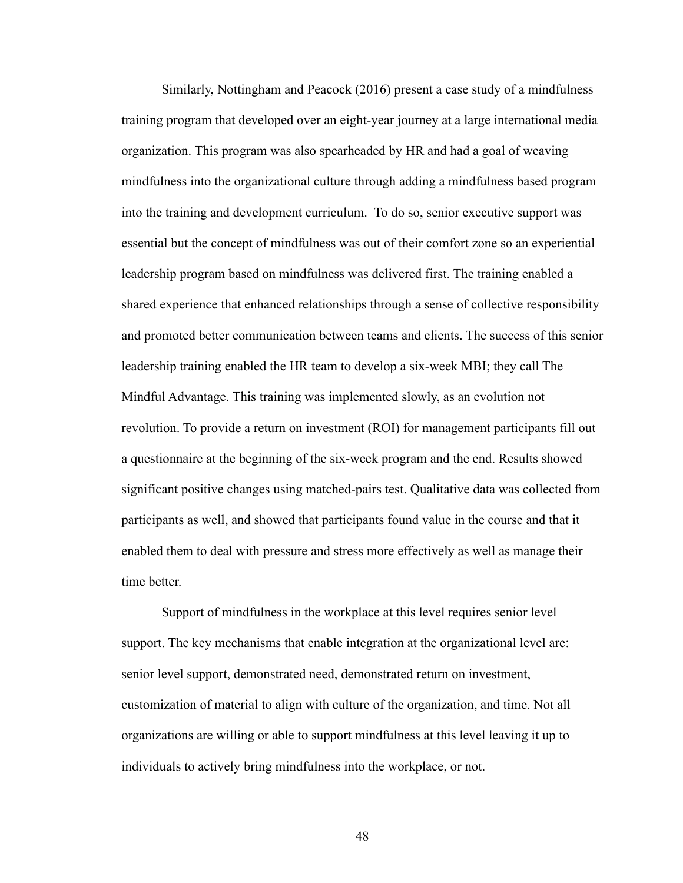Similarly, Nottingham and Peacock (2016) present a case study of a mindfulness training program that developed over an eight-year journey at a large international media organization. This program was also spearheaded by HR and had a goal of weaving mindfulness into the organizational culture through adding a mindfulness based program into the training and development curriculum. To do so, senior executive support was essential but the concept of mindfulness was out of their comfort zone so an experiential leadership program based on mindfulness was delivered first. The training enabled a shared experience that enhanced relationships through a sense of collective responsibility and promoted better communication between teams and clients. The success of this senior leadership training enabled the HR team to develop a six-week MBI; they call The Mindful Advantage. This training was implemented slowly, as an evolution not revolution. To provide a return on investment (ROI) for management participants fill out a questionnaire at the beginning of the six-week program and the end. Results showed significant positive changes using matched-pairs test. Qualitative data was collected from participants as well, and showed that participants found value in the course and that it enabled them to deal with pressure and stress more effectively as well as manage their time better.

Support of mindfulness in the workplace at this level requires senior level support. The key mechanisms that enable integration at the organizational level are: senior level support, demonstrated need, demonstrated return on investment, customization of material to align with culture of the organization, and time. Not all organizations are willing or able to support mindfulness at this level leaving it up to individuals to actively bring mindfulness into the workplace, or not.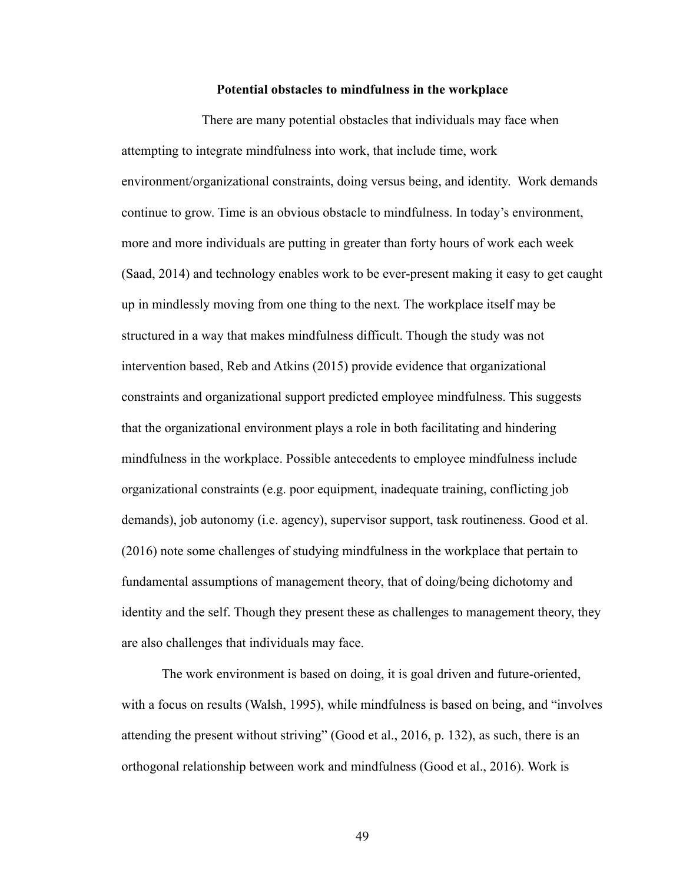#### **Potential obstacles to mindfulness in the workplace**

There are many potential obstacles that individuals may face when attempting to integrate mindfulness into work, that include time, work environment/organizational constraints, doing versus being, and identity. Work demands continue to grow. Time is an obvious obstacle to mindfulness. In today's environment, more and more individuals are putting in greater than forty hours of work each week (Saad, 2014) and technology enables work to be ever-present making it easy to get caught up in mindlessly moving from one thing to the next. The workplace itself may be structured in a way that makes mindfulness difficult. Though the study was not intervention based, Reb and Atkins (2015) provide evidence that organizational constraints and organizational support predicted employee mindfulness. This suggests that the organizational environment plays a role in both facilitating and hindering mindfulness in the workplace. Possible antecedents to employee mindfulness include organizational constraints (e.g. poor equipment, inadequate training, conflicting job demands), job autonomy (i.e. agency), supervisor support, task routineness. Good et al. (2016) note some challenges of studying mindfulness in the workplace that pertain to fundamental assumptions of management theory, that of doing/being dichotomy and identity and the self. Though they present these as challenges to management theory, they are also challenges that individuals may face.

The work environment is based on doing, it is goal driven and future-oriented, with a focus on results (Walsh, 1995), while mindfulness is based on being, and "involves" attending the present without striving" (Good et al., 2016, p. 132), as such, there is an orthogonal relationship between work and mindfulness (Good et al., 2016). Work is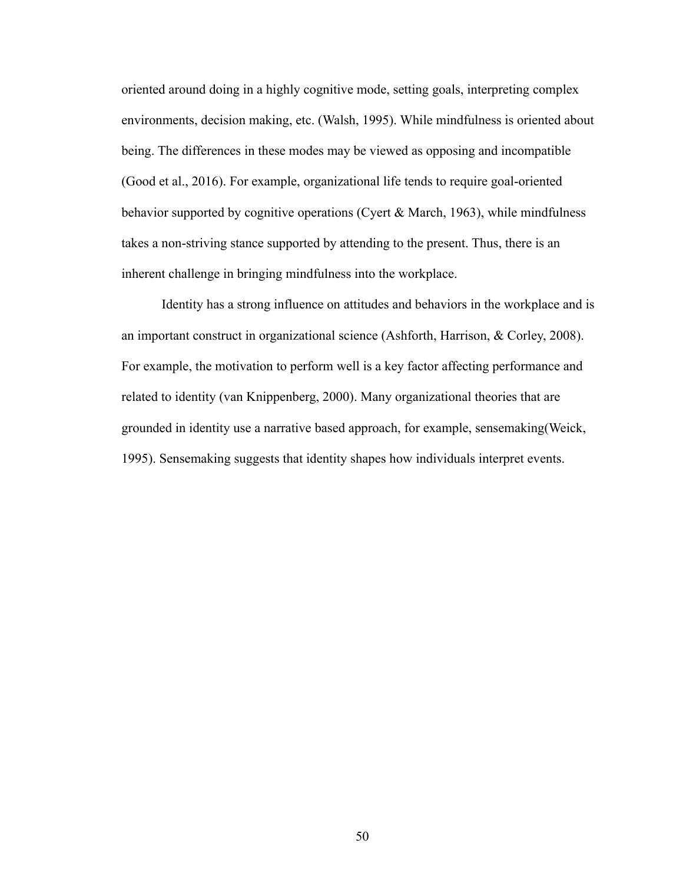oriented around doing in a highly cognitive mode, setting goals, interpreting complex environments, decision making, etc. (Walsh, 1995). While mindfulness is oriented about being. The differences in these modes may be viewed as opposing and incompatible (Good et al., 2016). For example, organizational life tends to require goal-oriented behavior supported by cognitive operations (Cyert & March, 1963), while mindfulness takes a non-striving stance supported by attending to the present. Thus, there is an inherent challenge in bringing mindfulness into the workplace.

Identity has a strong influence on attitudes and behaviors in the workplace and is an important construct in organizational science (Ashforth, Harrison, & Corley, 2008). For example, the motivation to perform well is a key factor affecting performance and related to identity (van Knippenberg, 2000). Many organizational theories that are grounded in identity use a narrative based approach, for example, sensemaking(Weick, 1995). Sensemaking suggests that identity shapes how individuals interpret events.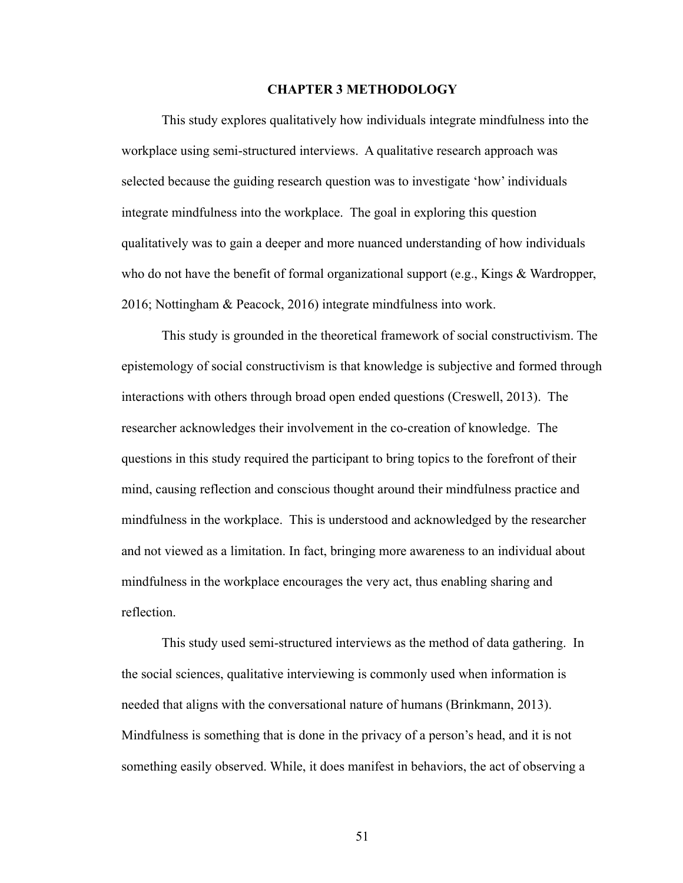#### **CHAPTER 3 METHODOLOGY**

This study explores qualitatively how individuals integrate mindfulness into the workplace using semi-structured interviews. A qualitative research approach was selected because the guiding research question was to investigate 'how' individuals integrate mindfulness into the workplace. The goal in exploring this question qualitatively was to gain a deeper and more nuanced understanding of how individuals who do not have the benefit of formal organizational support (e.g., Kings & Wardropper, 2016; Nottingham & Peacock, 2016) integrate mindfulness into work.

This study is grounded in the theoretical framework of social constructivism. The epistemology of social constructivism is that knowledge is subjective and formed through interactions with others through broad open ended questions (Creswell, 2013). The researcher acknowledges their involvement in the co-creation of knowledge. The questions in this study required the participant to bring topics to the forefront of their mind, causing reflection and conscious thought around their mindfulness practice and mindfulness in the workplace. This is understood and acknowledged by the researcher and not viewed as a limitation. In fact, bringing more awareness to an individual about mindfulness in the workplace encourages the very act, thus enabling sharing and reflection.

This study used semi-structured interviews as the method of data gathering. In the social sciences, qualitative interviewing is commonly used when information is needed that aligns with the conversational nature of humans (Brinkmann, 2013). Mindfulness is something that is done in the privacy of a person's head, and it is not something easily observed. While, it does manifest in behaviors, the act of observing a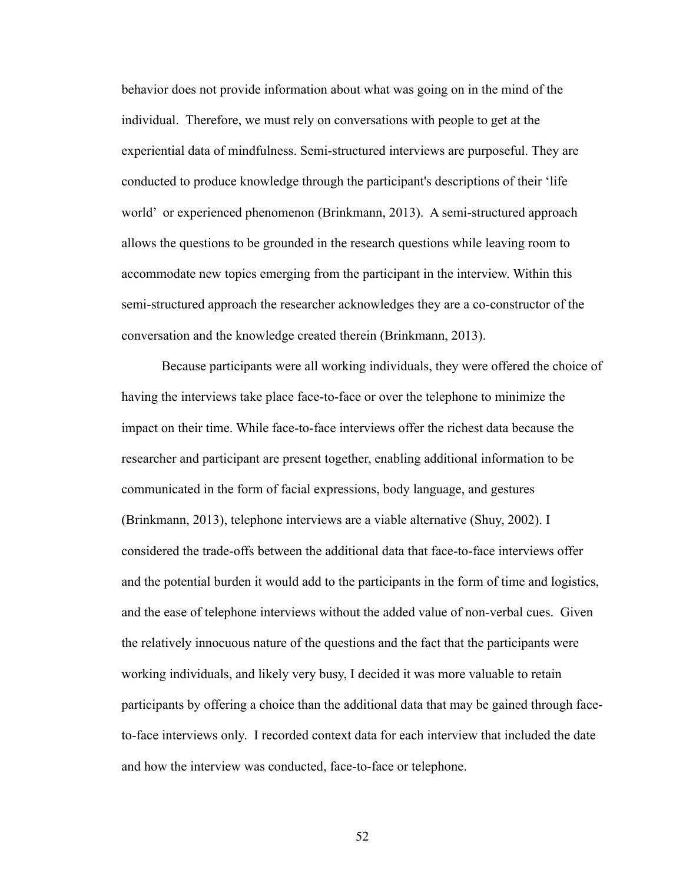behavior does not provide information about what was going on in the mind of the individual. Therefore, we must rely on conversations with people to get at the experiential data of mindfulness. Semi-structured interviews are purposeful. They are conducted to produce knowledge through the participant's descriptions of their 'life world' or experienced phenomenon (Brinkmann, 2013). A semi-structured approach allows the questions to be grounded in the research questions while leaving room to accommodate new topics emerging from the participant in the interview. Within this semi-structured approach the researcher acknowledges they are a co-constructor of the conversation and the knowledge created therein (Brinkmann, 2013).

Because participants were all working individuals, they were offered the choice of having the interviews take place face-to-face or over the telephone to minimize the impact on their time. While face-to-face interviews offer the richest data because the researcher and participant are present together, enabling additional information to be communicated in the form of facial expressions, body language, and gestures (Brinkmann, 2013), telephone interviews are a viable alternative (Shuy, 2002). I considered the trade-offs between the additional data that face-to-face interviews offer and the potential burden it would add to the participants in the form of time and logistics, and the ease of telephone interviews without the added value of non-verbal cues. Given the relatively innocuous nature of the questions and the fact that the participants were working individuals, and likely very busy, I decided it was more valuable to retain participants by offering a choice than the additional data that may be gained through faceto-face interviews only. I recorded context data for each interview that included the date and how the interview was conducted, face-to-face or telephone.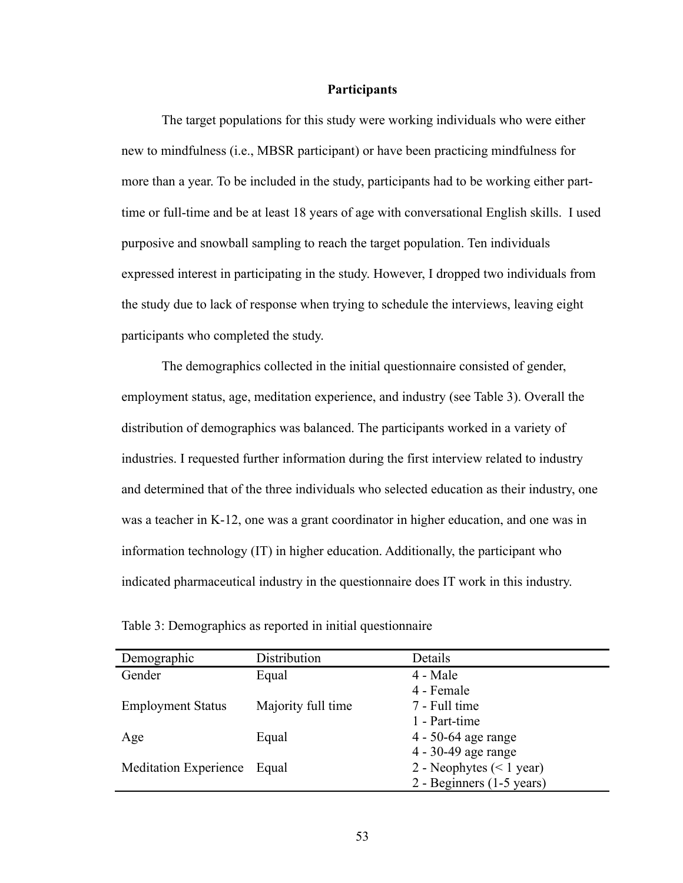#### **Participants**

The target populations for this study were working individuals who were either new to mindfulness (i.e., MBSR participant) or have been practicing mindfulness for more than a year. To be included in the study, participants had to be working either parttime or full-time and be at least 18 years of age with conversational English skills. I used purposive and snowball sampling to reach the target population. Ten individuals expressed interest in participating in the study. However, I dropped two individuals from the study due to lack of response when trying to schedule the interviews, leaving eight participants who completed the study.

The demographics collected in the initial questionnaire consisted of gender, employment status, age, meditation experience, and industry (see Table 3). Overall the distribution of demographics was balanced. The participants worked in a variety of industries. I requested further information during the first interview related to industry and determined that of the three individuals who selected education as their industry, one was a teacher in K-12, one was a grant coordinator in higher education, and one was in information technology (IT) in higher education. Additionally, the participant who indicated pharmaceutical industry in the questionnaire does IT work in this industry.

| Table 3: Demographics as reported in initial questionnaire |  |  |  |
|------------------------------------------------------------|--|--|--|
|                                                            |  |  |  |

| Demographic                  | Distribution       | Details                    |
|------------------------------|--------------------|----------------------------|
| Gender                       | Equal              | 4 - Male                   |
|                              |                    | 4 - Female                 |
| <b>Employment Status</b>     | Majority full time | 7 - Full time              |
|                              |                    | 1 - Part-time              |
| Age                          | Equal              | 4 - 50-64 age range        |
|                              |                    | 4 - 30-49 age range        |
| <b>Meditation Experience</b> | Equal              | 2 - Neophytes $(< 1$ year) |
|                              |                    | 2 - Beginners (1-5 years)  |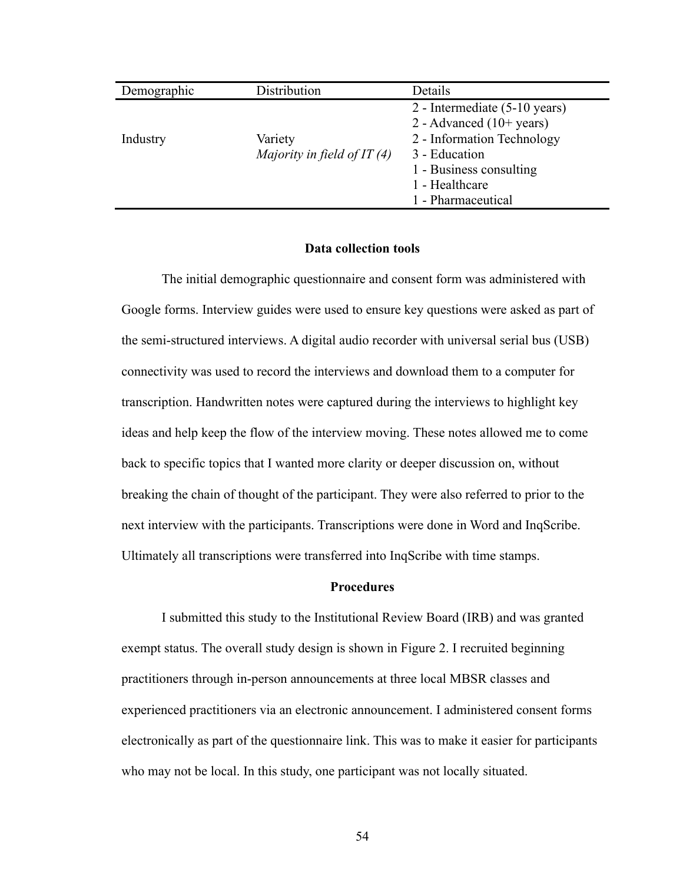| Demographic | Distribution                             | Details                                                                                                                                                                        |
|-------------|------------------------------------------|--------------------------------------------------------------------------------------------------------------------------------------------------------------------------------|
| Industry    | Variety<br>Majority in field of IT $(4)$ | 2 - Intermediate (5-10 years)<br>2 - Advanced $(10+)$ years)<br>2 - Information Technology<br>3 - Education<br>1 - Business consulting<br>1 - Healthcare<br>1 - Pharmaceutical |

#### **Data collection tools**

The initial demographic questionnaire and consent form was administered with Google forms. Interview guides were used to ensure key questions were asked as part of the semi-structured interviews. A digital audio recorder with universal serial bus (USB) connectivity was used to record the interviews and download them to a computer for transcription. Handwritten notes were captured during the interviews to highlight key ideas and help keep the flow of the interview moving. These notes allowed me to come back to specific topics that I wanted more clarity or deeper discussion on, without breaking the chain of thought of the participant. They were also referred to prior to the next interview with the participants. Transcriptions were done in Word and InqScribe. Ultimately all transcriptions were transferred into InqScribe with time stamps.

#### **Procedures**

I submitted this study to the Institutional Review Board (IRB) and was granted exempt status. The overall study design is shown in Figure 2. I recruited beginning practitioners through in-person announcements at three local MBSR classes and experienced practitioners via an electronic announcement. I administered consent forms electronically as part of the questionnaire link. This was to make it easier for participants who may not be local. In this study, one participant was not locally situated.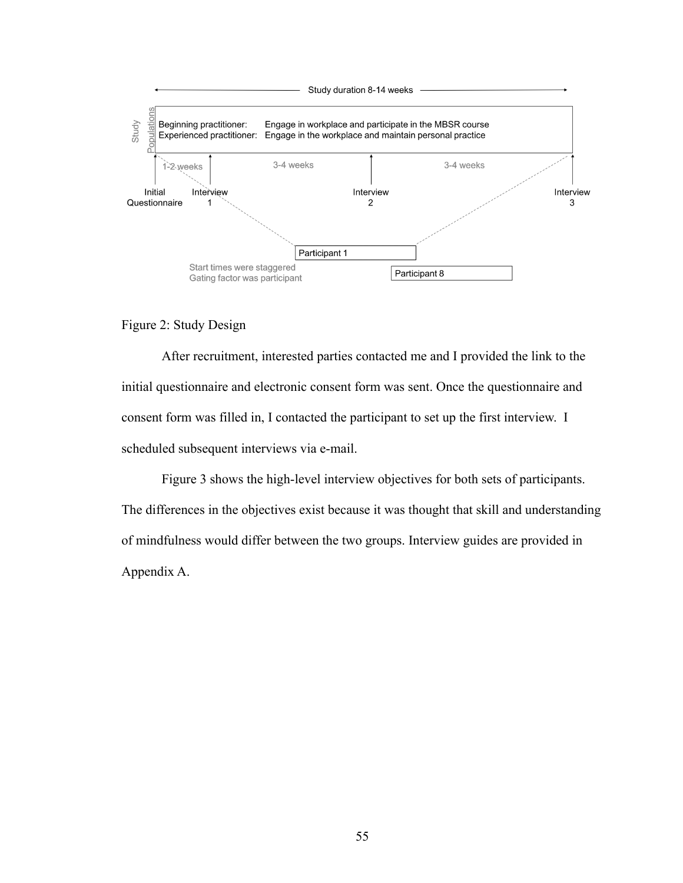

## Figure 2: Study Design

After recruitment, interested parties contacted me and I provided the link to the initial questionnaire and electronic consent form was sent. Once the questionnaire and consent form was filled in, I contacted the participant to set up the first interview. I scheduled subsequent interviews via e-mail.

Figure 3 shows the high-level interview objectives for both sets of participants. The differences in the objectives exist because it was thought that skill and understanding of mindfulness would differ between the two groups. Interview guides are provided in Appendix A.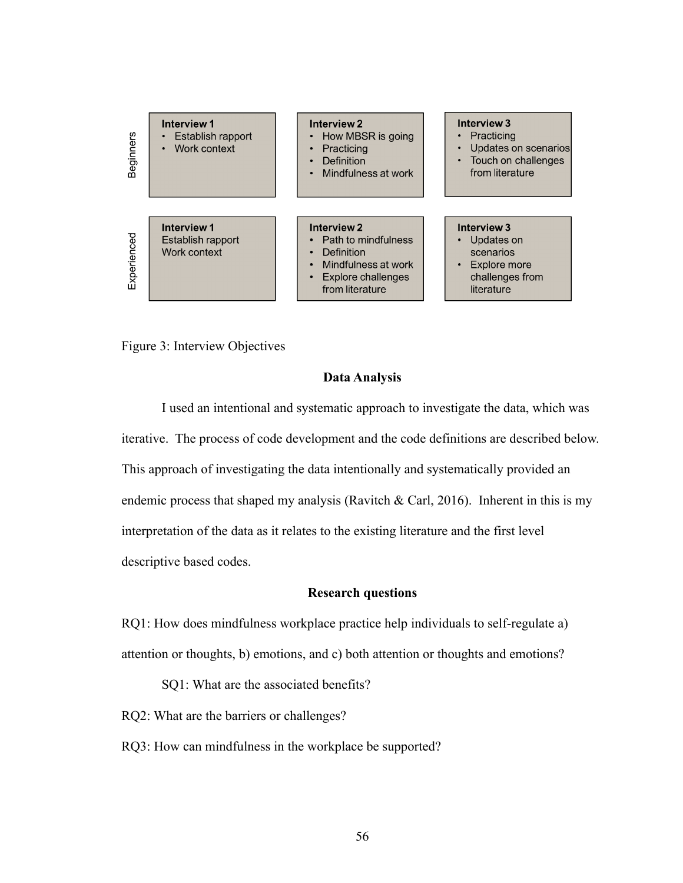

Figure 3: Interview Objectives

## **Data Analysis**

I used an intentional and systematic approach to investigate the data, which was iterative. The process of code development and the code definitions are described below. This approach of investigating the data intentionally and systematically provided an endemic process that shaped my analysis (Ravitch  $\&$  Carl, 2016). Inherent in this is my interpretation of the data as it relates to the existing literature and the first level descriptive based codes.

## **Research questions**

RQ1: How does mindfulness workplace practice help individuals to self-regulate a) attention or thoughts, b) emotions, and c) both attention or thoughts and emotions?

SQ1: What are the associated benefits?

RQ2: What are the barriers or challenges?

RQ3: How can mindfulness in the workplace be supported?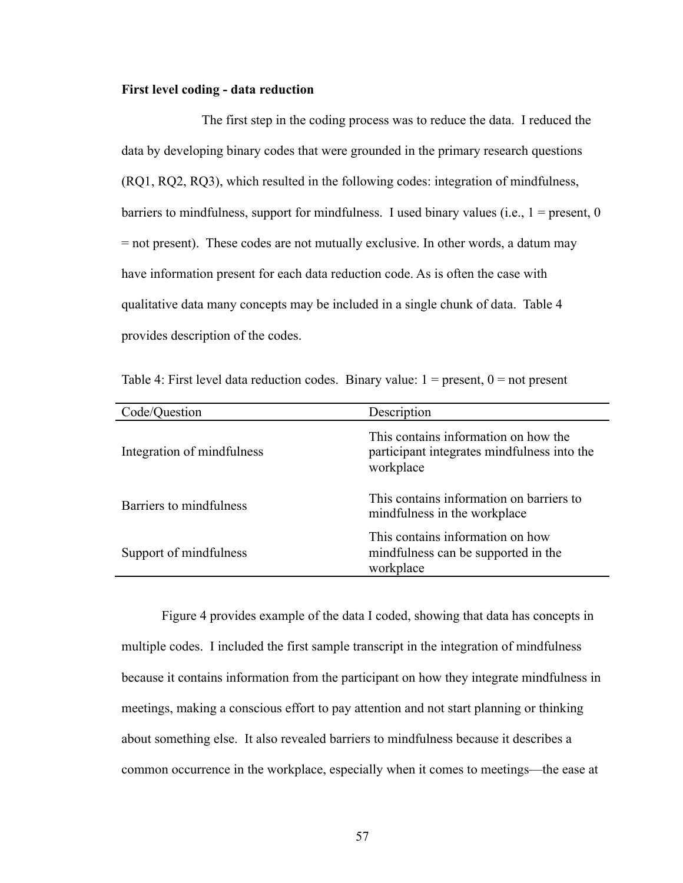#### **First level coding - data reduction**

The first step in the coding process was to reduce the data. I reduced the data by developing binary codes that were grounded in the primary research questions (RQ1, RQ2, RQ3), which resulted in the following codes: integration of mindfulness, barriers to mindfulness, support for mindfulness. I used binary values (i.e.,  $1 =$  present, 0 = not present). These codes are not mutually exclusive. In other words, a datum may have information present for each data reduction code. As is often the case with qualitative data many concepts may be included in a single chunk of data. Table 4 provides description of the codes.

Table 4: First level data reduction codes. Binary value:  $1 =$  present,  $0 =$  not present

| Code/Question              | Description                                                                                      |
|----------------------------|--------------------------------------------------------------------------------------------------|
| Integration of mindfulness | This contains information on how the<br>participant integrates mindfulness into the<br>workplace |
| Barriers to mindfulness    | This contains information on barriers to<br>mindfulness in the workplace                         |
| Support of mindfulness     | This contains information on how<br>mindfulness can be supported in the<br>workplace             |

Figure 4 provides example of the data I coded, showing that data has concepts in multiple codes. I included the first sample transcript in the integration of mindfulness because it contains information from the participant on how they integrate mindfulness in meetings, making a conscious effort to pay attention and not start planning or thinking about something else. It also revealed barriers to mindfulness because it describes a common occurrence in the workplace, especially when it comes to meetings—the ease at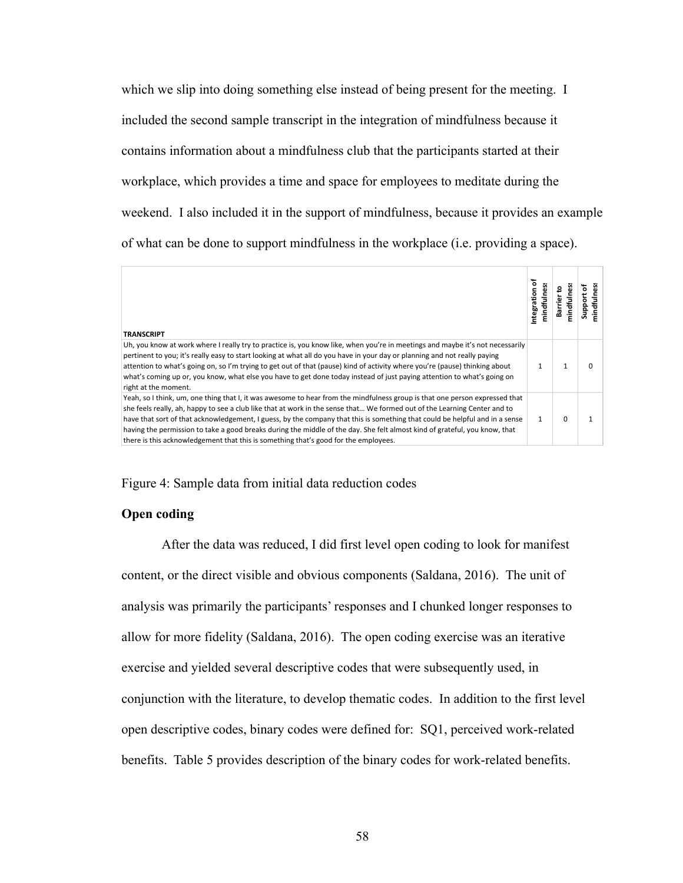which we slip into doing something else instead of being present for the meeting. I included the second sample transcript in the integration of mindfulness because it contains information about a mindfulness club that the participants started at their workplace, which provides a time and space for employees to meditate during the weekend. I also included it in the support of mindfulness, because it provides an example of what can be done to support mindfulness in the workplace (i.e. providing a space).

| <b>TRANSCRIPT</b>                                                                                                                                                                                                                                                                                                                                                                                                                                                                                                                                                                                            | ö<br>Integration<br>۔<br>E | 윤<br>৳<br>ā |
|--------------------------------------------------------------------------------------------------------------------------------------------------------------------------------------------------------------------------------------------------------------------------------------------------------------------------------------------------------------------------------------------------------------------------------------------------------------------------------------------------------------------------------------------------------------------------------------------------------------|----------------------------|-------------|
| Uh, you know at work where I really try to practice is, you know like, when you're in meetings and maybe it's not necessarily<br>pertinent to you; it's really easy to start looking at what all do you have in your day or planning and not really paying<br>attention to what's going on, so I'm trying to get out of that (pause) kind of activity where you're (pause) thinking about<br>what's coming up or, you know, what else you have to get done today instead of just paying attention to what's going on<br>right at the moment.                                                                 |                            |             |
| Yeah, so I think, um, one thing that I, it was awesome to hear from the mindfulness group is that one person expressed that<br>she feels really, ah, happy to see a club like that at work in the sense that We formed out of the Learning Center and to<br>have that sort of that acknowledgement, I guess, by the company that this is something that could be helpful and in a sense<br>having the permission to take a good breaks during the middle of the day. She felt almost kind of grateful, you know, that<br>there is this acknowledgement that this is something that's good for the employees. |                            |             |

Figure 4: Sample data from initial data reduction codes

#### **Open coding**

After the data was reduced, I did first level open coding to look for manifest content, or the direct visible and obvious components (Saldana, 2016). The unit of analysis was primarily the participants' responses and I chunked longer responses to allow for more fidelity (Saldana, 2016). The open coding exercise was an iterative exercise and yielded several descriptive codes that were subsequently used, in conjunction with the literature, to develop thematic codes. In addition to the first level open descriptive codes, binary codes were defined for: SQ1, perceived work-related benefits. Table 5 provides description of the binary codes for work-related benefits.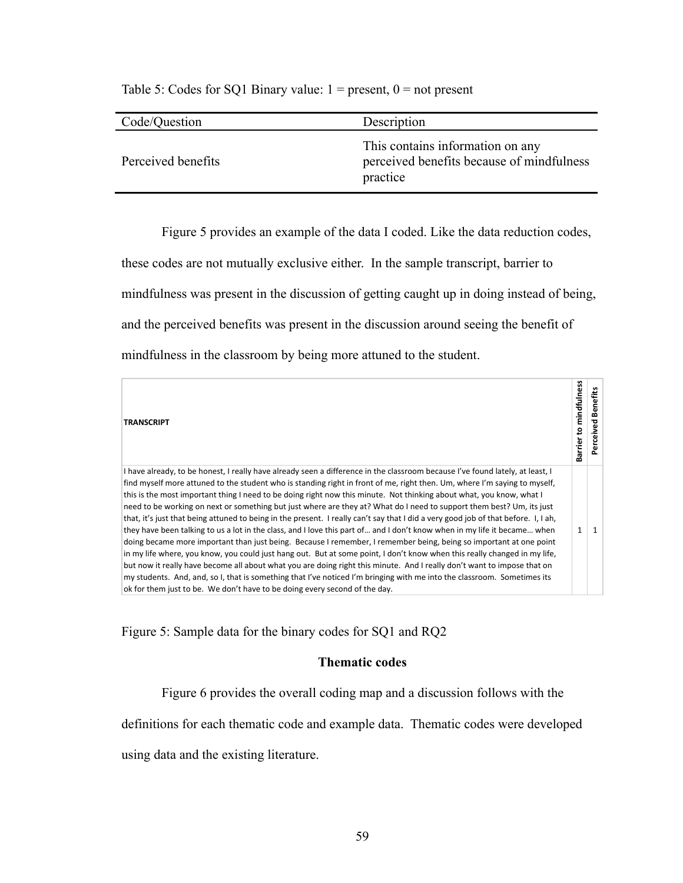| Code/Question      | Description                                                                               |
|--------------------|-------------------------------------------------------------------------------------------|
| Perceived benefits | This contains information on any<br>perceived benefits because of mindfulness<br>practice |

Table 5: Codes for SQ1 Binary value:  $1 =$  present,  $0 =$  not present

Figure 5 provides an example of the data I coded. Like the data reduction codes, these codes are not mutually exclusive either. In the sample transcript, barrier to mindfulness was present in the discussion of getting caught up in doing instead of being, and the perceived benefits was present in the discussion around seeing the benefit of mindfulness in the classroom by being more attuned to the student.

| <b>TRANSCRIPT</b>                                                                                                                                                                                                                                                                                                                                                                                                                                                                                                                                                                                                                                                                                                                                                                                                                                                                                                                                                                                                                                                                                                                                                                                                                                                                                                                                                    | mindfulness<br>ខ្<br>Barrier | Benefits<br>ᇃ<br>erceive |
|----------------------------------------------------------------------------------------------------------------------------------------------------------------------------------------------------------------------------------------------------------------------------------------------------------------------------------------------------------------------------------------------------------------------------------------------------------------------------------------------------------------------------------------------------------------------------------------------------------------------------------------------------------------------------------------------------------------------------------------------------------------------------------------------------------------------------------------------------------------------------------------------------------------------------------------------------------------------------------------------------------------------------------------------------------------------------------------------------------------------------------------------------------------------------------------------------------------------------------------------------------------------------------------------------------------------------------------------------------------------|------------------------------|--------------------------|
| I have already, to be honest, I really have already seen a difference in the classroom because I've found lately, at least, I<br>find myself more attuned to the student who is standing right in front of me, right then. Um, where I'm saying to myself,<br>this is the most important thing I need to be doing right now this minute. Not thinking about what, you know, what I<br>need to be working on next or something but just where are they at? What do I need to support them best? Um, its just<br>that, it's just that being attuned to being in the present. I really can't say that I did a very good job of that before. I, I ah,<br>they have been talking to us a lot in the class, and I love this part of and I don't know when in my life it became when<br>doing became more important than just being. Because I remember, I remember being, being so important at one point<br>in my life where, you know, you could just hang out. But at some point, I don't know when this really changed in my life,<br>but now it really have become all about what you are doing right this minute. And I really don't want to impose that on<br>my students. And, and, so I, that is something that I've noticed I'm bringing with me into the classroom. Sometimes its<br>ok for them just to be. We don't have to be doing every second of the day. | $\mathbf{1}$                 |                          |

Figure 5: Sample data for the binary codes for SQ1 and RQ2

## **Thematic codes**

Figure 6 provides the overall coding map and a discussion follows with the

definitions for each thematic code and example data. Thematic codes were developed

using data and the existing literature.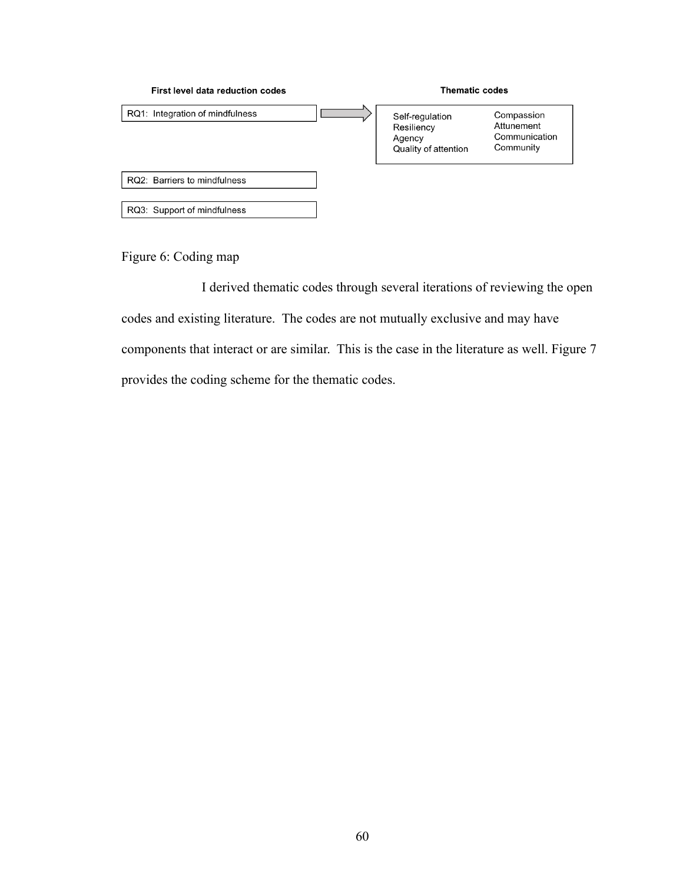

Figure 6: Coding map

I derived thematic codes through several iterations of reviewing the open codes and existing literature. The codes are not mutually exclusive and may have components that interact or are similar. This is the case in the literature as well. Figure 7 provides the coding scheme for the thematic codes.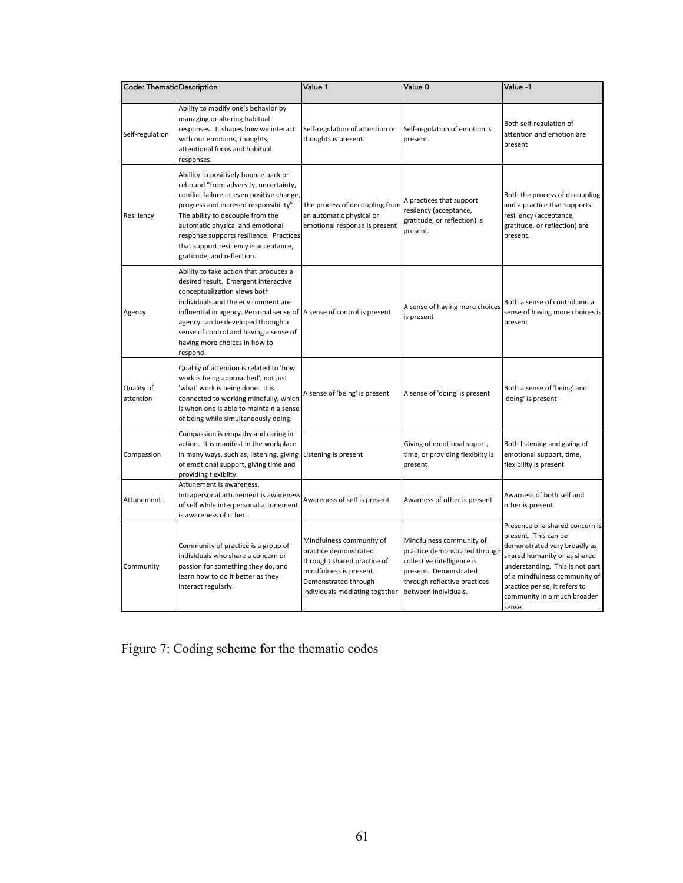| Code: ThematidDescription |                                                                                                                                                                                                                                                                                                                                                                  | Value 1                                                                                                                                                               | Value 0                                                                                                                                                                  | Value -1                                                                                                                                                                                                                                                              |
|---------------------------|------------------------------------------------------------------------------------------------------------------------------------------------------------------------------------------------------------------------------------------------------------------------------------------------------------------------------------------------------------------|-----------------------------------------------------------------------------------------------------------------------------------------------------------------------|--------------------------------------------------------------------------------------------------------------------------------------------------------------------------|-----------------------------------------------------------------------------------------------------------------------------------------------------------------------------------------------------------------------------------------------------------------------|
| Self-regulation           | Ability to modify one's behavior by<br>managing or altering habitual<br>responses. It shapes how we interact<br>with our emotions, thoughts,<br>attentional focus and habitual<br>responses.                                                                                                                                                                     | Self-regulation of attention or<br>thoughts is present.                                                                                                               | Self-regulation of emotion is<br>present.                                                                                                                                | Both self-regulation of<br>attention and emotion are<br>present                                                                                                                                                                                                       |
| Resiliency                | Abillity to positively bounce back or<br>rebound "from adversity, uncertainty,<br>conflict failure or even positive change,<br>progress and incresed responsibility".<br>The ability to decouple from the<br>automatic physical and emotional<br>response supports resilience. Practices<br>that support resiliency is acceptance,<br>gratitude, and reflection. | The process of decoupling from<br>an automatic physical or<br>emotional response is present                                                                           | A practices that support<br>resilency (acceptance,<br>gratitude, or reflection) is<br>present.                                                                           | Both the process of decoupling<br>and a practice that supports<br>resiliency (acceptance,<br>gratitude, or reflection) are<br>present.                                                                                                                                |
| Agency                    | Ability to take action that produces a<br>desired result. Emergent interactive<br>conceptualization views both<br>individuals and the environment are<br>influential in agency. Personal sense of A sense of control is present<br>agency can be developed through a<br>sense of control and having a sense of<br>having more choices in how to<br>respond.      |                                                                                                                                                                       | A sense of having more choices<br>is present                                                                                                                             | Both a sense of control and a<br>sense of having more choices is<br>present                                                                                                                                                                                           |
| Quality of<br>attention   | Quality of attention is related to 'how<br>work is being approached', not just<br>'what' work is being done. It is<br>connected to working mindfully, which<br>is when one is able to maintain a sense<br>of being while simultaneously doing.                                                                                                                   | A sense of 'being' is present                                                                                                                                         | A sense of 'doing' is present                                                                                                                                            | Both a sense of 'being' and<br>doing' is present                                                                                                                                                                                                                      |
| Compassion                | Compassion is empathy and caring in<br>action. It is manifest in the workplace<br>in many ways, such as, listening, giving<br>of emotional support, giving time and<br>providing flexiblity.                                                                                                                                                                     | Listening is present                                                                                                                                                  | Giving of emotional suport,<br>time, or providing flexibilty is<br>present                                                                                               | Both listening and giving of<br>emotional support, time,<br>flexibility is present                                                                                                                                                                                    |
| Attunement                | Attunement is awareness.<br>Intrapersonal attunement is awareness<br>of self while interpersonal attunement<br>is awareness of other.                                                                                                                                                                                                                            | Awareness of self is present                                                                                                                                          | Awarness of other is present                                                                                                                                             | Awarness of both self and<br>other is present                                                                                                                                                                                                                         |
| Community                 | Community of practice is a group of<br>individuals who share a concern or<br>passion for something they do, and<br>learn how to do it better as they<br>interact regularly.                                                                                                                                                                                      | Mindfulness community of<br>practice demonstrated<br>throught shared practice of<br>mindfulness is present.<br>Demonstrated through<br>individuals mediating together | Mindfulness community of<br>practice demonstrated through<br>collective intelligence is<br>present. Demonstrated<br>through reflective practices<br>between individuals. | Presence of a shared concern is<br>present. This can be<br>demonstrated very broadly as<br>shared humanity or as shared<br>understanding. This is not part<br>of a mindfulness community of<br>practice per se, it refers to<br>community in a much broader<br>sense. |

Figure 7: Coding scheme for the thematic codes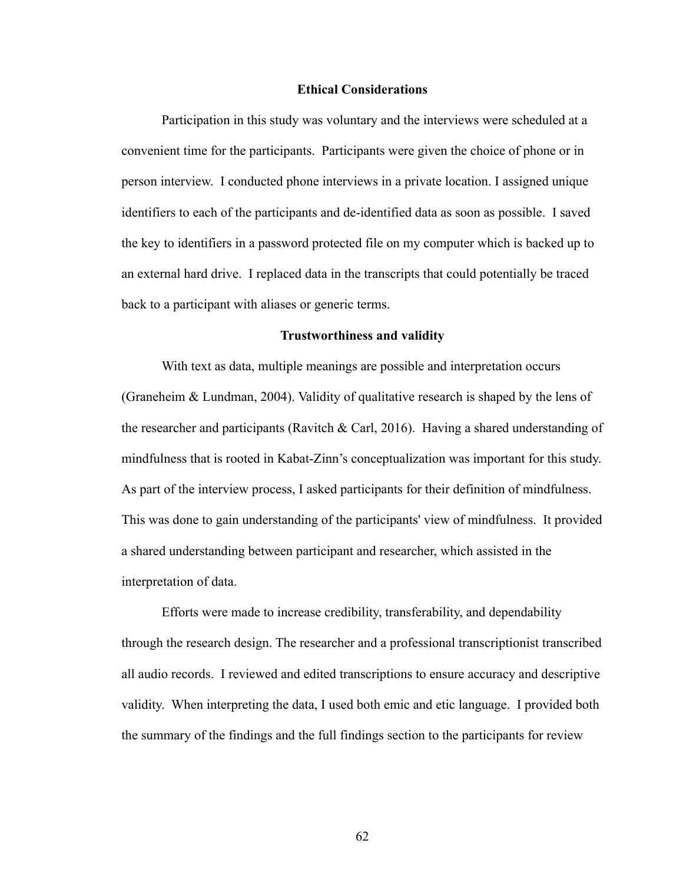### **Ethical Considerations**

Participation in this study was voluntary and the interviews were scheduled at a convenient time for the participants. Participants were given the choice of phone or in person interview. I conducted phone interviews in a private location. I assigned unique identifiers to each of the participants and de-identified data as soon as possible. I saved the key to identifiers in a password protected file on my computer which is backed up to an external hard drive. I replaced data in the transcripts that could potentially be traced back to a participant with aliases or generic terms.

#### **Trustworthiness and validity**

With text as data, multiple meanings are possible and interpretation occurs (Graneheim & Lundman, 2004). Validity of qualitative research is shaped by the lens of the researcher and participants (Ravitch & Carl, 2016). Having a shared understanding of mindfulness that is rooted in Kabat-Zinn's conceptualization was important for this study. As part of the interview process, I asked participants for their definition of mindfulness. This was done to gain understanding of the participants' view of mindfulness. It provided a shared understanding between participant and researcher, which assisted in the interpretation of data.

Efforts were made to increase credibility, transferability, and dependability through the research design. The researcher and a professional transcriptionist transcribed all audio records. I reviewed and edited transcriptions to ensure accuracy and descriptive validity. When interpreting the data, I used both emic and etic language. I provided both the summary of the findings and the full findings section to the participants for review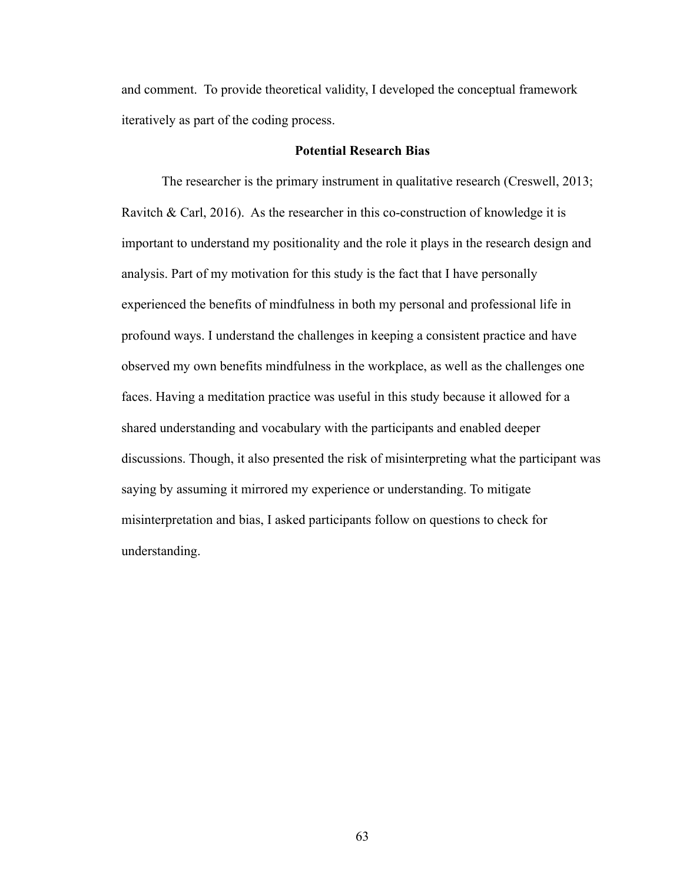and comment. To provide theoretical validity, I developed the conceptual framework iteratively as part of the coding process.

### **Potential Research Bias**

The researcher is the primary instrument in qualitative research (Creswell, 2013; Ravitch & Carl, 2016). As the researcher in this co-construction of knowledge it is important to understand my positionality and the role it plays in the research design and analysis. Part of my motivation for this study is the fact that I have personally experienced the benefits of mindfulness in both my personal and professional life in profound ways. I understand the challenges in keeping a consistent practice and have observed my own benefits mindfulness in the workplace, as well as the challenges one faces. Having a meditation practice was useful in this study because it allowed for a shared understanding and vocabulary with the participants and enabled deeper discussions. Though, it also presented the risk of misinterpreting what the participant was saying by assuming it mirrored my experience or understanding. To mitigate misinterpretation and bias, I asked participants follow on questions to check for understanding.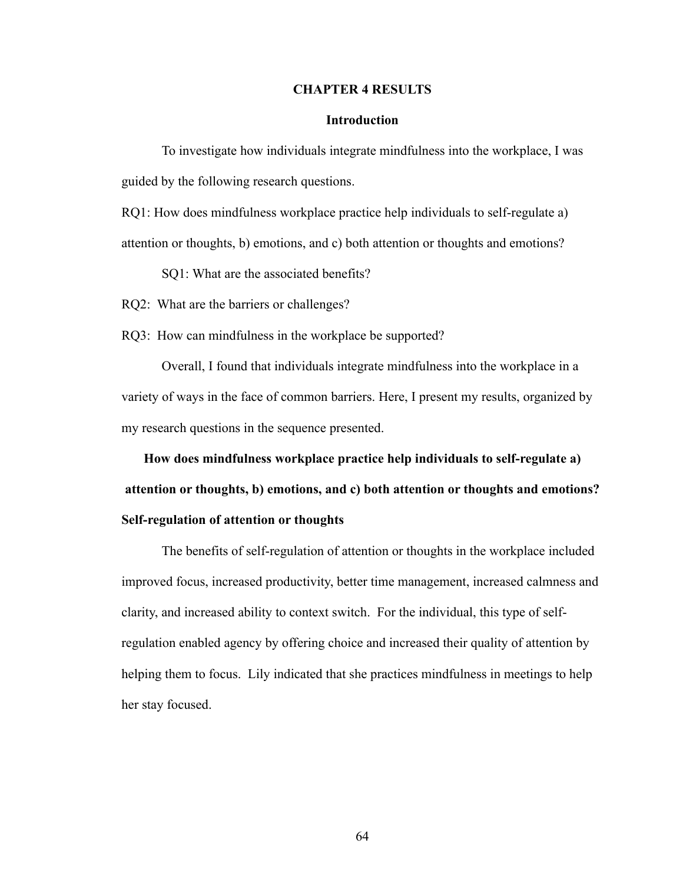### **CHAPTER 4 RESULTS**

### **Introduction**

To investigate how individuals integrate mindfulness into the workplace, I was guided by the following research questions.

RQ1: How does mindfulness workplace practice help individuals to self-regulate a) attention or thoughts, b) emotions, and c) both attention or thoughts and emotions?

SQ1: What are the associated benefits?

RQ2: What are the barriers or challenges?

RQ3: How can mindfulness in the workplace be supported?

Overall, I found that individuals integrate mindfulness into the workplace in a variety of ways in the face of common barriers. Here, I present my results, organized by my research questions in the sequence presented.

**How does mindfulness workplace practice help individuals to self-regulate a) attention or thoughts, b) emotions, and c) both attention or thoughts and emotions? Self-regulation of attention or thoughts**

The benefits of self-regulation of attention or thoughts in the workplace included improved focus, increased productivity, better time management, increased calmness and clarity, and increased ability to context switch. For the individual, this type of selfregulation enabled agency by offering choice and increased their quality of attention by helping them to focus. Lily indicated that she practices mindfulness in meetings to help her stay focused.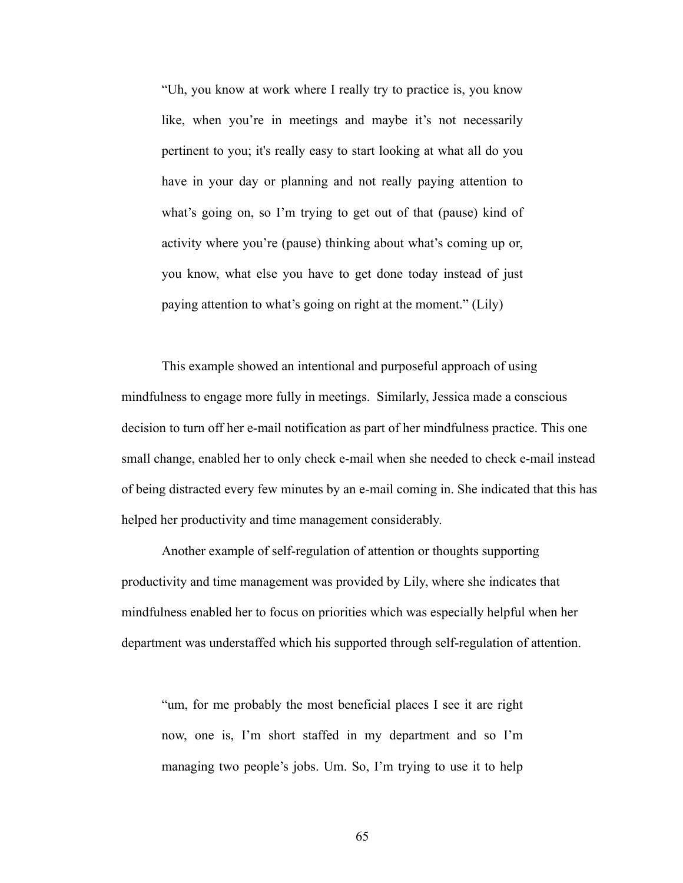"Uh, you know at work where I really try to practice is, you know like, when you're in meetings and maybe it's not necessarily pertinent to you; it's really easy to start looking at what all do you have in your day or planning and not really paying attention to what's going on, so I'm trying to get out of that (pause) kind of activity where you're (pause) thinking about what's coming up or, you know, what else you have to get done today instead of just paying attention to what's going on right at the moment." (Lily)

This example showed an intentional and purposeful approach of using mindfulness to engage more fully in meetings. Similarly, Jessica made a conscious decision to turn off her e-mail notification as part of her mindfulness practice. This one small change, enabled her to only check e-mail when she needed to check e-mail instead of being distracted every few minutes by an e-mail coming in. She indicated that this has helped her productivity and time management considerably.

Another example of self-regulation of attention or thoughts supporting productivity and time management was provided by Lily, where she indicates that mindfulness enabled her to focus on priorities which was especially helpful when her department was understaffed which his supported through self-regulation of attention.

"um, for me probably the most beneficial places I see it are right now, one is, I'm short staffed in my department and so I'm managing two people's jobs. Um. So, I'm trying to use it to help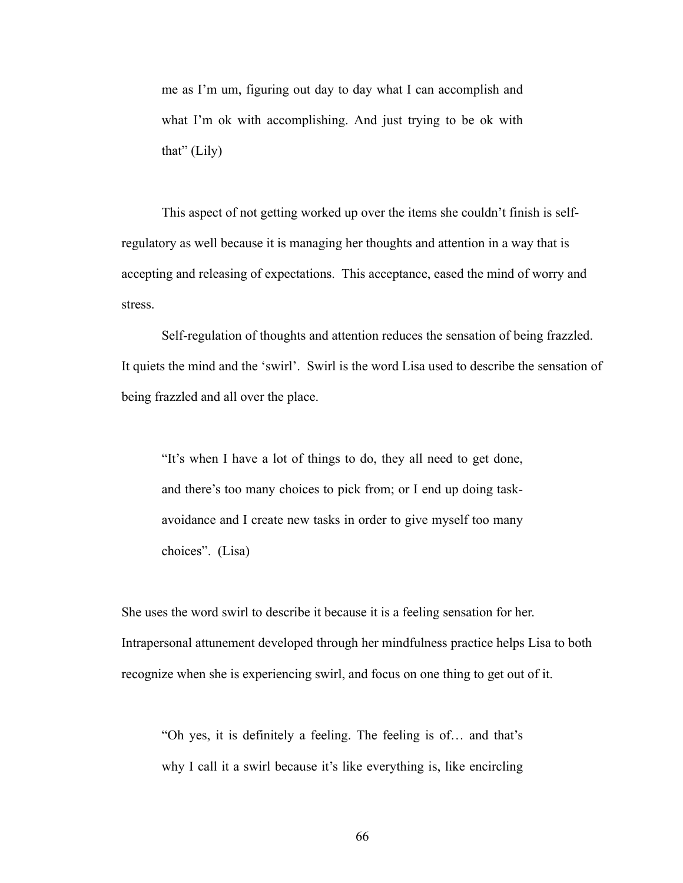me as I'm um, figuring out day to day what I can accomplish and what I'm ok with accomplishing. And just trying to be ok with that" (Lily)

This aspect of not getting worked up over the items she couldn't finish is selfregulatory as well because it is managing her thoughts and attention in a way that is accepting and releasing of expectations. This acceptance, eased the mind of worry and stress.

Self-regulation of thoughts and attention reduces the sensation of being frazzled. It quiets the mind and the 'swirl'. Swirl is the word Lisa used to describe the sensation of being frazzled and all over the place.

"It's when I have a lot of things to do, they all need to get done, and there's too many choices to pick from; or I end up doing taskavoidance and I create new tasks in order to give myself too many choices". (Lisa)

She uses the word swirl to describe it because it is a feeling sensation for her. Intrapersonal attunement developed through her mindfulness practice helps Lisa to both recognize when she is experiencing swirl, and focus on one thing to get out of it.

"Oh yes, it is definitely a feeling. The feeling is of… and that's why I call it a swirl because it's like everything is, like encircling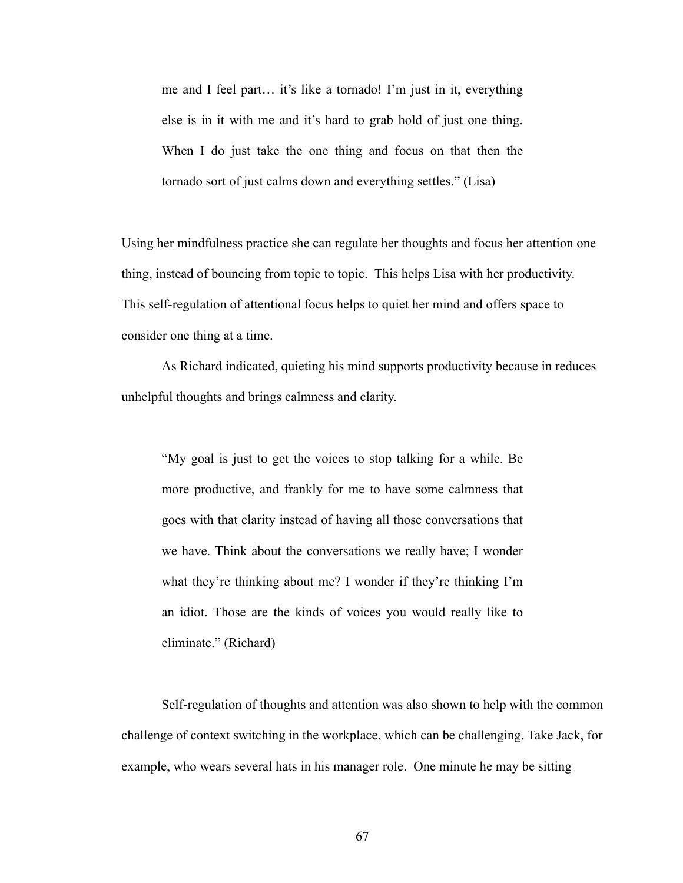me and I feel part… it's like a tornado! I'm just in it, everything else is in it with me and it's hard to grab hold of just one thing. When I do just take the one thing and focus on that then the tornado sort of just calms down and everything settles." (Lisa)

Using her mindfulness practice she can regulate her thoughts and focus her attention one thing, instead of bouncing from topic to topic. This helps Lisa with her productivity. This self-regulation of attentional focus helps to quiet her mind and offers space to consider one thing at a time.

As Richard indicated, quieting his mind supports productivity because in reduces unhelpful thoughts and brings calmness and clarity.

"My goal is just to get the voices to stop talking for a while. Be more productive, and frankly for me to have some calmness that goes with that clarity instead of having all those conversations that we have. Think about the conversations we really have; I wonder what they're thinking about me? I wonder if they're thinking I'm an idiot. Those are the kinds of voices you would really like to eliminate." (Richard)

Self-regulation of thoughts and attention was also shown to help with the common challenge of context switching in the workplace, which can be challenging. Take Jack, for example, who wears several hats in his manager role. One minute he may be sitting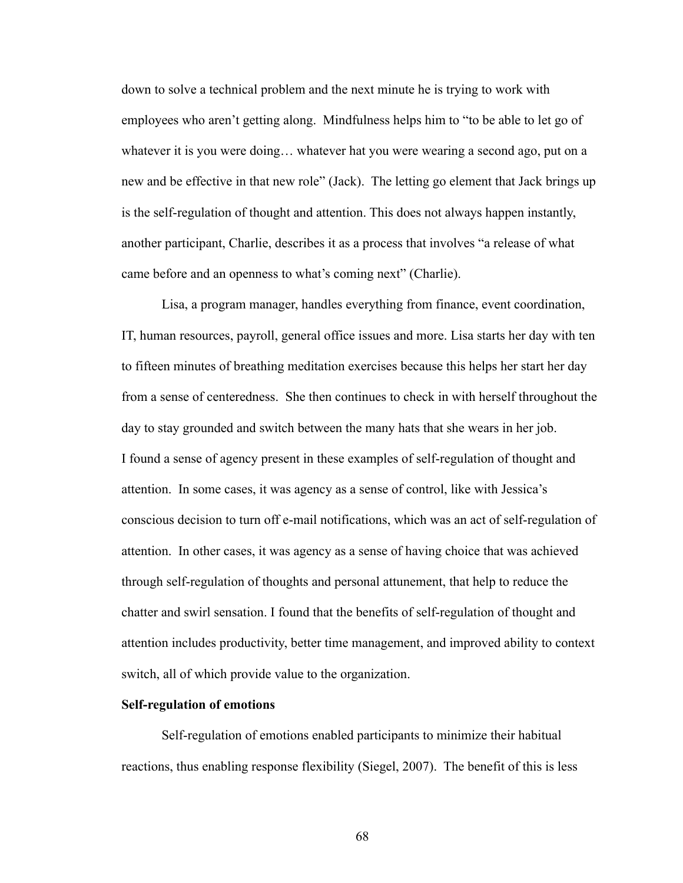down to solve a technical problem and the next minute he is trying to work with employees who aren't getting along. Mindfulness helps him to "to be able to let go of whatever it is you were doing… whatever hat you were wearing a second ago, put on a new and be effective in that new role" (Jack). The letting go element that Jack brings up is the self-regulation of thought and attention. This does not always happen instantly, another participant, Charlie, describes it as a process that involves "a release of what came before and an openness to what's coming next" (Charlie).

Lisa, a program manager, handles everything from finance, event coordination, IT, human resources, payroll, general office issues and more. Lisa starts her day with ten to fifteen minutes of breathing meditation exercises because this helps her start her day from a sense of centeredness. She then continues to check in with herself throughout the day to stay grounded and switch between the many hats that she wears in her job. I found a sense of agency present in these examples of self-regulation of thought and attention. In some cases, it was agency as a sense of control, like with Jessica's conscious decision to turn off e-mail notifications, which was an act of self-regulation of attention. In other cases, it was agency as a sense of having choice that was achieved through self-regulation of thoughts and personal attunement, that help to reduce the chatter and swirl sensation. I found that the benefits of self-regulation of thought and attention includes productivity, better time management, and improved ability to context switch, all of which provide value to the organization.

# **Self-regulation of emotions**

Self-regulation of emotions enabled participants to minimize their habitual reactions, thus enabling response flexibility (Siegel, 2007). The benefit of this is less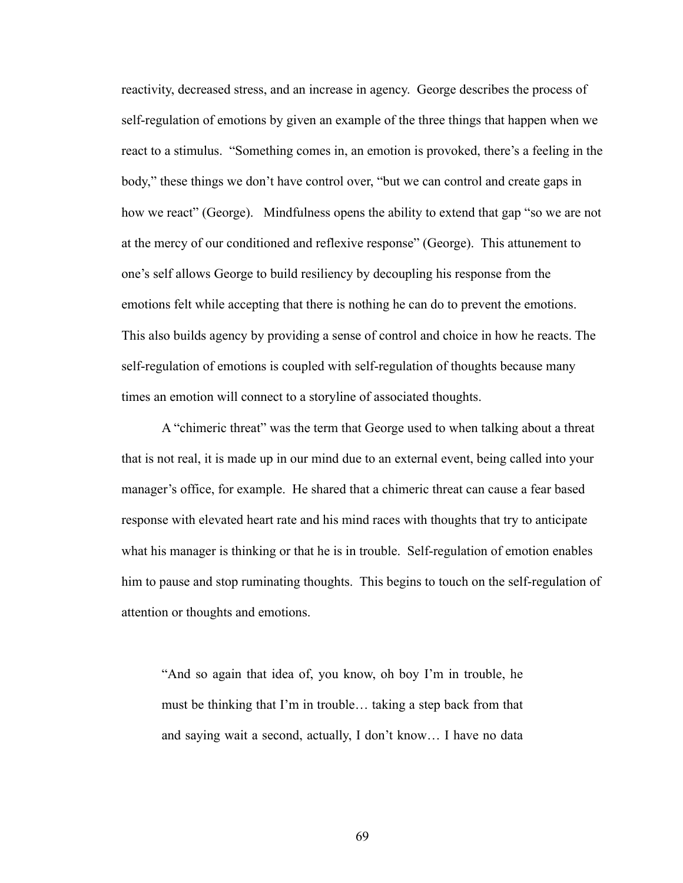reactivity, decreased stress, and an increase in agency. George describes the process of self-regulation of emotions by given an example of the three things that happen when we react to a stimulus. "Something comes in, an emotion is provoked, there's a feeling in the body," these things we don't have control over, "but we can control and create gaps in how we react" (George). Mindfulness opens the ability to extend that gap "so we are not at the mercy of our conditioned and reflexive response" (George). This attunement to one's self allows George to build resiliency by decoupling his response from the emotions felt while accepting that there is nothing he can do to prevent the emotions. This also builds agency by providing a sense of control and choice in how he reacts. The self-regulation of emotions is coupled with self-regulation of thoughts because many times an emotion will connect to a storyline of associated thoughts.

A "chimeric threat" was the term that George used to when talking about a threat that is not real, it is made up in our mind due to an external event, being called into your manager's office, for example. He shared that a chimeric threat can cause a fear based response with elevated heart rate and his mind races with thoughts that try to anticipate what his manager is thinking or that he is in trouble. Self-regulation of emotion enables him to pause and stop ruminating thoughts. This begins to touch on the self-regulation of attention or thoughts and emotions.

"And so again that idea of, you know, oh boy I'm in trouble, he must be thinking that I'm in trouble… taking a step back from that and saying wait a second, actually, I don't know… I have no data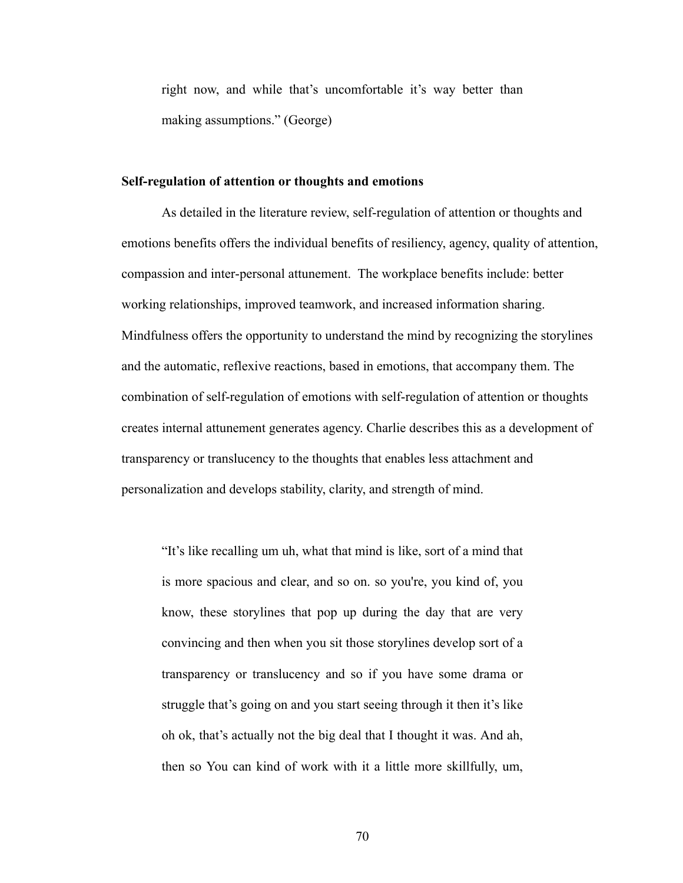right now, and while that's uncomfortable it's way better than making assumptions." (George)

#### **Self-regulation of attention or thoughts and emotions**

As detailed in the literature review, self-regulation of attention or thoughts and emotions benefits offers the individual benefits of resiliency, agency, quality of attention, compassion and inter-personal attunement. The workplace benefits include: better working relationships, improved teamwork, and increased information sharing. Mindfulness offers the opportunity to understand the mind by recognizing the storylines and the automatic, reflexive reactions, based in emotions, that accompany them. The combination of self-regulation of emotions with self-regulation of attention or thoughts creates internal attunement generates agency. Charlie describes this as a development of transparency or translucency to the thoughts that enables less attachment and personalization and develops stability, clarity, and strength of mind.

"It's like recalling um uh, what that mind is like, sort of a mind that is more spacious and clear, and so on. so you're, you kind of, you know, these storylines that pop up during the day that are very convincing and then when you sit those storylines develop sort of a transparency or translucency and so if you have some drama or struggle that's going on and you start seeing through it then it's like oh ok, that's actually not the big deal that I thought it was. And ah, then so You can kind of work with it a little more skillfully, um,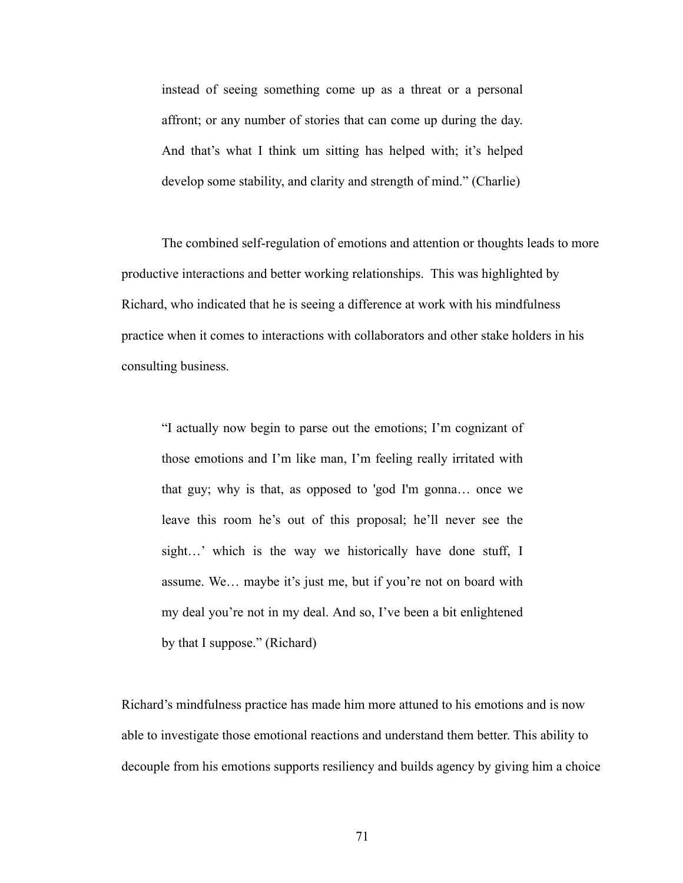instead of seeing something come up as a threat or a personal affront; or any number of stories that can come up during the day. And that's what I think um sitting has helped with; it's helped develop some stability, and clarity and strength of mind." (Charlie)

The combined self-regulation of emotions and attention or thoughts leads to more productive interactions and better working relationships. This was highlighted by Richard, who indicated that he is seeing a difference at work with his mindfulness practice when it comes to interactions with collaborators and other stake holders in his consulting business.

"I actually now begin to parse out the emotions; I'm cognizant of those emotions and I'm like man, I'm feeling really irritated with that guy; why is that, as opposed to 'god I'm gonna… once we leave this room he's out of this proposal; he'll never see the sight…' which is the way we historically have done stuff, I assume. We… maybe it's just me, but if you're not on board with my deal you're not in my deal. And so, I've been a bit enlightened by that I suppose." (Richard)

Richard's mindfulness practice has made him more attuned to his emotions and is now able to investigate those emotional reactions and understand them better. This ability to decouple from his emotions supports resiliency and builds agency by giving him a choice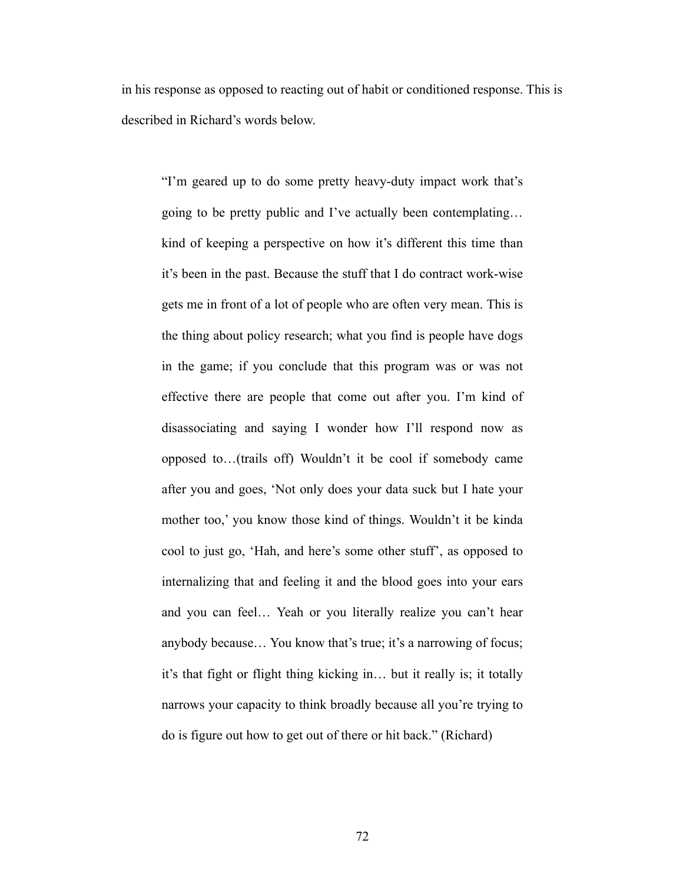in his response as opposed to reacting out of habit or conditioned response. This is described in Richard's words below.

"I'm geared up to do some pretty heavy-duty impact work that's going to be pretty public and I've actually been contemplating… kind of keeping a perspective on how it's different this time than it's been in the past. Because the stuff that I do contract work-wise gets me in front of a lot of people who are often very mean. This is the thing about policy research; what you find is people have dogs in the game; if you conclude that this program was or was not effective there are people that come out after you. I'm kind of disassociating and saying I wonder how I'll respond now as opposed to…(trails off) Wouldn't it be cool if somebody came after you and goes, 'Not only does your data suck but I hate your mother too,' you know those kind of things. Wouldn't it be kinda cool to just go, 'Hah, and here's some other stuff', as opposed to internalizing that and feeling it and the blood goes into your ears and you can feel… Yeah or you literally realize you can't hear anybody because… You know that's true; it's a narrowing of focus; it's that fight or flight thing kicking in… but it really is; it totally narrows your capacity to think broadly because all you're trying to do is figure out how to get out of there or hit back." (Richard)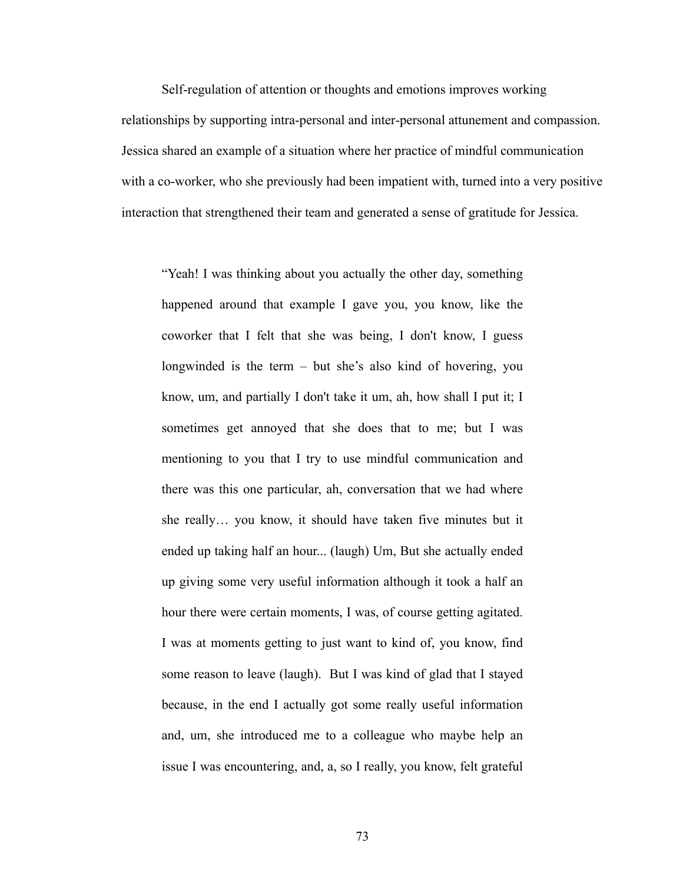Self-regulation of attention or thoughts and emotions improves working relationships by supporting intra-personal and inter-personal attunement and compassion. Jessica shared an example of a situation where her practice of mindful communication with a co-worker, who she previously had been impatient with, turned into a very positive interaction that strengthened their team and generated a sense of gratitude for Jessica.

"Yeah! I was thinking about you actually the other day, something happened around that example I gave you, you know, like the coworker that I felt that she was being, I don't know, I guess longwinded is the term – but she's also kind of hovering, you know, um, and partially I don't take it um, ah, how shall I put it; I sometimes get annoyed that she does that to me; but I was mentioning to you that I try to use mindful communication and there was this one particular, ah, conversation that we had where she really… you know, it should have taken five minutes but it ended up taking half an hour... (laugh) Um, But she actually ended up giving some very useful information although it took a half an hour there were certain moments, I was, of course getting agitated. I was at moments getting to just want to kind of, you know, find some reason to leave (laugh). But I was kind of glad that I stayed because, in the end I actually got some really useful information and, um, she introduced me to a colleague who maybe help an issue I was encountering, and, a, so I really, you know, felt grateful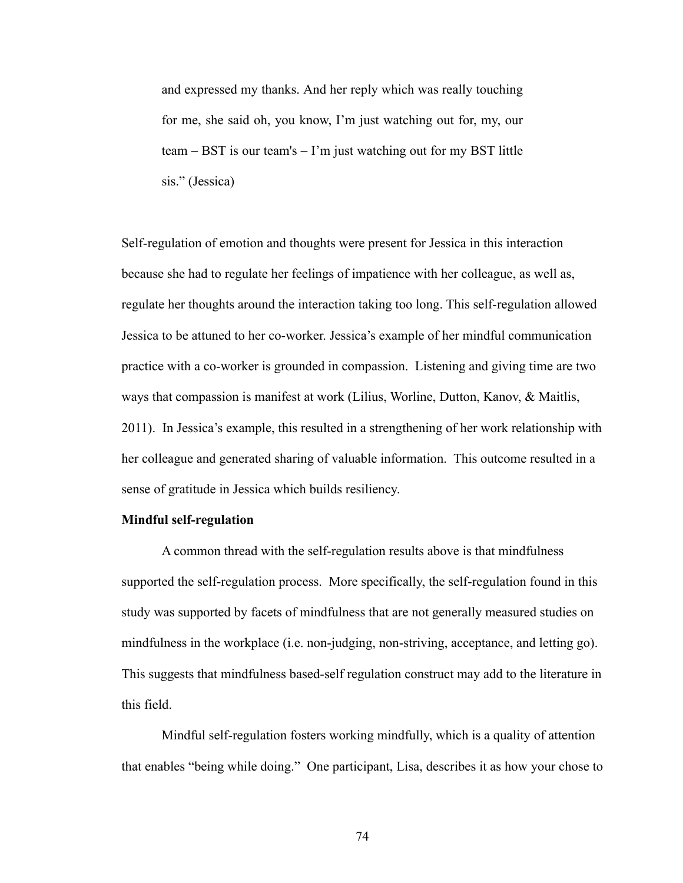and expressed my thanks. And her reply which was really touching for me, she said oh, you know, I'm just watching out for, my, our team – BST is our team's – I'm just watching out for my BST little sis." (Jessica)

Self-regulation of emotion and thoughts were present for Jessica in this interaction because she had to regulate her feelings of impatience with her colleague, as well as, regulate her thoughts around the interaction taking too long. This self-regulation allowed Jessica to be attuned to her co-worker. Jessica's example of her mindful communication practice with a co-worker is grounded in compassion. Listening and giving time are two ways that compassion is manifest at work (Lilius, Worline, Dutton, Kanov, & Maitlis, 2011). In Jessica's example, this resulted in a strengthening of her work relationship with her colleague and generated sharing of valuable information. This outcome resulted in a sense of gratitude in Jessica which builds resiliency.

#### **Mindful self-regulation**

A common thread with the self-regulation results above is that mindfulness supported the self-regulation process. More specifically, the self-regulation found in this study was supported by facets of mindfulness that are not generally measured studies on mindfulness in the workplace (i.e. non-judging, non-striving, acceptance, and letting go). This suggests that mindfulness based-self regulation construct may add to the literature in this field.

Mindful self-regulation fosters working mindfully, which is a quality of attention that enables "being while doing." One participant, Lisa, describes it as how your chose to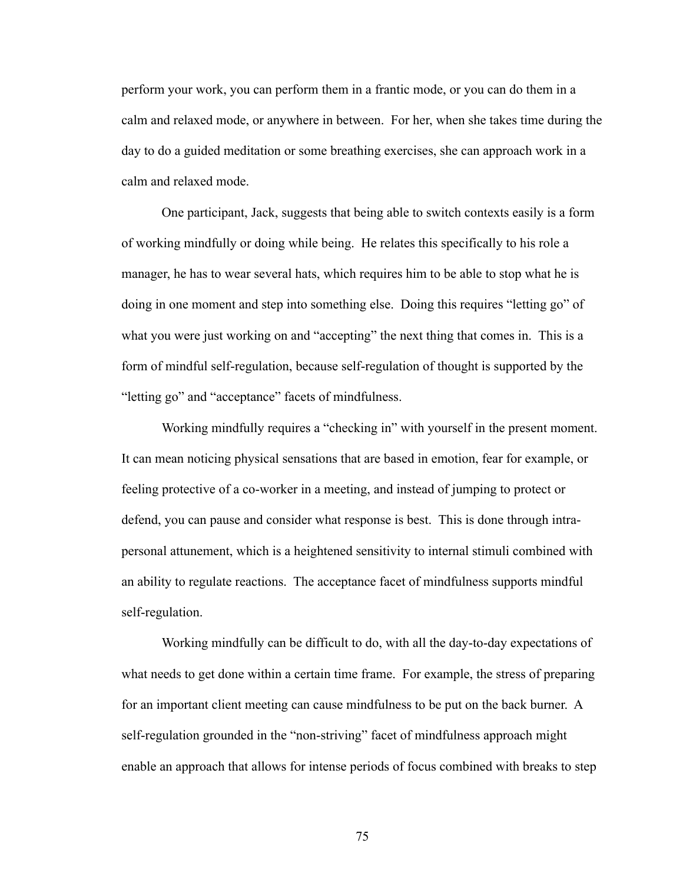perform your work, you can perform them in a frantic mode, or you can do them in a calm and relaxed mode, or anywhere in between. For her, when she takes time during the day to do a guided meditation or some breathing exercises, she can approach work in a calm and relaxed mode.

One participant, Jack, suggests that being able to switch contexts easily is a form of working mindfully or doing while being. He relates this specifically to his role a manager, he has to wear several hats, which requires him to be able to stop what he is doing in one moment and step into something else. Doing this requires "letting go" of what you were just working on and "accepting" the next thing that comes in. This is a form of mindful self-regulation, because self-regulation of thought is supported by the "letting go" and "acceptance" facets of mindfulness.

Working mindfully requires a "checking in" with yourself in the present moment. It can mean noticing physical sensations that are based in emotion, fear for example, or feeling protective of a co-worker in a meeting, and instead of jumping to protect or defend, you can pause and consider what response is best. This is done through intrapersonal attunement, which is a heightened sensitivity to internal stimuli combined with an ability to regulate reactions. The acceptance facet of mindfulness supports mindful self-regulation.

Working mindfully can be difficult to do, with all the day-to-day expectations of what needs to get done within a certain time frame. For example, the stress of preparing for an important client meeting can cause mindfulness to be put on the back burner. A self-regulation grounded in the "non-striving" facet of mindfulness approach might enable an approach that allows for intense periods of focus combined with breaks to step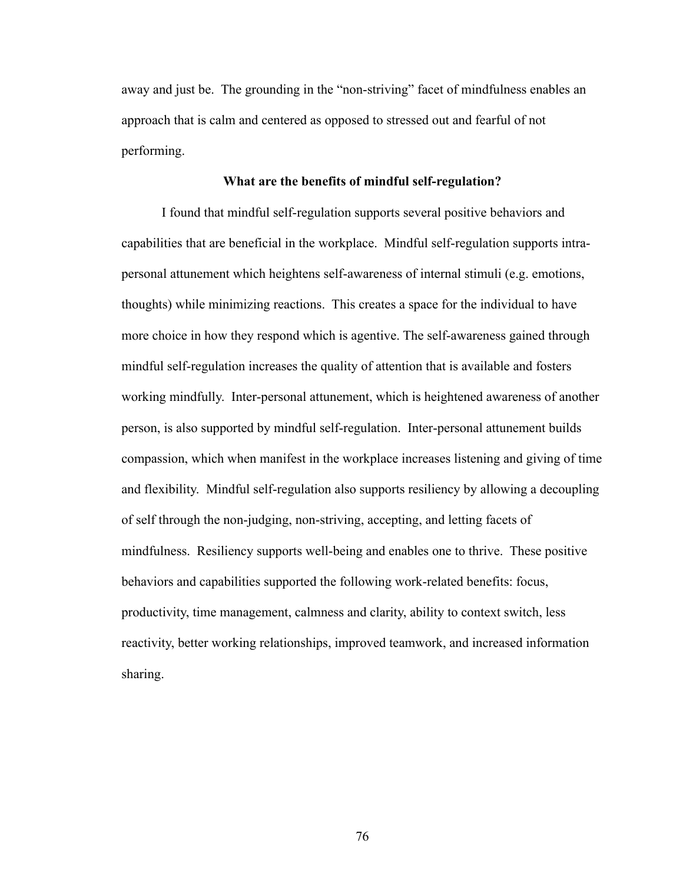away and just be. The grounding in the "non-striving" facet of mindfulness enables an approach that is calm and centered as opposed to stressed out and fearful of not performing.

## **What are the benefits of mindful self-regulation?**

I found that mindful self-regulation supports several positive behaviors and capabilities that are beneficial in the workplace. Mindful self-regulation supports intrapersonal attunement which heightens self-awareness of internal stimuli (e.g. emotions, thoughts) while minimizing reactions. This creates a space for the individual to have more choice in how they respond which is agentive. The self-awareness gained through mindful self-regulation increases the quality of attention that is available and fosters working mindfully. Inter-personal attunement, which is heightened awareness of another person, is also supported by mindful self-regulation. Inter-personal attunement builds compassion, which when manifest in the workplace increases listening and giving of time and flexibility. Mindful self-regulation also supports resiliency by allowing a decoupling of self through the non-judging, non-striving, accepting, and letting facets of mindfulness. Resiliency supports well-being and enables one to thrive. These positive behaviors and capabilities supported the following work-related benefits: focus, productivity, time management, calmness and clarity, ability to context switch, less reactivity, better working relationships, improved teamwork, and increased information sharing.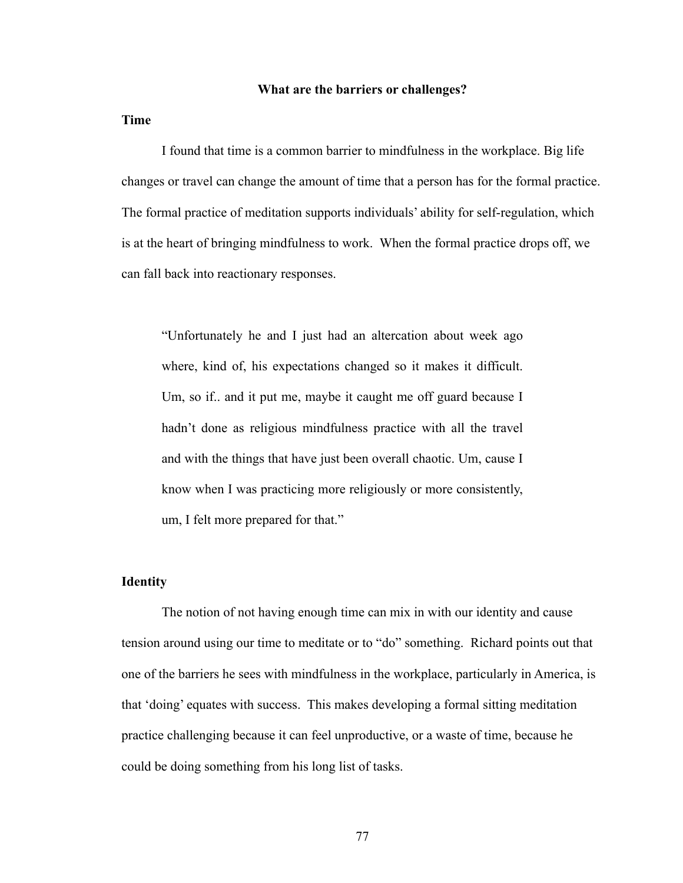### **What are the barriers or challenges?**

**Time**

I found that time is a common barrier to mindfulness in the workplace. Big life changes or travel can change the amount of time that a person has for the formal practice. The formal practice of meditation supports individuals' ability for self-regulation, which is at the heart of bringing mindfulness to work. When the formal practice drops off, we can fall back into reactionary responses.

"Unfortunately he and I just had an altercation about week ago where, kind of, his expectations changed so it makes it difficult. Um, so if.. and it put me, maybe it caught me off guard because I hadn't done as religious mindfulness practice with all the travel and with the things that have just been overall chaotic. Um, cause I know when I was practicing more religiously or more consistently, um, I felt more prepared for that."

# **Identity**

The notion of not having enough time can mix in with our identity and cause tension around using our time to meditate or to "do" something. Richard points out that one of the barriers he sees with mindfulness in the workplace, particularly in America, is that 'doing' equates with success. This makes developing a formal sitting meditation practice challenging because it can feel unproductive, or a waste of time, because he could be doing something from his long list of tasks.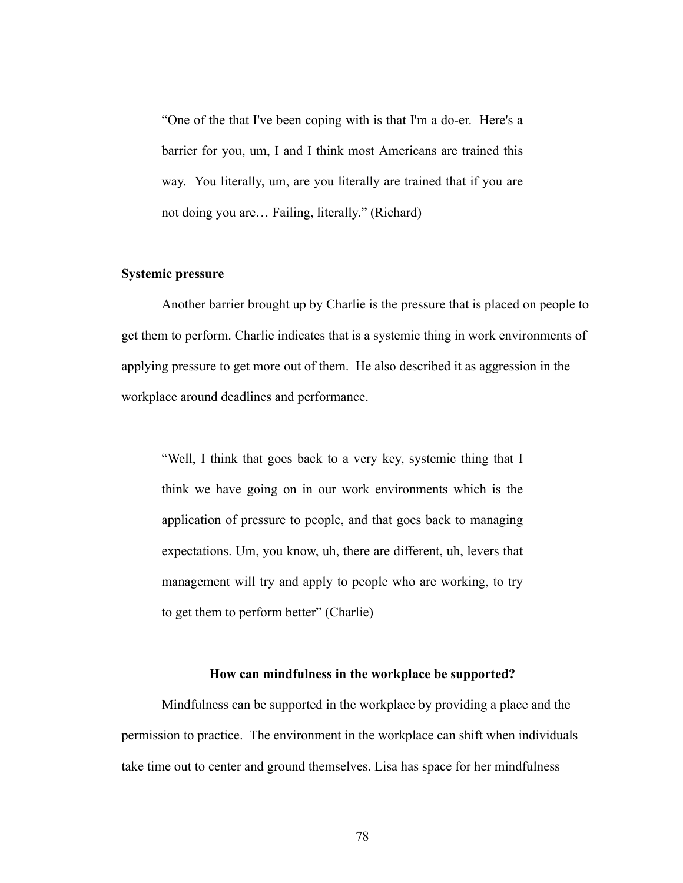"One of the that I've been coping with is that I'm a do-er. Here's a barrier for you, um, I and I think most Americans are trained this way. You literally, um, are you literally are trained that if you are not doing you are… Failing, literally." (Richard)

### **Systemic pressure**

Another barrier brought up by Charlie is the pressure that is placed on people to get them to perform. Charlie indicates that is a systemic thing in work environments of applying pressure to get more out of them. He also described it as aggression in the workplace around deadlines and performance.

"Well, I think that goes back to a very key, systemic thing that I think we have going on in our work environments which is the application of pressure to people, and that goes back to managing expectations. Um, you know, uh, there are different, uh, levers that management will try and apply to people who are working, to try to get them to perform better" (Charlie)

## **How can mindfulness in the workplace be supported?**

Mindfulness can be supported in the workplace by providing a place and the permission to practice. The environment in the workplace can shift when individuals take time out to center and ground themselves. Lisa has space for her mindfulness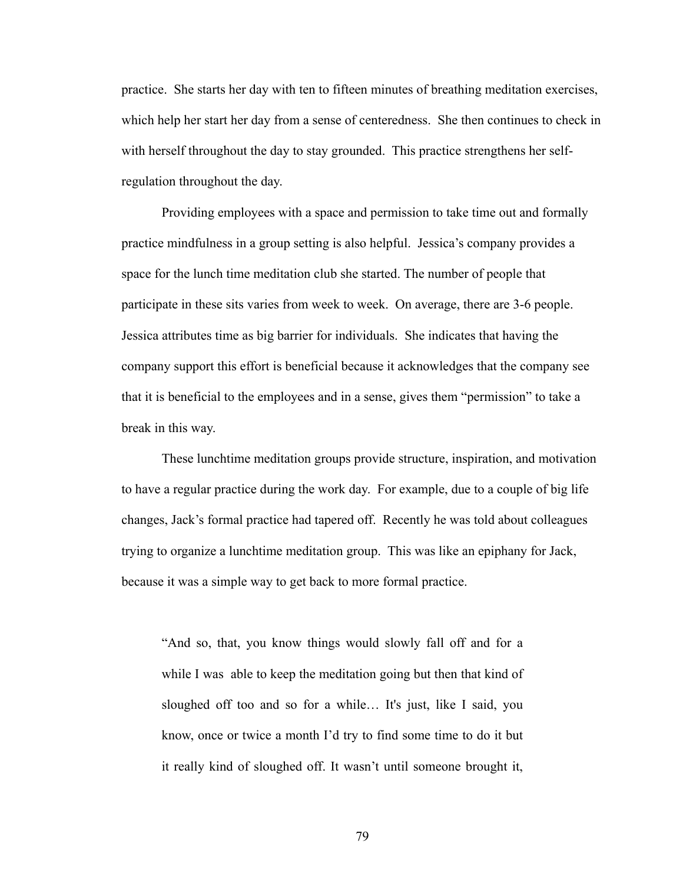practice. She starts her day with ten to fifteen minutes of breathing meditation exercises, which help her start her day from a sense of centeredness. She then continues to check in with herself throughout the day to stay grounded. This practice strengthens her selfregulation throughout the day.

Providing employees with a space and permission to take time out and formally practice mindfulness in a group setting is also helpful. Jessica's company provides a space for the lunch time meditation club she started. The number of people that participate in these sits varies from week to week. On average, there are 3-6 people. Jessica attributes time as big barrier for individuals. She indicates that having the company support this effort is beneficial because it acknowledges that the company see that it is beneficial to the employees and in a sense, gives them "permission" to take a break in this way.

These lunchtime meditation groups provide structure, inspiration, and motivation to have a regular practice during the work day. For example, due to a couple of big life changes, Jack's formal practice had tapered off. Recently he was told about colleagues trying to organize a lunchtime meditation group. This was like an epiphany for Jack, because it was a simple way to get back to more formal practice.

"And so, that, you know things would slowly fall off and for a while I was able to keep the meditation going but then that kind of sloughed off too and so for a while… It's just, like I said, you know, once or twice a month I'd try to find some time to do it but it really kind of sloughed off. It wasn't until someone brought it,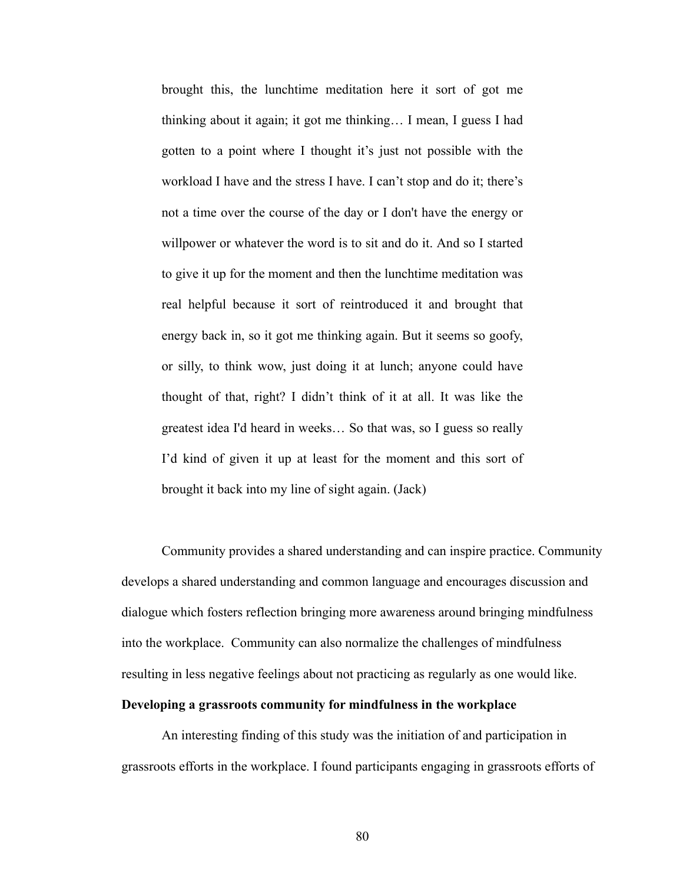brought this, the lunchtime meditation here it sort of got me thinking about it again; it got me thinking… I mean, I guess I had gotten to a point where I thought it's just not possible with the workload I have and the stress I have. I can't stop and do it; there's not a time over the course of the day or I don't have the energy or willpower or whatever the word is to sit and do it. And so I started to give it up for the moment and then the lunchtime meditation was real helpful because it sort of reintroduced it and brought that energy back in, so it got me thinking again. But it seems so goofy, or silly, to think wow, just doing it at lunch; anyone could have thought of that, right? I didn't think of it at all. It was like the greatest idea I'd heard in weeks… So that was, so I guess so really I'd kind of given it up at least for the moment and this sort of brought it back into my line of sight again. (Jack)

Community provides a shared understanding and can inspire practice. Community develops a shared understanding and common language and encourages discussion and dialogue which fosters reflection bringing more awareness around bringing mindfulness into the workplace. Community can also normalize the challenges of mindfulness resulting in less negative feelings about not practicing as regularly as one would like.

# **Developing a grassroots community for mindfulness in the workplace**

An interesting finding of this study was the initiation of and participation in grassroots efforts in the workplace. I found participants engaging in grassroots efforts of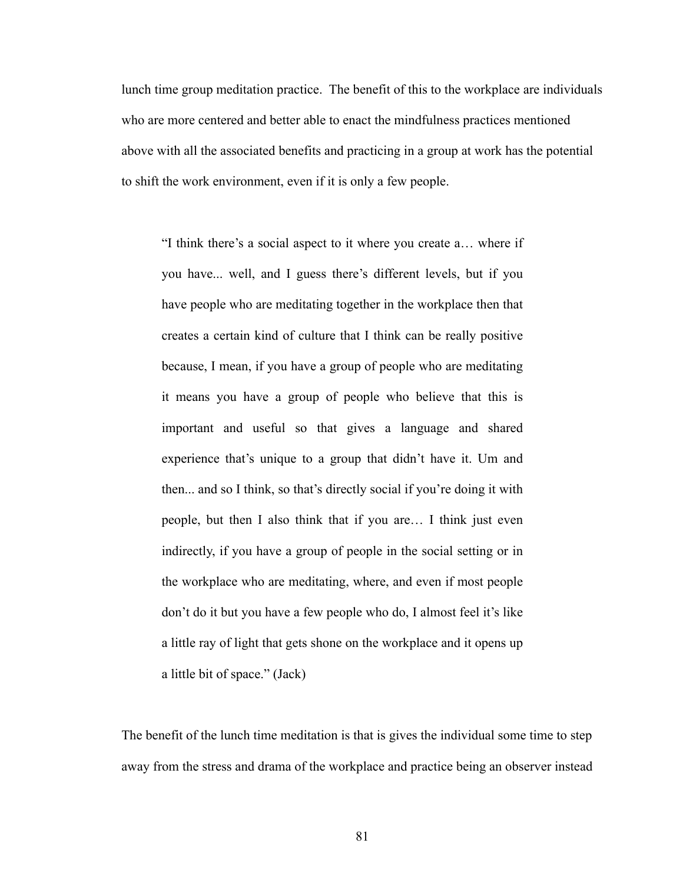lunch time group meditation practice. The benefit of this to the workplace are individuals who are more centered and better able to enact the mindfulness practices mentioned above with all the associated benefits and practicing in a group at work has the potential to shift the work environment, even if it is only a few people.

"I think there's a social aspect to it where you create a… where if you have... well, and I guess there's different levels, but if you have people who are meditating together in the workplace then that creates a certain kind of culture that I think can be really positive because, I mean, if you have a group of people who are meditating it means you have a group of people who believe that this is important and useful so that gives a language and shared experience that's unique to a group that didn't have it. Um and then... and so I think, so that's directly social if you're doing it with people, but then I also think that if you are… I think just even indirectly, if you have a group of people in the social setting or in the workplace who are meditating, where, and even if most people don't do it but you have a few people who do, I almost feel it's like a little ray of light that gets shone on the workplace and it opens up a little bit of space." (Jack)

The benefit of the lunch time meditation is that is gives the individual some time to step away from the stress and drama of the workplace and practice being an observer instead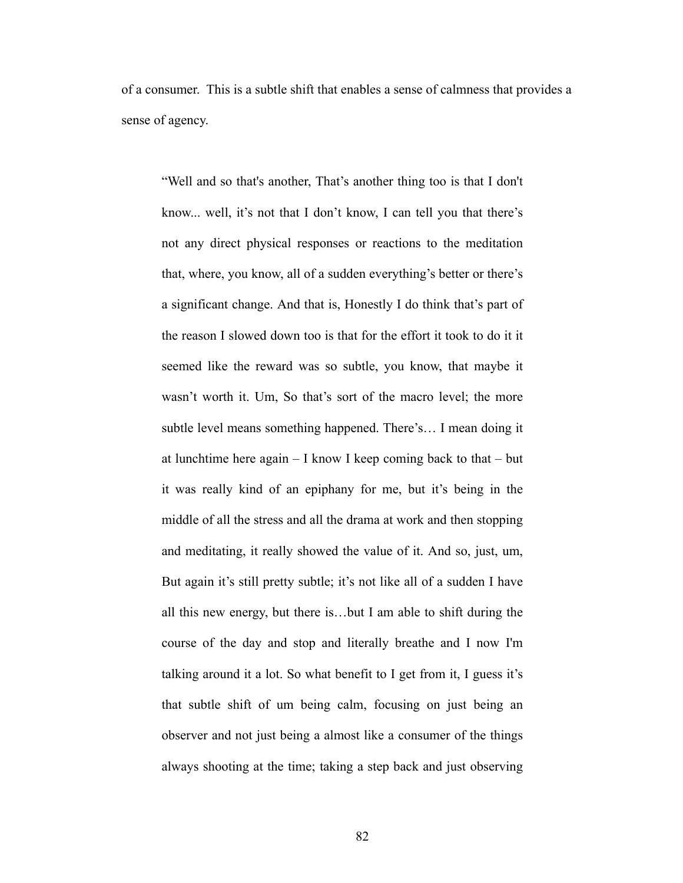of a consumer. This is a subtle shift that enables a sense of calmness that provides a sense of agency.

"Well and so that's another, That's another thing too is that I don't know... well, it's not that I don't know, I can tell you that there's not any direct physical responses or reactions to the meditation that, where, you know, all of a sudden everything's better or there's a significant change. And that is, Honestly I do think that's part of the reason I slowed down too is that for the effort it took to do it it seemed like the reward was so subtle, you know, that maybe it wasn't worth it. Um, So that's sort of the macro level; the more subtle level means something happened. There's… I mean doing it at lunchtime here again – I know I keep coming back to that – but it was really kind of an epiphany for me, but it's being in the middle of all the stress and all the drama at work and then stopping and meditating, it really showed the value of it. And so, just, um, But again it's still pretty subtle; it's not like all of a sudden I have all this new energy, but there is…but I am able to shift during the course of the day and stop and literally breathe and I now I'm talking around it a lot. So what benefit to I get from it, I guess it's that subtle shift of um being calm, focusing on just being an observer and not just being a almost like a consumer of the things always shooting at the time; taking a step back and just observing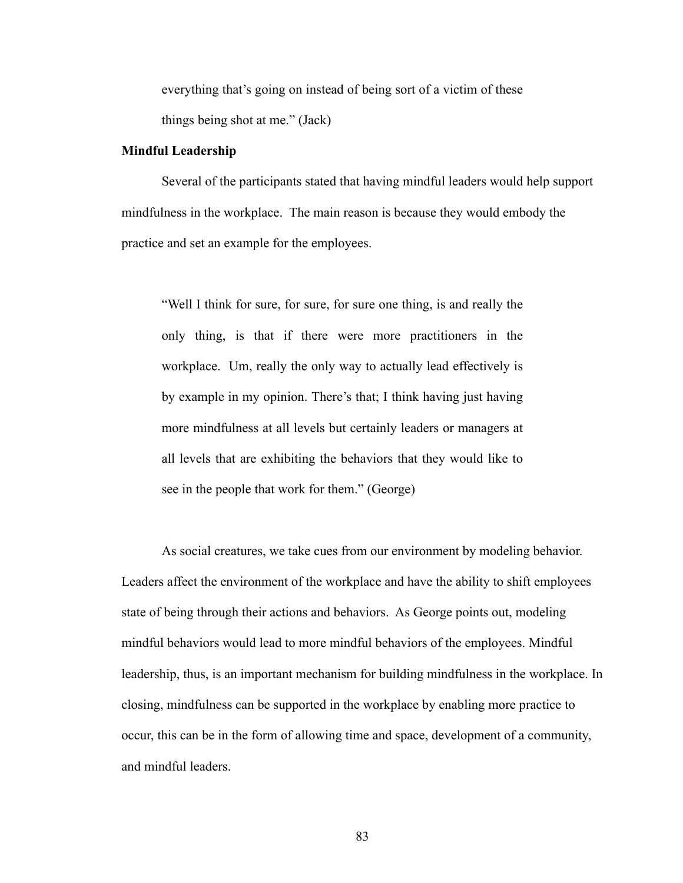everything that's going on instead of being sort of a victim of these things being shot at me." (Jack)

## **Mindful Leadership**

Several of the participants stated that having mindful leaders would help support mindfulness in the workplace. The main reason is because they would embody the practice and set an example for the employees.

"Well I think for sure, for sure, for sure one thing, is and really the only thing, is that if there were more practitioners in the workplace. Um, really the only way to actually lead effectively is by example in my opinion. There's that; I think having just having more mindfulness at all levels but certainly leaders or managers at all levels that are exhibiting the behaviors that they would like to see in the people that work for them." (George)

As social creatures, we take cues from our environment by modeling behavior. Leaders affect the environment of the workplace and have the ability to shift employees state of being through their actions and behaviors. As George points out, modeling mindful behaviors would lead to more mindful behaviors of the employees. Mindful leadership, thus, is an important mechanism for building mindfulness in the workplace. In closing, mindfulness can be supported in the workplace by enabling more practice to occur, this can be in the form of allowing time and space, development of a community, and mindful leaders.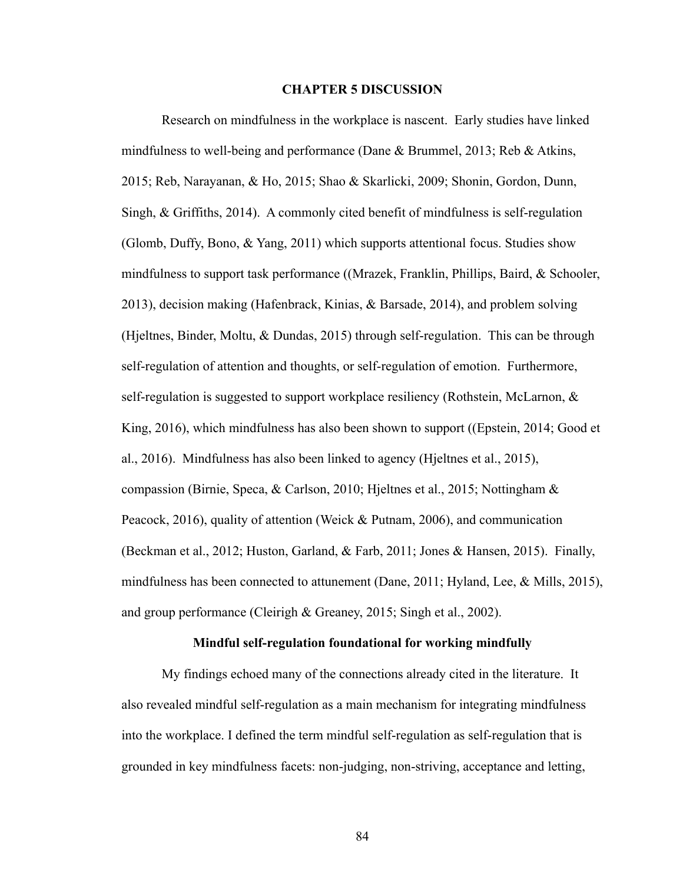### **CHAPTER 5 DISCUSSION**

Research on mindfulness in the workplace is nascent. Early studies have linked mindfulness to well-being and performance (Dane & Brummel, 2013; Reb & Atkins, 2015; Reb, Narayanan, & Ho, 2015; Shao & Skarlicki, 2009; Shonin, Gordon, Dunn, Singh, & Griffiths, 2014). A commonly cited benefit of mindfulness is self-regulation (Glomb, Duffy, Bono, & Yang, 2011) which supports attentional focus. Studies show mindfulness to support task performance ((Mrazek, Franklin, Phillips, Baird, & Schooler, 2013), decision making (Hafenbrack, Kinias, & Barsade, 2014), and problem solving (Hjeltnes, Binder, Moltu, & Dundas, 2015) through self-regulation. This can be through self-regulation of attention and thoughts, or self-regulation of emotion. Furthermore, self-regulation is suggested to support workplace resiliency (Rothstein, McLarnon, & King, 2016), which mindfulness has also been shown to support ((Epstein, 2014; Good et al., 2016). Mindfulness has also been linked to agency (Hjeltnes et al., 2015), compassion (Birnie, Speca, & Carlson, 2010; Hjeltnes et al., 2015; Nottingham & Peacock, 2016), quality of attention (Weick & Putnam, 2006), and communication (Beckman et al., 2012; Huston, Garland, & Farb, 2011; Jones & Hansen, 2015). Finally, mindfulness has been connected to attunement (Dane, 2011; Hyland, Lee, & Mills, 2015), and group performance (Cleirigh & Greaney, 2015; Singh et al., 2002).

# **Mindful self-regulation foundational for working mindfully**

My findings echoed many of the connections already cited in the literature. It also revealed mindful self-regulation as a main mechanism for integrating mindfulness into the workplace. I defined the term mindful self-regulation as self-regulation that is grounded in key mindfulness facets: non-judging, non-striving, acceptance and letting,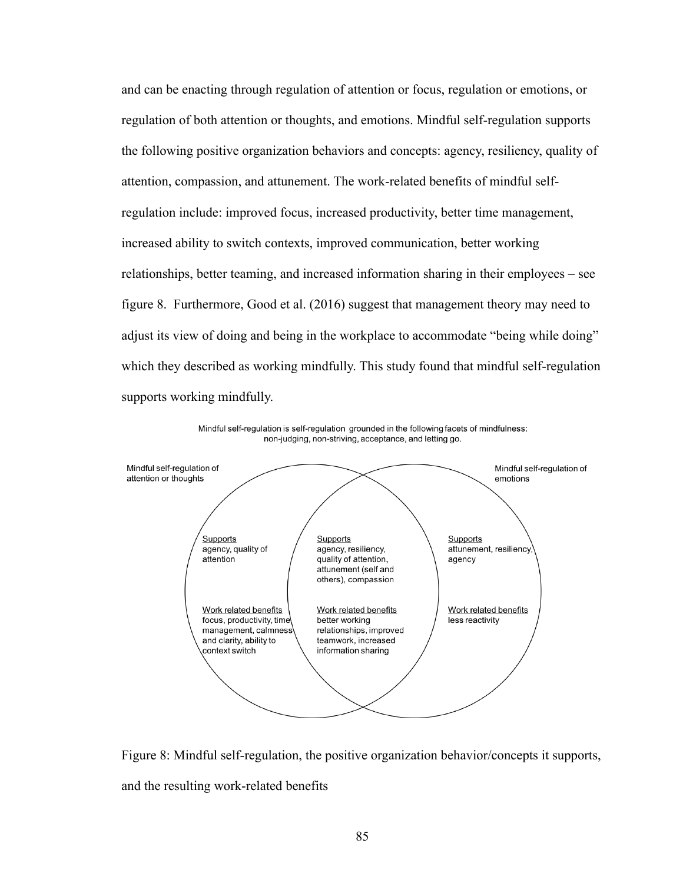and can be enacting through regulation of attention or focus, regulation or emotions, or regulation of both attention or thoughts, and emotions. Mindful self-regulation supports the following positive organization behaviors and concepts: agency, resiliency, quality of attention, compassion, and attunement. The work-related benefits of mindful selfregulation include: improved focus, increased productivity, better time management, increased ability to switch contexts, improved communication, better working relationships, better teaming, and increased information sharing in their employees – see figure 8. Furthermore, Good et al. (2016) suggest that management theory may need to adjust its view of doing and being in the workplace to accommodate "being while doing" which they described as working mindfully. This study found that mindful self-regulation supports working mindfully.



Mindful self-regulation is self-regulation grounded in the following facets of mindfulness: non-judging, non-striving, acceptance, and letting go.

Figure 8: Mindful self-regulation, the positive organization behavior/concepts it supports, and the resulting work-related benefits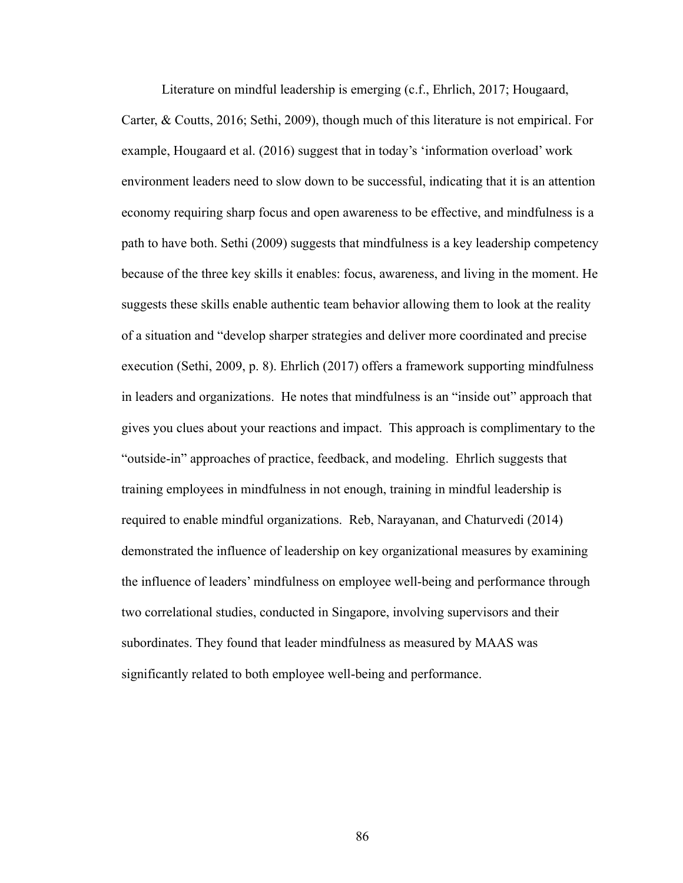Literature on mindful leadership is emerging (c.f., Ehrlich, 2017; Hougaard, Carter, & Coutts, 2016; Sethi, 2009), though much of this literature is not empirical. For example, Hougaard et al. (2016) suggest that in today's 'information overload' work environment leaders need to slow down to be successful, indicating that it is an attention economy requiring sharp focus and open awareness to be effective, and mindfulness is a path to have both. Sethi (2009) suggests that mindfulness is a key leadership competency because of the three key skills it enables: focus, awareness, and living in the moment. He suggests these skills enable authentic team behavior allowing them to look at the reality of a situation and "develop sharper strategies and deliver more coordinated and precise execution (Sethi, 2009, p. 8). Ehrlich (2017) offers a framework supporting mindfulness in leaders and organizations. He notes that mindfulness is an "inside out" approach that gives you clues about your reactions and impact. This approach is complimentary to the "outside-in" approaches of practice, feedback, and modeling. Ehrlich suggests that training employees in mindfulness in not enough, training in mindful leadership is required to enable mindful organizations. Reb, Narayanan, and Chaturvedi (2014) demonstrated the influence of leadership on key organizational measures by examining the influence of leaders' mindfulness on employee well-being and performance through two correlational studies, conducted in Singapore, involving supervisors and their subordinates. They found that leader mindfulness as measured by MAAS was significantly related to both employee well-being and performance.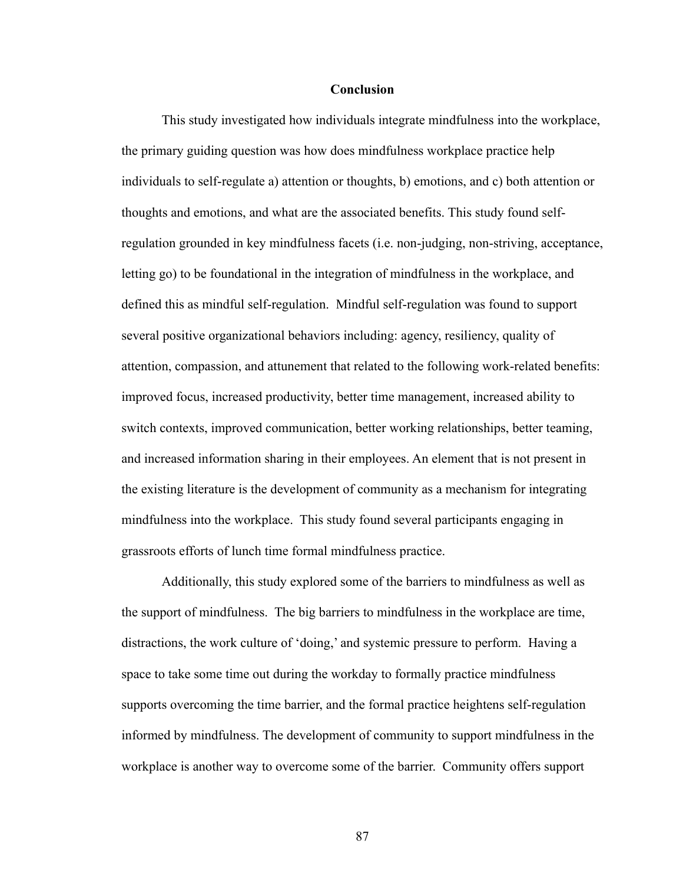### **Conclusion**

This study investigated how individuals integrate mindfulness into the workplace, the primary guiding question was how does mindfulness workplace practice help individuals to self-regulate a) attention or thoughts, b) emotions, and c) both attention or thoughts and emotions, and what are the associated benefits. This study found selfregulation grounded in key mindfulness facets (i.e. non-judging, non-striving, acceptance, letting go) to be foundational in the integration of mindfulness in the workplace, and defined this as mindful self-regulation. Mindful self-regulation was found to support several positive organizational behaviors including: agency, resiliency, quality of attention, compassion, and attunement that related to the following work-related benefits: improved focus, increased productivity, better time management, increased ability to switch contexts, improved communication, better working relationships, better teaming, and increased information sharing in their employees. An element that is not present in the existing literature is the development of community as a mechanism for integrating mindfulness into the workplace. This study found several participants engaging in grassroots efforts of lunch time formal mindfulness practice.

Additionally, this study explored some of the barriers to mindfulness as well as the support of mindfulness. The big barriers to mindfulness in the workplace are time, distractions, the work culture of 'doing,' and systemic pressure to perform. Having a space to take some time out during the workday to formally practice mindfulness supports overcoming the time barrier, and the formal practice heightens self-regulation informed by mindfulness. The development of community to support mindfulness in the workplace is another way to overcome some of the barrier. Community offers support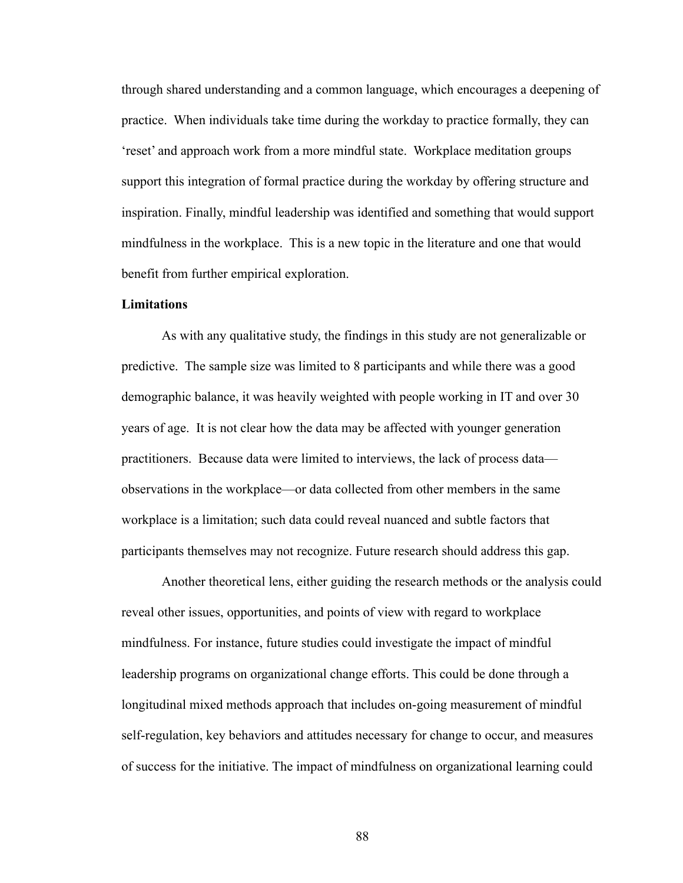through shared understanding and a common language, which encourages a deepening of practice. When individuals take time during the workday to practice formally, they can 'reset' and approach work from a more mindful state. Workplace meditation groups support this integration of formal practice during the workday by offering structure and inspiration. Finally, mindful leadership was identified and something that would support mindfulness in the workplace. This is a new topic in the literature and one that would benefit from further empirical exploration.

## **Limitations**

As with any qualitative study, the findings in this study are not generalizable or predictive. The sample size was limited to 8 participants and while there was a good demographic balance, it was heavily weighted with people working in IT and over 30 years of age. It is not clear how the data may be affected with younger generation practitioners. Because data were limited to interviews, the lack of process data observations in the workplace—or data collected from other members in the same workplace is a limitation; such data could reveal nuanced and subtle factors that participants themselves may not recognize. Future research should address this gap.

Another theoretical lens, either guiding the research methods or the analysis could reveal other issues, opportunities, and points of view with regard to workplace mindfulness. For instance, future studies could investigate the impact of mindful leadership programs on organizational change efforts. This could be done through a longitudinal mixed methods approach that includes on-going measurement of mindful self-regulation, key behaviors and attitudes necessary for change to occur, and measures of success for the initiative. The impact of mindfulness on organizational learning could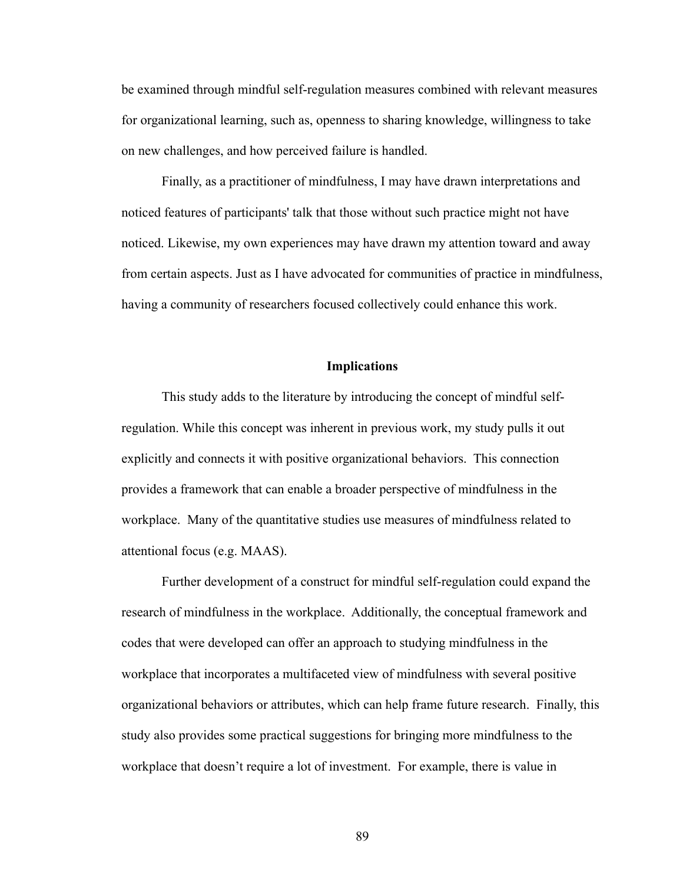be examined through mindful self-regulation measures combined with relevant measures for organizational learning, such as, openness to sharing knowledge, willingness to take on new challenges, and how perceived failure is handled.

Finally, as a practitioner of mindfulness, I may have drawn interpretations and noticed features of participants' talk that those without such practice might not have noticed. Likewise, my own experiences may have drawn my attention toward and away from certain aspects. Just as I have advocated for communities of practice in mindfulness, having a community of researchers focused collectively could enhance this work.

# **Implications**

This study adds to the literature by introducing the concept of mindful selfregulation. While this concept was inherent in previous work, my study pulls it out explicitly and connects it with positive organizational behaviors. This connection provides a framework that can enable a broader perspective of mindfulness in the workplace. Many of the quantitative studies use measures of mindfulness related to attentional focus (e.g. MAAS).

Further development of a construct for mindful self-regulation could expand the research of mindfulness in the workplace. Additionally, the conceptual framework and codes that were developed can offer an approach to studying mindfulness in the workplace that incorporates a multifaceted view of mindfulness with several positive organizational behaviors or attributes, which can help frame future research. Finally, this study also provides some practical suggestions for bringing more mindfulness to the workplace that doesn't require a lot of investment. For example, there is value in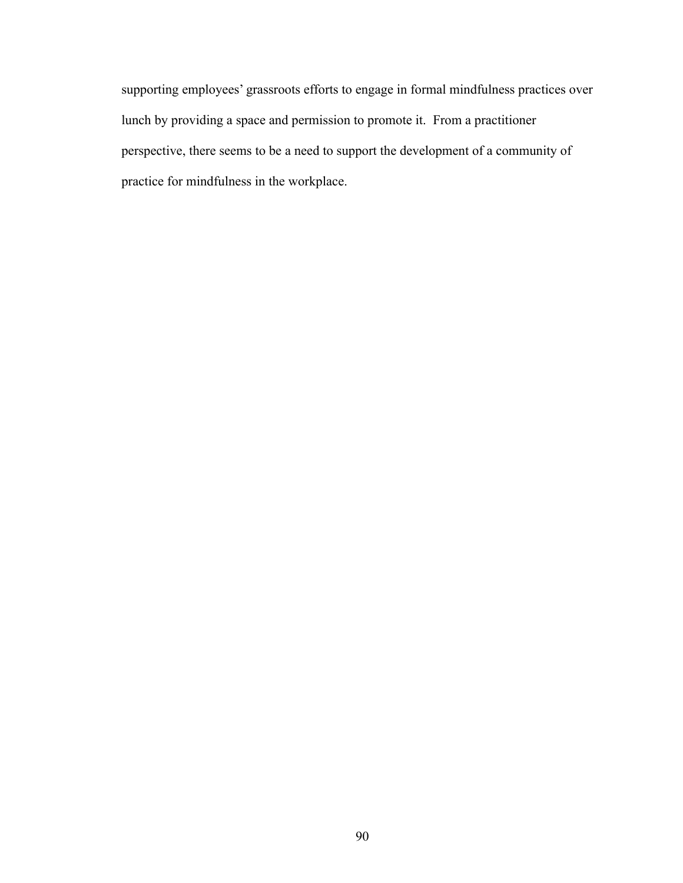supporting employees' grassroots efforts to engage in formal mindfulness practices over lunch by providing a space and permission to promote it. From a practitioner perspective, there seems to be a need to support the development of a community of practice for mindfulness in the workplace.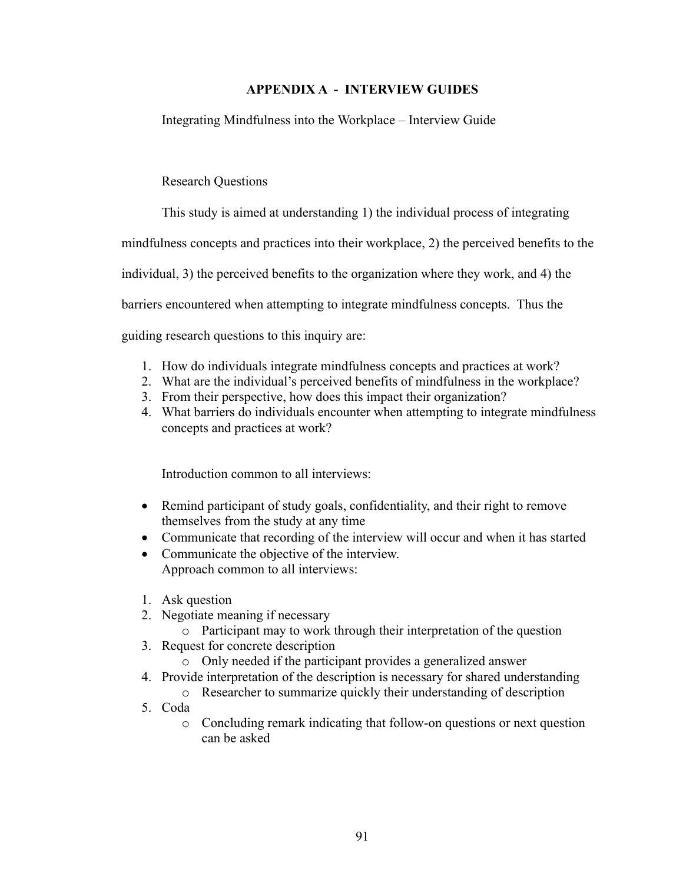# **APPENDIX A - INTERVIEW GUIDES**

Integrating Mindfulness into the Workplace – Interview Guide

Research Questions

This study is aimed at understanding 1) the individual process of integrating

mindfulness concepts and practices into their workplace, 2) the perceived benefits to the

individual, 3) the perceived benefits to the organization where they work, and 4) the

barriers encountered when attempting to integrate mindfulness concepts. Thus the

guiding research questions to this inquiry are:

- 1. How do individuals integrate mindfulness concepts and practices at work?
- 2. What are the individual's perceived benefits of mindfulness in the workplace?
- 3. From their perspective, how does this impact their organization?
- 4. What barriers do individuals encounter when attempting to integrate mindfulness concepts and practices at work?

Introduction common to all interviews:

- Remind participant of study goals, confidentiality, and their right to remove themselves from the study at any time
- Communicate that recording of the interview will occur and when it has started
- Communicate the objective of the interview. Approach common to all interviews:
- 1. Ask question
- 2. Negotiate meaning if necessary
	- o Participant may to work through their interpretation of the question
- 3. Request for concrete description
	- o Only needed if the participant provides a generalized answer
- 4. Provide interpretation of the description is necessary for shared understanding
	- o Researcher to summarize quickly their understanding of description
- 5. Coda
	- o Concluding remark indicating that follow-on questions or next question can be asked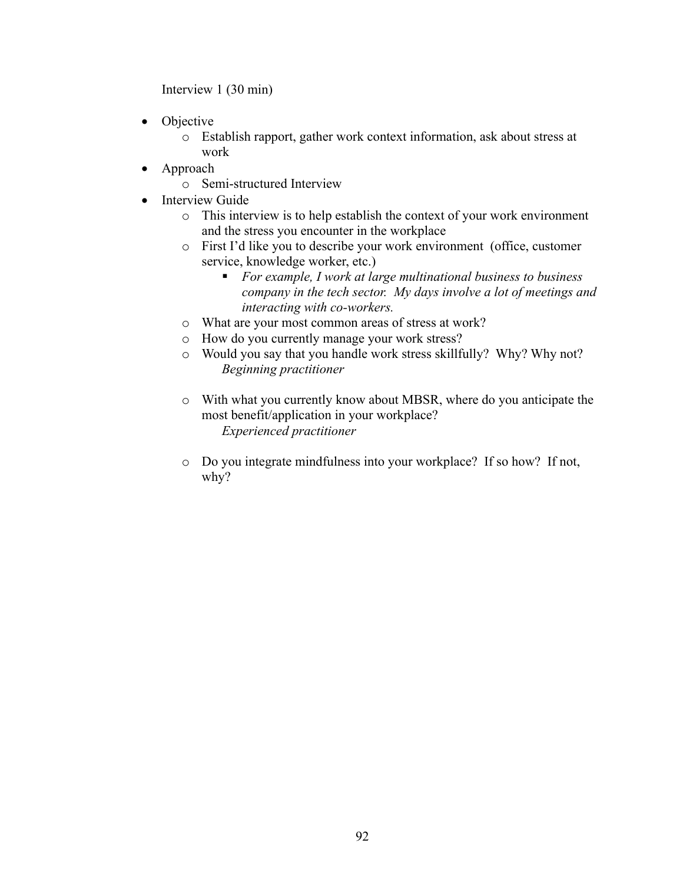Interview 1 (30 min)

- Objective
	- o Establish rapport, gather work context information, ask about stress at work
- Approach
	- o Semi-structured Interview
- Interview Guide
	- o This interview is to help establish the context of your work environment and the stress you encounter in the workplace
	- o First I'd like you to describe your work environment (office, customer service, knowledge worker, etc.)
		- § *For example, I work at large multinational business to business company in the tech sector. My days involve a lot of meetings and interacting with co-workers.*
	- o What are your most common areas of stress at work?
	- o How do you currently manage your work stress?
	- o Would you say that you handle work stress skillfully? Why? Why not? *Beginning practitioner*
	- o With what you currently know about MBSR, where do you anticipate the most benefit/application in your workplace? *Experienced practitioner*
	- o Do you integrate mindfulness into your workplace? If so how? If not, why?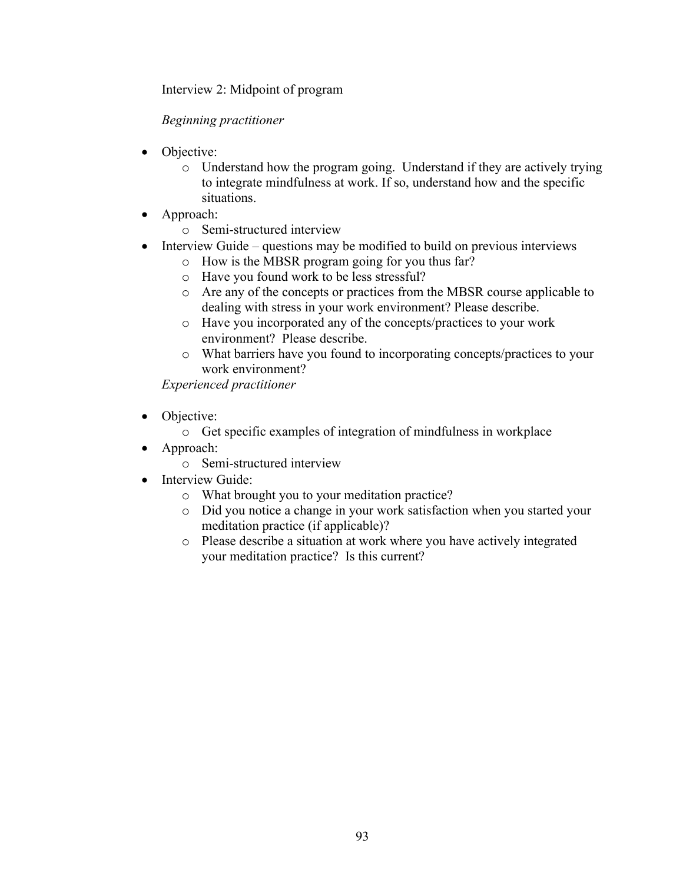Interview 2: Midpoint of program

# *Beginning practitioner*

- Objective:
	- o Understand how the program going. Understand if they are actively trying to integrate mindfulness at work. If so, understand how and the specific situations.
- Approach:
	- o Semi-structured interview
- Interview Guide questions may be modified to build on previous interviews
	- o How is the MBSR program going for you thus far?
	- o Have you found work to be less stressful?
	- o Are any of the concepts or practices from the MBSR course applicable to dealing with stress in your work environment? Please describe.
	- o Have you incorporated any of the concepts/practices to your work environment? Please describe.
	- o What barriers have you found to incorporating concepts/practices to your work environment?

*Experienced practitioner*

- Objective:
	- o Get specific examples of integration of mindfulness in workplace
- Approach:
	- o Semi-structured interview
- Interview Guide:
	- o What brought you to your meditation practice?
	- o Did you notice a change in your work satisfaction when you started your meditation practice (if applicable)?
	- o Please describe a situation at work where you have actively integrated your meditation practice? Is this current?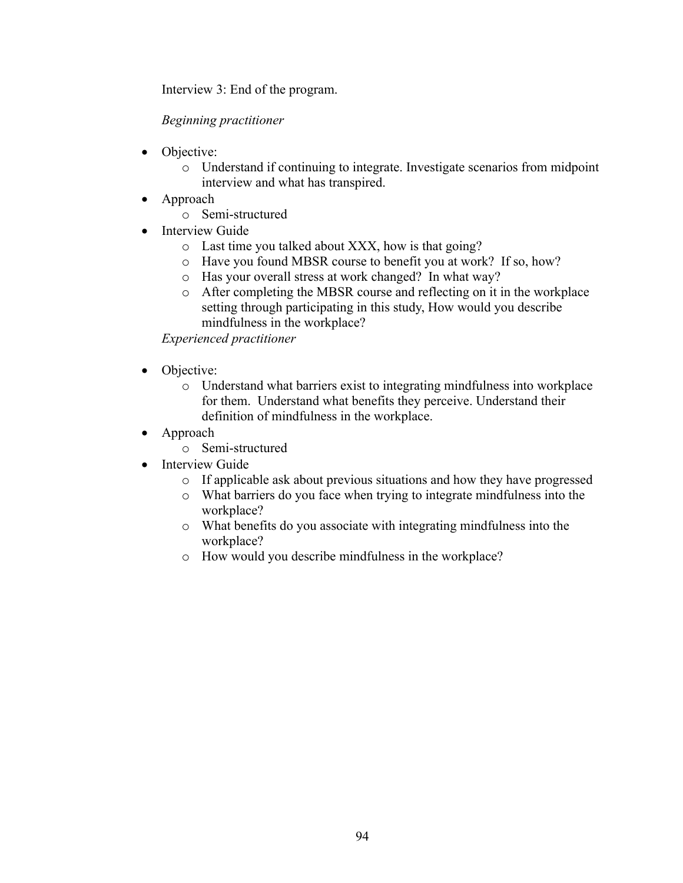Interview 3: End of the program.

# *Beginning practitioner*

- Objective:
	- o Understand if continuing to integrate. Investigate scenarios from midpoint interview and what has transpired.
- Approach
	- o Semi-structured
- Interview Guide
	- o Last time you talked about XXX, how is that going?
	- o Have you found MBSR course to benefit you at work? If so, how?
	- o Has your overall stress at work changed? In what way?
	- o After completing the MBSR course and reflecting on it in the workplace setting through participating in this study, How would you describe mindfulness in the workplace?

*Experienced practitioner*

- Objective:
	- o Understand what barriers exist to integrating mindfulness into workplace for them. Understand what benefits they perceive. Understand their definition of mindfulness in the workplace.
- Approach
	- o Semi-structured
- Interview Guide
	- o If applicable ask about previous situations and how they have progressed
	- o What barriers do you face when trying to integrate mindfulness into the workplace?
	- o What benefits do you associate with integrating mindfulness into the workplace?
	- o How would you describe mindfulness in the workplace?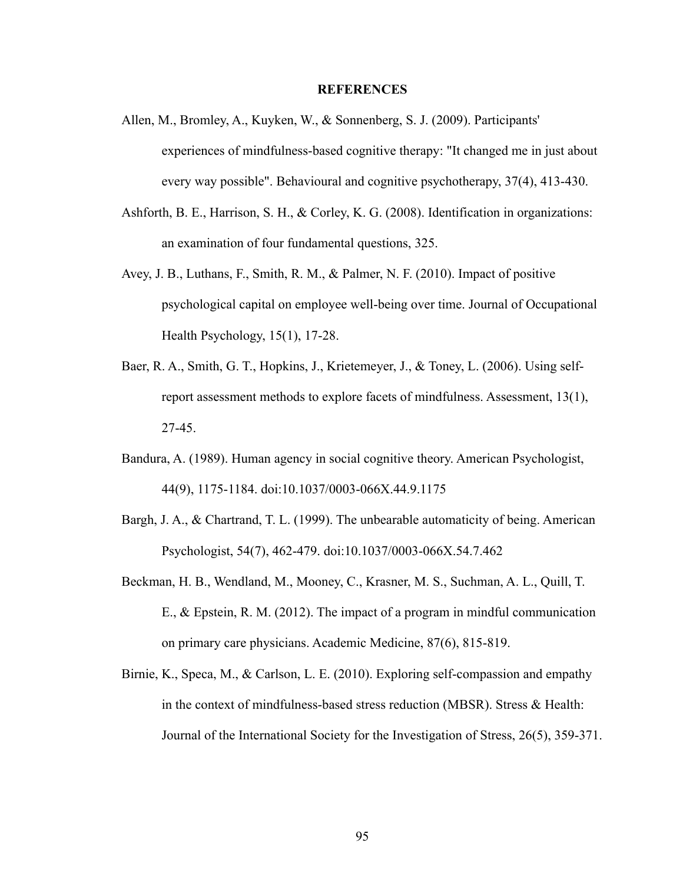### **REFERENCES**

- Allen, M., Bromley, A., Kuyken, W., & Sonnenberg, S. J. (2009). Participants' experiences of mindfulness-based cognitive therapy: "It changed me in just about every way possible". Behavioural and cognitive psychotherapy, 37(4), 413-430.
- Ashforth, B. E., Harrison, S. H., & Corley, K. G. (2008). Identification in organizations: an examination of four fundamental questions, 325.
- Avey, J. B., Luthans, F., Smith, R. M., & Palmer, N. F. (2010). Impact of positive psychological capital on employee well-being over time. Journal of Occupational Health Psychology, 15(1), 17-28.
- Baer, R. A., Smith, G. T., Hopkins, J., Krietemeyer, J., & Toney, L. (2006). Using selfreport assessment methods to explore facets of mindfulness. Assessment, 13(1), 27-45.
- Bandura, A. (1989). Human agency in social cognitive theory. American Psychologist, 44(9), 1175-1184. doi:10.1037/0003-066X.44.9.1175
- Bargh, J. A., & Chartrand, T. L. (1999). The unbearable automaticity of being. American Psychologist, 54(7), 462-479. doi:10.1037/0003-066X.54.7.462
- Beckman, H. B., Wendland, M., Mooney, C., Krasner, M. S., Suchman, A. L., Quill, T. E., & Epstein, R. M. (2012). The impact of a program in mindful communication on primary care physicians. Academic Medicine, 87(6), 815-819.
- Birnie, K., Speca, M., & Carlson, L. E. (2010). Exploring self-compassion and empathy in the context of mindfulness-based stress reduction (MBSR). Stress & Health: Journal of the International Society for the Investigation of Stress, 26(5), 359-371.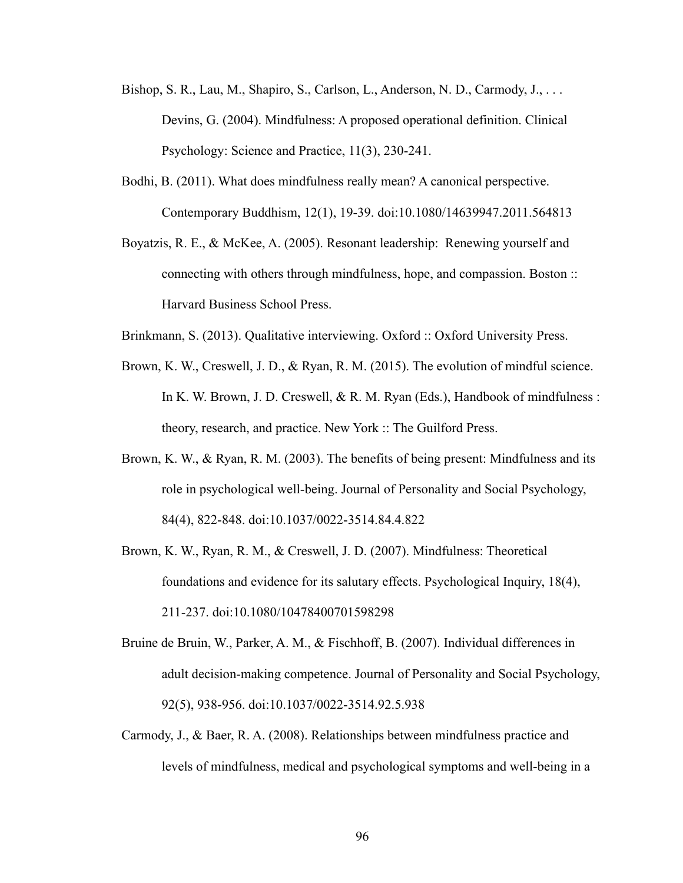- Bishop, S. R., Lau, M., Shapiro, S., Carlson, L., Anderson, N. D., Carmody, J., ... Devins, G. (2004). Mindfulness: A proposed operational definition. Clinical Psychology: Science and Practice, 11(3), 230-241.
- Bodhi, B. (2011). What does mindfulness really mean? A canonical perspective. Contemporary Buddhism, 12(1), 19-39. doi:10.1080/14639947.2011.564813
- Boyatzis, R. E., & McKee, A. (2005). Resonant leadership: Renewing yourself and connecting with others through mindfulness, hope, and compassion. Boston :: Harvard Business School Press.
- Brinkmann, S. (2013). Qualitative interviewing. Oxford :: Oxford University Press.
- Brown, K. W., Creswell, J. D., & Ryan, R. M. (2015). The evolution of mindful science. In K. W. Brown, J. D. Creswell, & R. M. Ryan (Eds.), Handbook of mindfulness : theory, research, and practice. New York :: The Guilford Press.
- Brown, K. W., & Ryan, R. M. (2003). The benefits of being present: Mindfulness and its role in psychological well-being. Journal of Personality and Social Psychology, 84(4), 822-848. doi:10.1037/0022-3514.84.4.822
- Brown, K. W., Ryan, R. M., & Creswell, J. D. (2007). Mindfulness: Theoretical foundations and evidence for its salutary effects. Psychological Inquiry, 18(4), 211-237. doi:10.1080/10478400701598298
- Bruine de Bruin, W., Parker, A. M., & Fischhoff, B. (2007). Individual differences in adult decision-making competence. Journal of Personality and Social Psychology, 92(5), 938-956. doi:10.1037/0022-3514.92.5.938
- Carmody, J., & Baer, R. A. (2008). Relationships between mindfulness practice and levels of mindfulness, medical and psychological symptoms and well-being in a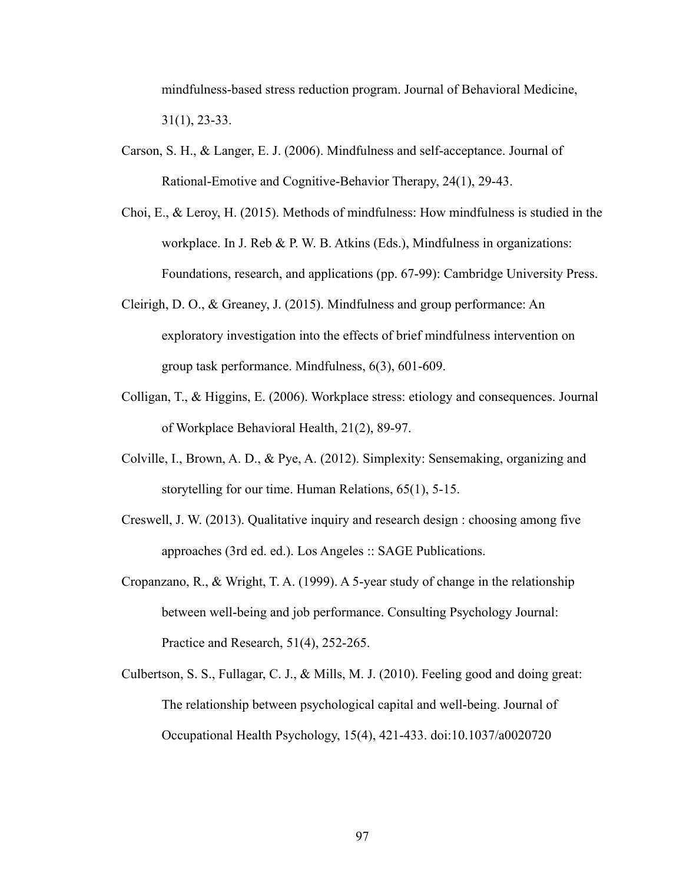mindfulness-based stress reduction program. Journal of Behavioral Medicine, 31(1), 23-33.

- Carson, S. H., & Langer, E. J. (2006). Mindfulness and self-acceptance. Journal of Rational-Emotive and Cognitive-Behavior Therapy, 24(1), 29-43.
- Choi, E., & Leroy, H. (2015). Methods of mindfulness: How mindfulness is studied in the workplace. In J. Reb & P. W. B. Atkins (Eds.), Mindfulness in organizations: Foundations, research, and applications (pp. 67-99): Cambridge University Press.
- Cleirigh, D. O., & Greaney, J. (2015). Mindfulness and group performance: An exploratory investigation into the effects of brief mindfulness intervention on group task performance. Mindfulness, 6(3), 601-609.
- Colligan, T., & Higgins, E. (2006). Workplace stress: etiology and consequences. Journal of Workplace Behavioral Health, 21(2), 89-97.
- Colville, I., Brown, A. D., & Pye, A. (2012). Simplexity: Sensemaking, organizing and storytelling for our time. Human Relations, 65(1), 5-15.
- Creswell, J. W. (2013). Qualitative inquiry and research design : choosing among five approaches (3rd ed. ed.). Los Angeles :: SAGE Publications.
- Cropanzano, R., & Wright, T. A. (1999). A 5-year study of change in the relationship between well-being and job performance. Consulting Psychology Journal: Practice and Research, 51(4), 252-265.
- Culbertson, S. S., Fullagar, C. J., & Mills, M. J. (2010). Feeling good and doing great: The relationship between psychological capital and well-being. Journal of Occupational Health Psychology, 15(4), 421-433. doi:10.1037/a0020720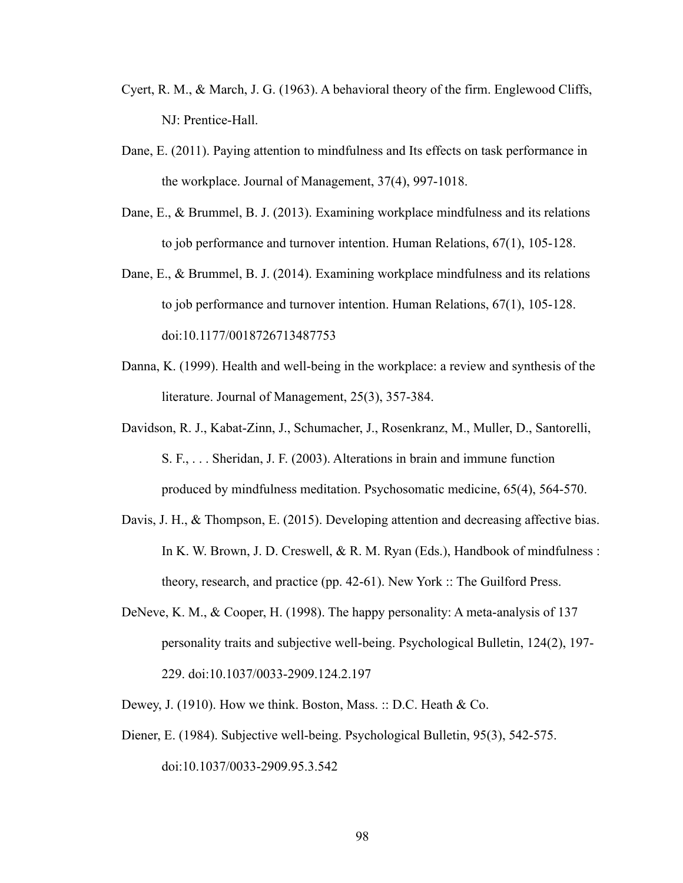- Cyert, R. M., & March, J. G. (1963). A behavioral theory of the firm. Englewood Cliffs, NJ: Prentice-Hall.
- Dane, E. (2011). Paying attention to mindfulness and Its effects on task performance in the workplace. Journal of Management, 37(4), 997-1018.
- Dane, E., & Brummel, B. J. (2013). Examining workplace mindfulness and its relations to job performance and turnover intention. Human Relations, 67(1), 105-128.
- Dane, E., & Brummel, B. J. (2014). Examining workplace mindfulness and its relations to job performance and turnover intention. Human Relations, 67(1), 105-128. doi:10.1177/0018726713487753
- Danna, K. (1999). Health and well-being in the workplace: a review and synthesis of the literature. Journal of Management, 25(3), 357-384.
- Davidson, R. J., Kabat-Zinn, J., Schumacher, J., Rosenkranz, M., Muller, D., Santorelli, S. F., . . . Sheridan, J. F. (2003). Alterations in brain and immune function produced by mindfulness meditation. Psychosomatic medicine, 65(4), 564-570.
- Davis, J. H., & Thompson, E. (2015). Developing attention and decreasing affective bias. In K. W. Brown, J. D. Creswell, & R. M. Ryan (Eds.), Handbook of mindfulness : theory, research, and practice (pp. 42-61). New York :: The Guilford Press.
- DeNeve, K. M., & Cooper, H. (1998). The happy personality: A meta-analysis of 137 personality traits and subjective well-being. Psychological Bulletin, 124(2), 197- 229. doi:10.1037/0033-2909.124.2.197
- Dewey, J. (1910). How we think. Boston, Mass. :: D.C. Heath & Co.
- Diener, E. (1984). Subjective well-being. Psychological Bulletin, 95(3), 542-575. doi:10.1037/0033-2909.95.3.542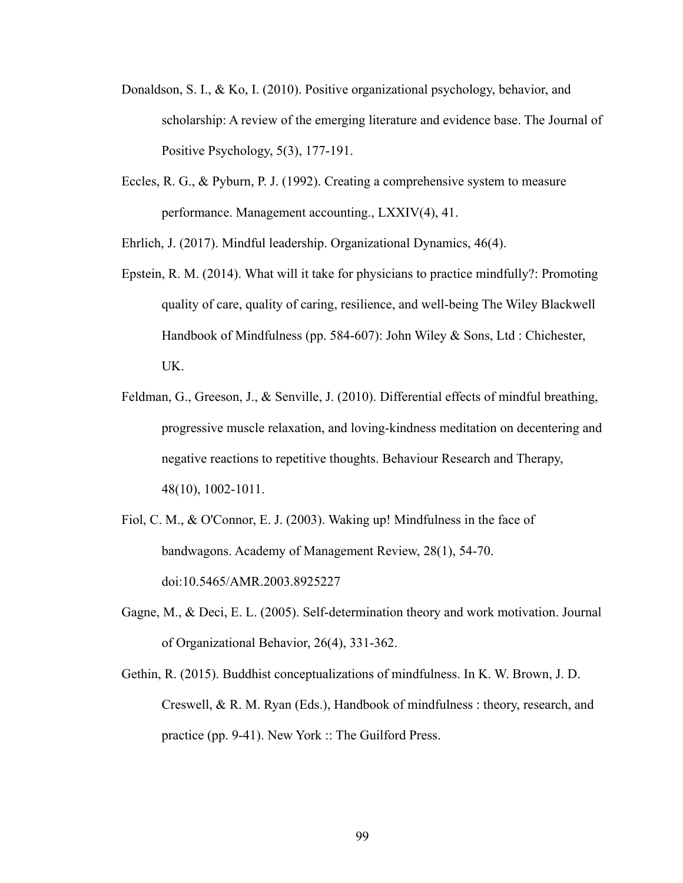- Donaldson, S. I., & Ko, I. (2010). Positive organizational psychology, behavior, and scholarship: A review of the emerging literature and evidence base. The Journal of Positive Psychology, 5(3), 177-191.
- Eccles, R. G., & Pyburn, P. J. (1992). Creating a comprehensive system to measure performance. Management accounting., LXXIV(4), 41.

Ehrlich, J. (2017). Mindful leadership. Organizational Dynamics, 46(4).

- Epstein, R. M. (2014). What will it take for physicians to practice mindfully?: Promoting quality of care, quality of caring, resilience, and well-being The Wiley Blackwell Handbook of Mindfulness (pp. 584-607): John Wiley & Sons, Ltd : Chichester, UK.
- Feldman, G., Greeson, J., & Senville, J. (2010). Differential effects of mindful breathing, progressive muscle relaxation, and loving-kindness meditation on decentering and negative reactions to repetitive thoughts. Behaviour Research and Therapy, 48(10), 1002-1011.
- Fiol, C. M., & O'Connor, E. J. (2003). Waking up! Mindfulness in the face of bandwagons. Academy of Management Review, 28(1), 54-70. doi:10.5465/AMR.2003.8925227
- Gagne, M., & Deci, E. L. (2005). Self-determination theory and work motivation. Journal of Organizational Behavior, 26(4), 331-362.
- Gethin, R. (2015). Buddhist conceptualizations of mindfulness. In K. W. Brown, J. D. Creswell, & R. M. Ryan (Eds.), Handbook of mindfulness : theory, research, and practice (pp. 9-41). New York :: The Guilford Press.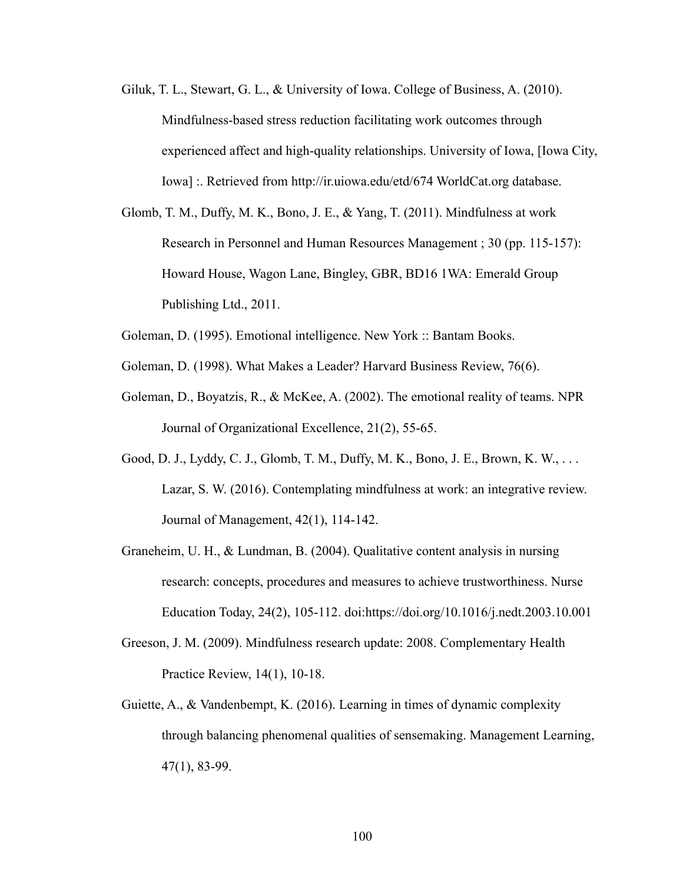- Giluk, T. L., Stewart, G. L., & University of Iowa. College of Business, A. (2010). Mindfulness-based stress reduction facilitating work outcomes through experienced affect and high-quality relationships. University of Iowa, [Iowa City, Iowa] :. Retrieved from http://ir.uiowa.edu/etd/674 WorldCat.org database.
- Glomb, T. M., Duffy, M. K., Bono, J. E., & Yang, T. (2011). Mindfulness at work Research in Personnel and Human Resources Management ; 30 (pp. 115-157): Howard House, Wagon Lane, Bingley, GBR, BD16 1WA: Emerald Group Publishing Ltd., 2011.
- Goleman, D. (1995). Emotional intelligence. New York :: Bantam Books.
- Goleman, D. (1998). What Makes a Leader? Harvard Business Review, 76(6).
- Goleman, D., Boyatzis, R., & McKee, A. (2002). The emotional reality of teams. NPR Journal of Organizational Excellence, 21(2), 55-65.
- Good, D. J., Lyddy, C. J., Glomb, T. M., Duffy, M. K., Bono, J. E., Brown, K. W., . . . Lazar, S. W. (2016). Contemplating mindfulness at work: an integrative review. Journal of Management, 42(1), 114-142.
- Graneheim, U. H., & Lundman, B. (2004). Qualitative content analysis in nursing research: concepts, procedures and measures to achieve trustworthiness. Nurse Education Today, 24(2), 105-112. doi:https://doi.org/10.1016/j.nedt.2003.10.001
- Greeson, J. M. (2009). Mindfulness research update: 2008. Complementary Health Practice Review, 14(1), 10-18.
- Guiette, A., & Vandenbempt, K. (2016). Learning in times of dynamic complexity through balancing phenomenal qualities of sensemaking. Management Learning, 47(1), 83-99.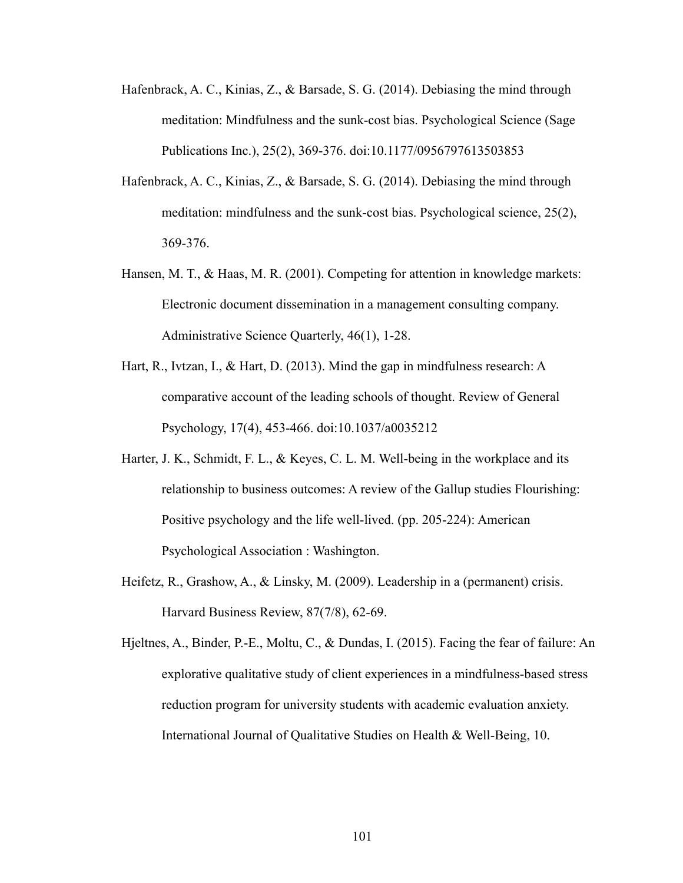- Hafenbrack, A. C., Kinias, Z., & Barsade, S. G. (2014). Debiasing the mind through meditation: Mindfulness and the sunk-cost bias. Psychological Science (Sage Publications Inc.), 25(2), 369-376. doi:10.1177/0956797613503853
- Hafenbrack, A. C., Kinias, Z., & Barsade, S. G. (2014). Debiasing the mind through meditation: mindfulness and the sunk-cost bias. Psychological science, 25(2), 369-376.
- Hansen, M. T., & Haas, M. R. (2001). Competing for attention in knowledge markets: Electronic document dissemination in a management consulting company. Administrative Science Quarterly, 46(1), 1-28.
- Hart, R., Ivtzan, I., & Hart, D. (2013). Mind the gap in mindfulness research: A comparative account of the leading schools of thought. Review of General Psychology, 17(4), 453-466. doi:10.1037/a0035212
- Harter, J. K., Schmidt, F. L., & Keyes, C. L. M. Well-being in the workplace and its relationship to business outcomes: A review of the Gallup studies Flourishing: Positive psychology and the life well-lived. (pp. 205-224): American Psychological Association : Washington.
- Heifetz, R., Grashow, A., & Linsky, M. (2009). Leadership in a (permanent) crisis. Harvard Business Review, 87(7/8), 62-69.
- Hjeltnes, A., Binder, P.-E., Moltu, C., & Dundas, I. (2015). Facing the fear of failure: An explorative qualitative study of client experiences in a mindfulness-based stress reduction program for university students with academic evaluation anxiety. International Journal of Qualitative Studies on Health & Well-Being, 10.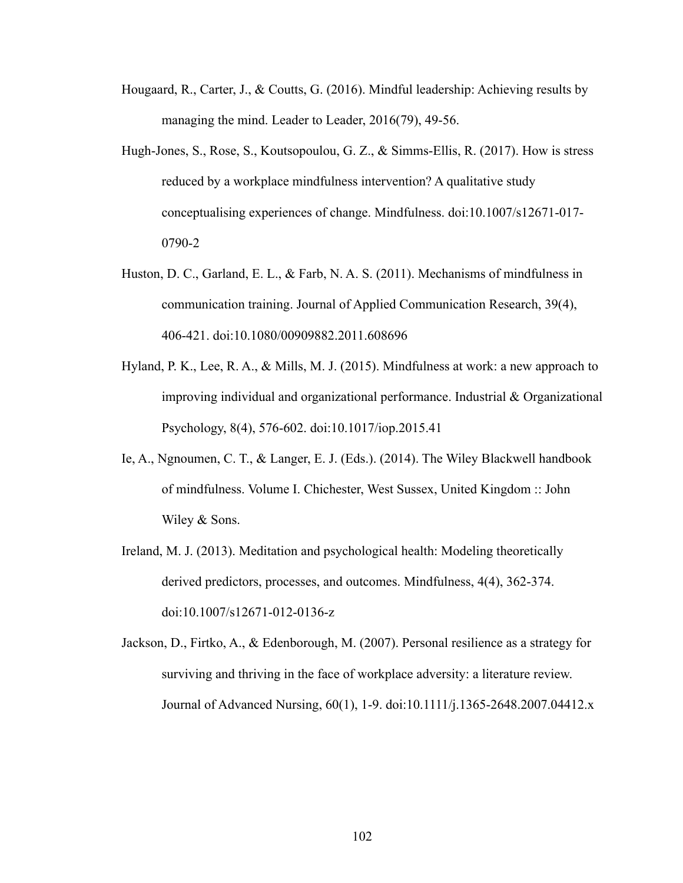- Hougaard, R., Carter, J., & Coutts, G. (2016). Mindful leadership: Achieving results by managing the mind. Leader to Leader, 2016(79), 49-56.
- Hugh-Jones, S., Rose, S., Koutsopoulou, G. Z., & Simms-Ellis, R. (2017). How is stress reduced by a workplace mindfulness intervention? A qualitative study conceptualising experiences of change. Mindfulness. doi:10.1007/s12671-017- 0790-2
- Huston, D. C., Garland, E. L., & Farb, N. A. S. (2011). Mechanisms of mindfulness in communication training. Journal of Applied Communication Research, 39(4), 406-421. doi:10.1080/00909882.2011.608696
- Hyland, P. K., Lee, R. A., & Mills, M. J. (2015). Mindfulness at work: a new approach to improving individual and organizational performance. Industrial & Organizational Psychology, 8(4), 576-602. doi:10.1017/iop.2015.41
- Ie, A., Ngnoumen, C. T., & Langer, E. J. (Eds.). (2014). The Wiley Blackwell handbook of mindfulness. Volume I. Chichester, West Sussex, United Kingdom :: John Wiley & Sons.
- Ireland, M. J. (2013). Meditation and psychological health: Modeling theoretically derived predictors, processes, and outcomes. Mindfulness, 4(4), 362-374. doi:10.1007/s12671-012-0136-z
- Jackson, D., Firtko, A., & Edenborough, M. (2007). Personal resilience as a strategy for surviving and thriving in the face of workplace adversity: a literature review. Journal of Advanced Nursing, 60(1), 1-9. doi:10.1111/j.1365-2648.2007.04412.x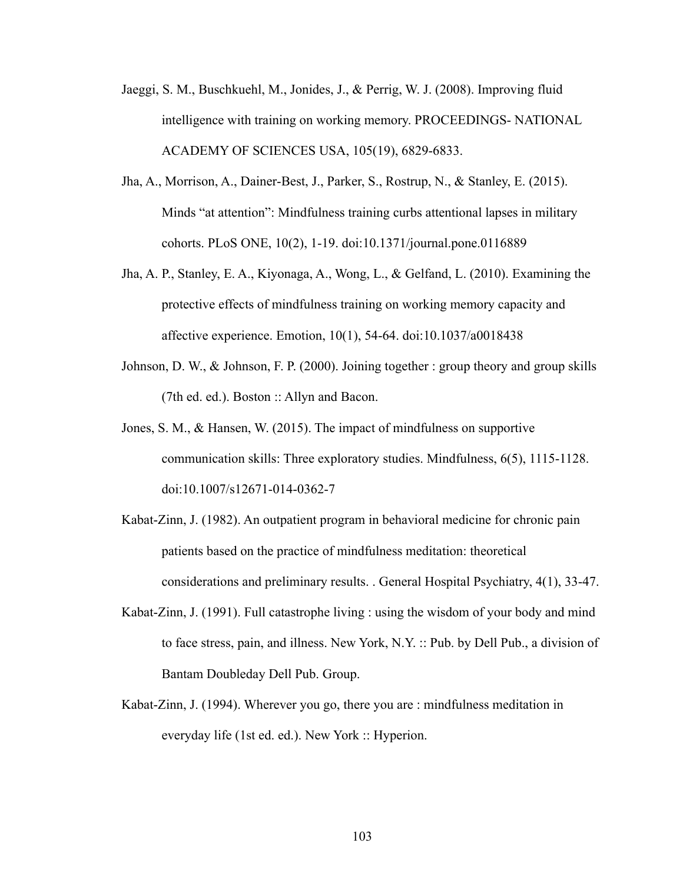- Jaeggi, S. M., Buschkuehl, M., Jonides, J., & Perrig, W. J. (2008). Improving fluid intelligence with training on working memory. PROCEEDINGS- NATIONAL ACADEMY OF SCIENCES USA, 105(19), 6829-6833.
- Jha, A., Morrison, A., Dainer-Best, J., Parker, S., Rostrup, N., & Stanley, E. (2015). Minds "at attention": Mindfulness training curbs attentional lapses in military cohorts. PLoS ONE, 10(2), 1-19. doi:10.1371/journal.pone.0116889
- Jha, A. P., Stanley, E. A., Kiyonaga, A., Wong, L., & Gelfand, L. (2010). Examining the protective effects of mindfulness training on working memory capacity and affective experience. Emotion, 10(1), 54-64. doi:10.1037/a0018438
- Johnson, D. W., & Johnson, F. P. (2000). Joining together : group theory and group skills (7th ed. ed.). Boston :: Allyn and Bacon.
- Jones, S. M., & Hansen, W. (2015). The impact of mindfulness on supportive communication skills: Three exploratory studies. Mindfulness, 6(5), 1115-1128. doi:10.1007/s12671-014-0362-7
- Kabat-Zinn, J. (1982). An outpatient program in behavioral medicine for chronic pain patients based on the practice of mindfulness meditation: theoretical considerations and preliminary results. . General Hospital Psychiatry, 4(1), 33-47.
- Kabat-Zinn, J. (1991). Full catastrophe living : using the wisdom of your body and mind to face stress, pain, and illness. New York, N.Y. :: Pub. by Dell Pub., a division of Bantam Doubleday Dell Pub. Group.
- Kabat-Zinn, J. (1994). Wherever you go, there you are : mindfulness meditation in everyday life (1st ed. ed.). New York :: Hyperion.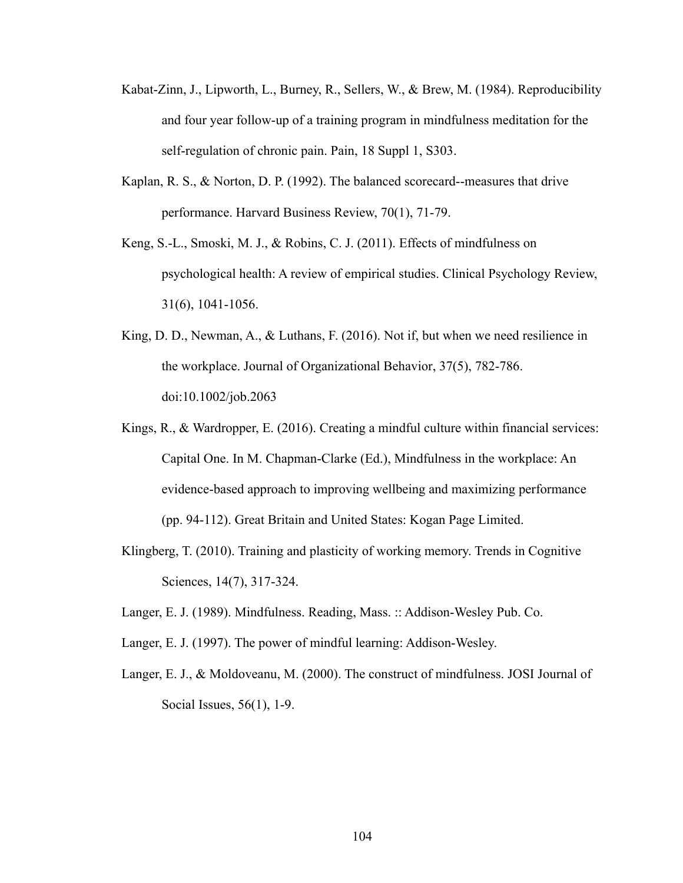- Kabat-Zinn, J., Lipworth, L., Burney, R., Sellers, W., & Brew, M. (1984). Reproducibility and four year follow-up of a training program in mindfulness meditation for the self-regulation of chronic pain. Pain, 18 Suppl 1, S303.
- Kaplan, R. S., & Norton, D. P. (1992). The balanced scorecard--measures that drive performance. Harvard Business Review, 70(1), 71-79.
- Keng, S.-L., Smoski, M. J., & Robins, C. J. (2011). Effects of mindfulness on psychological health: A review of empirical studies. Clinical Psychology Review, 31(6), 1041-1056.
- King, D. D., Newman, A., & Luthans, F. (2016). Not if, but when we need resilience in the workplace. Journal of Organizational Behavior, 37(5), 782-786. doi:10.1002/job.2063
- Kings, R., & Wardropper, E. (2016). Creating a mindful culture within financial services: Capital One. In M. Chapman-Clarke (Ed.), Mindfulness in the workplace: An evidence-based approach to improving wellbeing and maximizing performance (pp. 94-112). Great Britain and United States: Kogan Page Limited.
- Klingberg, T. (2010). Training and plasticity of working memory. Trends in Cognitive Sciences, 14(7), 317-324.
- Langer, E. J. (1989). Mindfulness. Reading, Mass. :: Addison-Wesley Pub. Co.
- Langer, E. J. (1997). The power of mindful learning: Addison-Wesley.
- Langer, E. J., & Moldoveanu, M. (2000). The construct of mindfulness. JOSI Journal of Social Issues, 56(1), 1-9.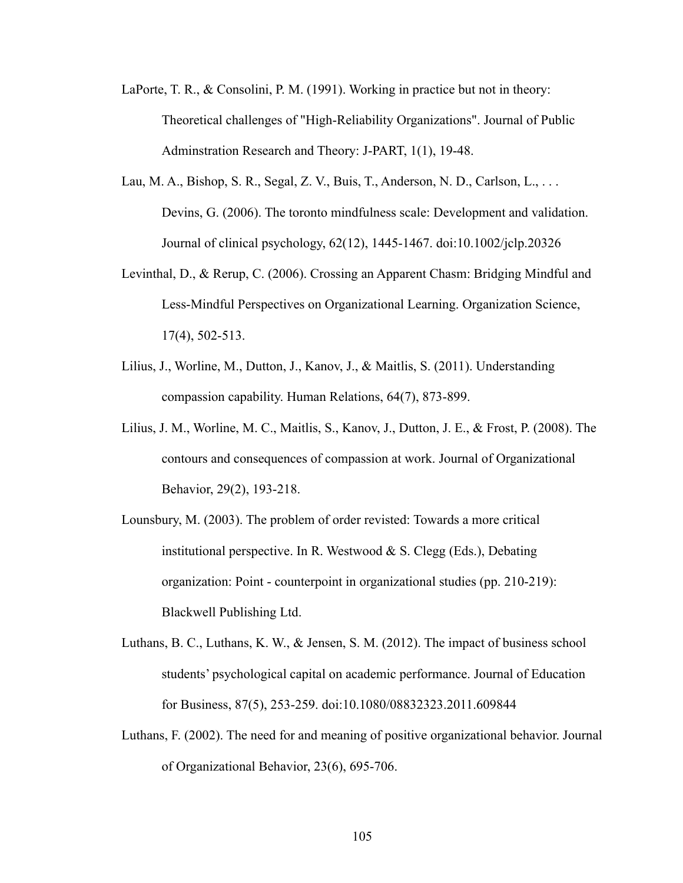- LaPorte, T. R., & Consolini, P. M. (1991). Working in practice but not in theory: Theoretical challenges of "High-Reliability Organizations". Journal of Public Adminstration Research and Theory: J-PART, 1(1), 19-48.
- Lau, M. A., Bishop, S. R., Segal, Z. V., Buis, T., Anderson, N. D., Carlson, L., . . . Devins, G. (2006). The toronto mindfulness scale: Development and validation. Journal of clinical psychology, 62(12), 1445-1467. doi:10.1002/jclp.20326
- Levinthal, D., & Rerup, C. (2006). Crossing an Apparent Chasm: Bridging Mindful and Less-Mindful Perspectives on Organizational Learning. Organization Science, 17(4), 502-513.
- Lilius, J., Worline, M., Dutton, J., Kanov, J., & Maitlis, S. (2011). Understanding compassion capability. Human Relations, 64(7), 873-899.
- Lilius, J. M., Worline, M. C., Maitlis, S., Kanov, J., Dutton, J. E., & Frost, P. (2008). The contours and consequences of compassion at work. Journal of Organizational Behavior, 29(2), 193-218.
- Lounsbury, M. (2003). The problem of order revisted: Towards a more critical institutional perspective. In R. Westwood  $\& S$ . Clegg (Eds.), Debating organization: Point - counterpoint in organizational studies (pp. 210-219): Blackwell Publishing Ltd.
- Luthans, B. C., Luthans, K. W., & Jensen, S. M. (2012). The impact of business school students' psychological capital on academic performance. Journal of Education for Business, 87(5), 253-259. doi:10.1080/08832323.2011.609844
- Luthans, F. (2002). The need for and meaning of positive organizational behavior. Journal of Organizational Behavior, 23(6), 695-706.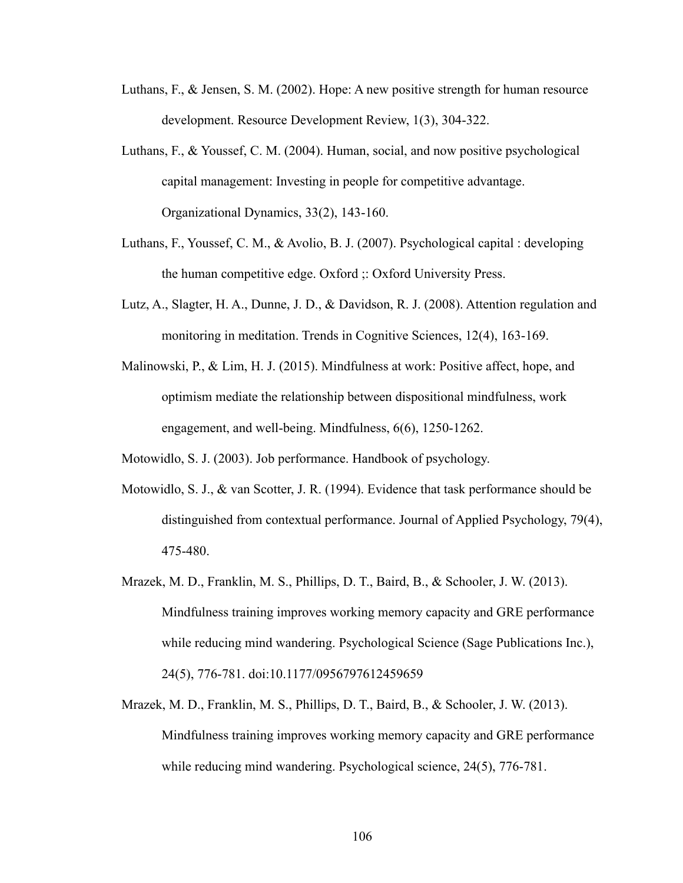- Luthans, F., & Jensen, S. M. (2002). Hope: A new positive strength for human resource development. Resource Development Review, 1(3), 304-322.
- Luthans, F., & Youssef, C. M. (2004). Human, social, and now positive psychological capital management: Investing in people for competitive advantage. Organizational Dynamics, 33(2), 143-160.
- Luthans, F., Youssef, C. M., & Avolio, B. J. (2007). Psychological capital : developing the human competitive edge. Oxford ;: Oxford University Press.
- Lutz, A., Slagter, H. A., Dunne, J. D., & Davidson, R. J. (2008). Attention regulation and monitoring in meditation. Trends in Cognitive Sciences, 12(4), 163-169.
- Malinowski, P., & Lim, H. J. (2015). Mindfulness at work: Positive affect, hope, and optimism mediate the relationship between dispositional mindfulness, work engagement, and well-being. Mindfulness, 6(6), 1250-1262.

Motowidlo, S. J. (2003). Job performance. Handbook of psychology.

- Motowidlo, S. J., & van Scotter, J. R. (1994). Evidence that task performance should be distinguished from contextual performance. Journal of Applied Psychology, 79(4), 475-480.
- Mrazek, M. D., Franklin, M. S., Phillips, D. T., Baird, B., & Schooler, J. W. (2013). Mindfulness training improves working memory capacity and GRE performance while reducing mind wandering. Psychological Science (Sage Publications Inc.), 24(5), 776-781. doi:10.1177/0956797612459659
- Mrazek, M. D., Franklin, M. S., Phillips, D. T., Baird, B., & Schooler, J. W. (2013). Mindfulness training improves working memory capacity and GRE performance while reducing mind wandering. Psychological science, 24(5), 776-781.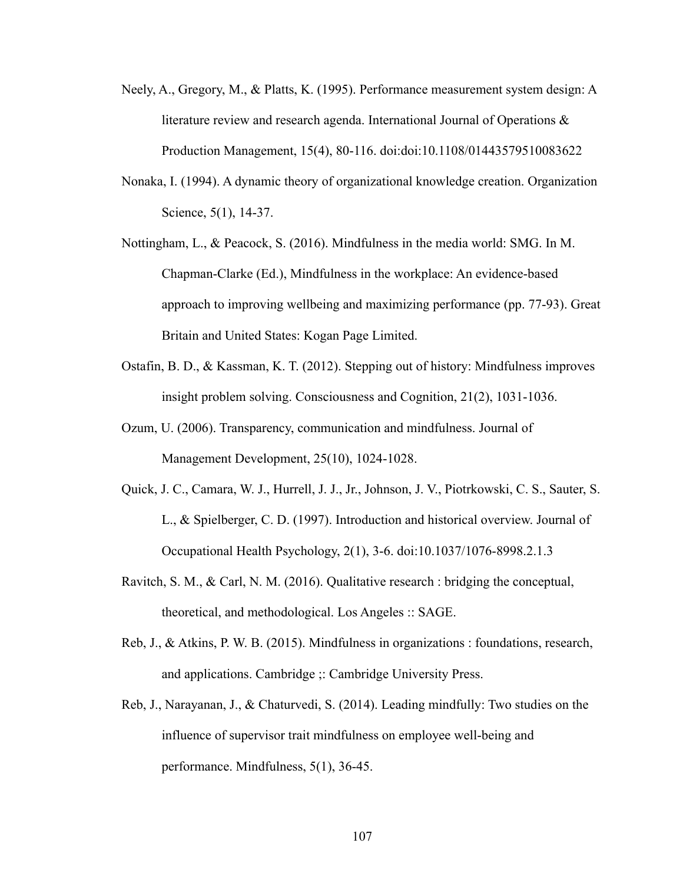- Neely, A., Gregory, M., & Platts, K. (1995). Performance measurement system design: A literature review and research agenda. International Journal of Operations & Production Management, 15(4), 80-116. doi:doi:10.1108/01443579510083622
- Nonaka, I. (1994). A dynamic theory of organizational knowledge creation. Organization Science, 5(1), 14-37.
- Nottingham, L., & Peacock, S. (2016). Mindfulness in the media world: SMG. In M. Chapman-Clarke (Ed.), Mindfulness in the workplace: An evidence-based approach to improving wellbeing and maximizing performance (pp. 77-93). Great Britain and United States: Kogan Page Limited.
- Ostafin, B. D., & Kassman, K. T. (2012). Stepping out of history: Mindfulness improves insight problem solving. Consciousness and Cognition, 21(2), 1031-1036.
- Ozum, U. (2006). Transparency, communication and mindfulness. Journal of Management Development, 25(10), 1024-1028.
- Quick, J. C., Camara, W. J., Hurrell, J. J., Jr., Johnson, J. V., Piotrkowski, C. S., Sauter, S. L., & Spielberger, C. D. (1997). Introduction and historical overview. Journal of Occupational Health Psychology, 2(1), 3-6. doi:10.1037/1076-8998.2.1.3
- Ravitch, S. M., & Carl, N. M. (2016). Qualitative research : bridging the conceptual, theoretical, and methodological. Los Angeles :: SAGE.
- Reb, J., & Atkins, P. W. B. (2015). Mindfulness in organizations : foundations, research, and applications. Cambridge ;: Cambridge University Press.
- Reb, J., Narayanan, J., & Chaturvedi, S. (2014). Leading mindfully: Two studies on the influence of supervisor trait mindfulness on employee well-being and performance. Mindfulness, 5(1), 36-45.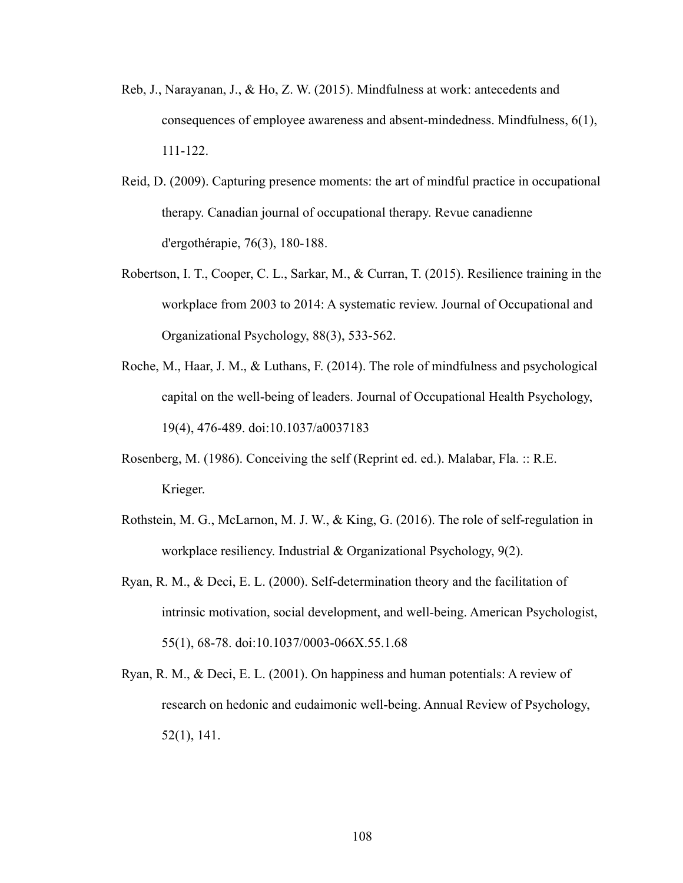- Reb, J., Narayanan, J., & Ho, Z. W. (2015). Mindfulness at work: antecedents and consequences of employee awareness and absent-mindedness. Mindfulness, 6(1), 111-122.
- Reid, D. (2009). Capturing presence moments: the art of mindful practice in occupational therapy. Canadian journal of occupational therapy. Revue canadienne d'ergothérapie, 76(3), 180-188.
- Robertson, I. T., Cooper, C. L., Sarkar, M., & Curran, T. (2015). Resilience training in the workplace from 2003 to 2014: A systematic review. Journal of Occupational and Organizational Psychology, 88(3), 533-562.
- Roche, M., Haar, J. M., & Luthans, F. (2014). The role of mindfulness and psychological capital on the well-being of leaders. Journal of Occupational Health Psychology, 19(4), 476-489. doi:10.1037/a0037183
- Rosenberg, M. (1986). Conceiving the self (Reprint ed. ed.). Malabar, Fla. :: R.E. Krieger.
- Rothstein, M. G., McLarnon, M. J. W., & King, G. (2016). The role of self-regulation in workplace resiliency. Industrial & Organizational Psychology, 9(2).
- Ryan, R. M., & Deci, E. L. (2000). Self-determination theory and the facilitation of intrinsic motivation, social development, and well-being. American Psychologist, 55(1), 68-78. doi:10.1037/0003-066X.55.1.68
- Ryan, R. M., & Deci, E. L. (2001). On happiness and human potentials: A review of research on hedonic and eudaimonic well-being. Annual Review of Psychology, 52(1), 141.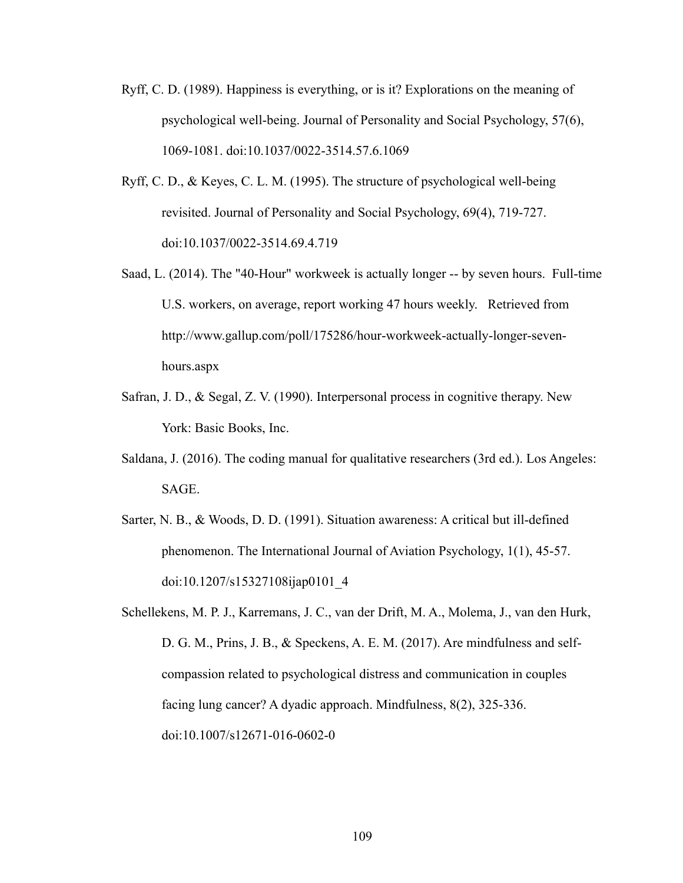- Ryff, C. D. (1989). Happiness is everything, or is it? Explorations on the meaning of psychological well-being. Journal of Personality and Social Psychology, 57(6), 1069-1081. doi:10.1037/0022-3514.57.6.1069
- Ryff, C. D., & Keyes, C. L. M. (1995). The structure of psychological well-being revisited. Journal of Personality and Social Psychology, 69(4), 719-727. doi:10.1037/0022-3514.69.4.719
- Saad, L. (2014). The "40-Hour" workweek is actually longer -- by seven hours. Full-time U.S. workers, on average, report working 47 hours weekly. Retrieved from http://www.gallup.com/poll/175286/hour-workweek-actually-longer-sevenhours.aspx
- Safran, J. D., & Segal, Z. V. (1990). Interpersonal process in cognitive therapy. New York: Basic Books, Inc.
- Saldana, J. (2016). The coding manual for qualitative researchers (3rd ed.). Los Angeles: SAGE.
- Sarter, N. B., & Woods, D. D. (1991). Situation awareness: A critical but ill-defined phenomenon. The International Journal of Aviation Psychology, 1(1), 45-57. doi:10.1207/s15327108ijap0101\_4
- Schellekens, M. P. J., Karremans, J. C., van der Drift, M. A., Molema, J., van den Hurk, D. G. M., Prins, J. B., & Speckens, A. E. M. (2017). Are mindfulness and selfcompassion related to psychological distress and communication in couples facing lung cancer? A dyadic approach. Mindfulness, 8(2), 325-336. doi:10.1007/s12671-016-0602-0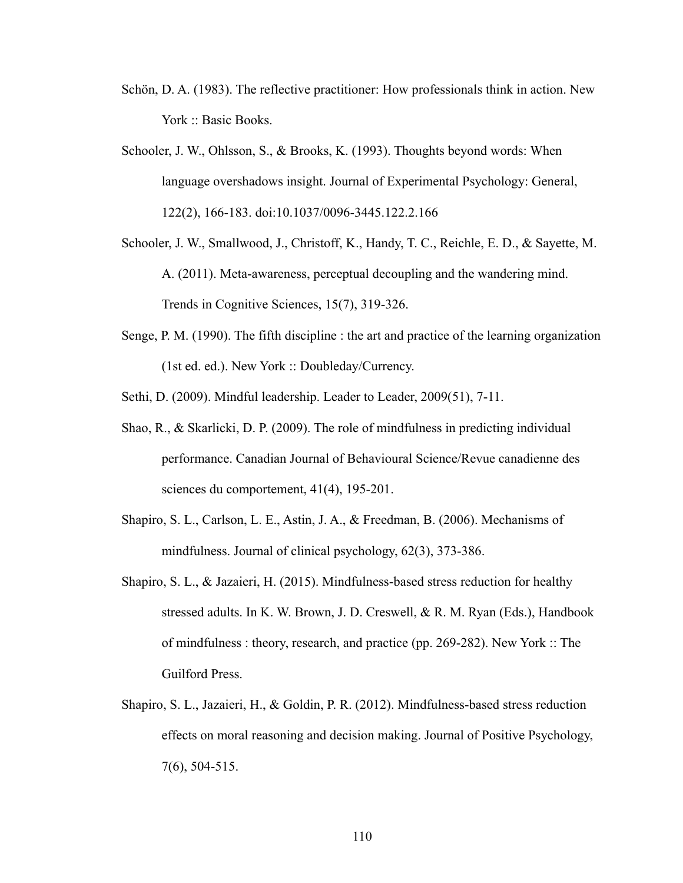- Schön, D. A. (1983). The reflective practitioner: How professionals think in action. New York :: Basic Books.
- Schooler, J. W., Ohlsson, S., & Brooks, K. (1993). Thoughts beyond words: When language overshadows insight. Journal of Experimental Psychology: General, 122(2), 166-183. doi:10.1037/0096-3445.122.2.166
- Schooler, J. W., Smallwood, J., Christoff, K., Handy, T. C., Reichle, E. D., & Sayette, M. A. (2011). Meta-awareness, perceptual decoupling and the wandering mind. Trends in Cognitive Sciences, 15(7), 319-326.
- Senge, P. M. (1990). The fifth discipline : the art and practice of the learning organization (1st ed. ed.). New York :: Doubleday/Currency.
- Sethi, D. (2009). Mindful leadership. Leader to Leader, 2009(51), 7-11.
- Shao, R., & Skarlicki, D. P. (2009). The role of mindfulness in predicting individual performance. Canadian Journal of Behavioural Science/Revue canadienne des sciences du comportement, 41(4), 195-201.
- Shapiro, S. L., Carlson, L. E., Astin, J. A., & Freedman, B. (2006). Mechanisms of mindfulness. Journal of clinical psychology, 62(3), 373-386.
- Shapiro, S. L., & Jazaieri, H. (2015). Mindfulness-based stress reduction for healthy stressed adults. In K. W. Brown, J. D. Creswell, & R. M. Ryan (Eds.), Handbook of mindfulness : theory, research, and practice (pp. 269-282). New York :: The Guilford Press.
- Shapiro, S. L., Jazaieri, H., & Goldin, P. R. (2012). Mindfulness-based stress reduction effects on moral reasoning and decision making. Journal of Positive Psychology, 7(6), 504-515.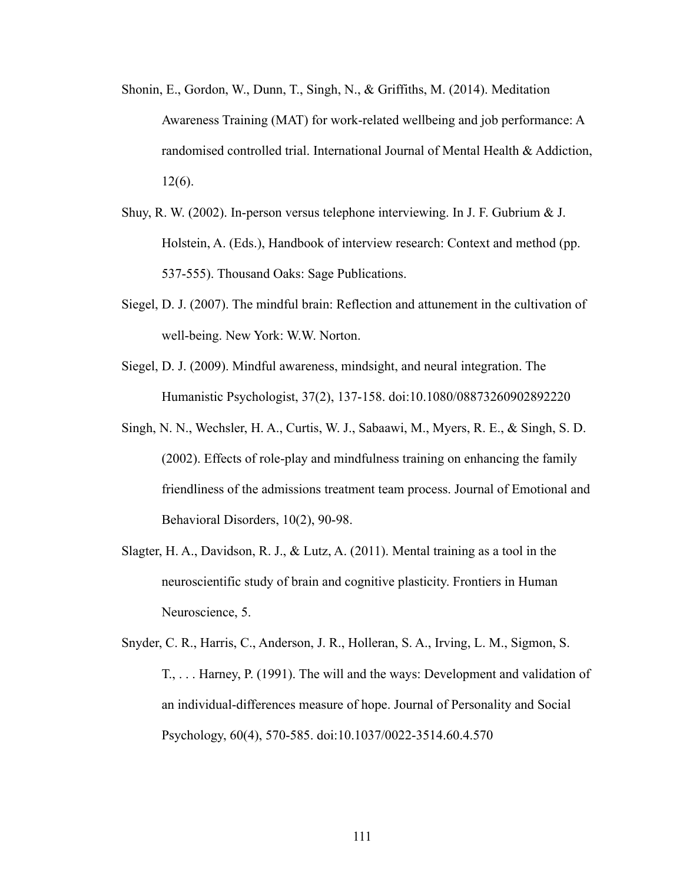- Shonin, E., Gordon, W., Dunn, T., Singh, N., & Griffiths, M. (2014). Meditation Awareness Training (MAT) for work-related wellbeing and job performance: A randomised controlled trial. International Journal of Mental Health & Addiction, 12(6).
- Shuy, R. W. (2002). In-person versus telephone interviewing. In J. F. Gubrium & J. Holstein, A. (Eds.), Handbook of interview research: Context and method (pp. 537-555). Thousand Oaks: Sage Publications.
- Siegel, D. J. (2007). The mindful brain: Reflection and attunement in the cultivation of well-being. New York: W.W. Norton.
- Siegel, D. J. (2009). Mindful awareness, mindsight, and neural integration. The Humanistic Psychologist, 37(2), 137-158. doi:10.1080/08873260902892220
- Singh, N. N., Wechsler, H. A., Curtis, W. J., Sabaawi, M., Myers, R. E., & Singh, S. D. (2002). Effects of role-play and mindfulness training on enhancing the family friendliness of the admissions treatment team process. Journal of Emotional and Behavioral Disorders, 10(2), 90-98.
- Slagter, H. A., Davidson, R. J., & Lutz, A. (2011). Mental training as a tool in the neuroscientific study of brain and cognitive plasticity. Frontiers in Human Neuroscience, 5.
- Snyder, C. R., Harris, C., Anderson, J. R., Holleran, S. A., Irving, L. M., Sigmon, S. T., . . . Harney, P. (1991). The will and the ways: Development and validation of an individual-differences measure of hope. Journal of Personality and Social Psychology, 60(4), 570-585. doi:10.1037/0022-3514.60.4.570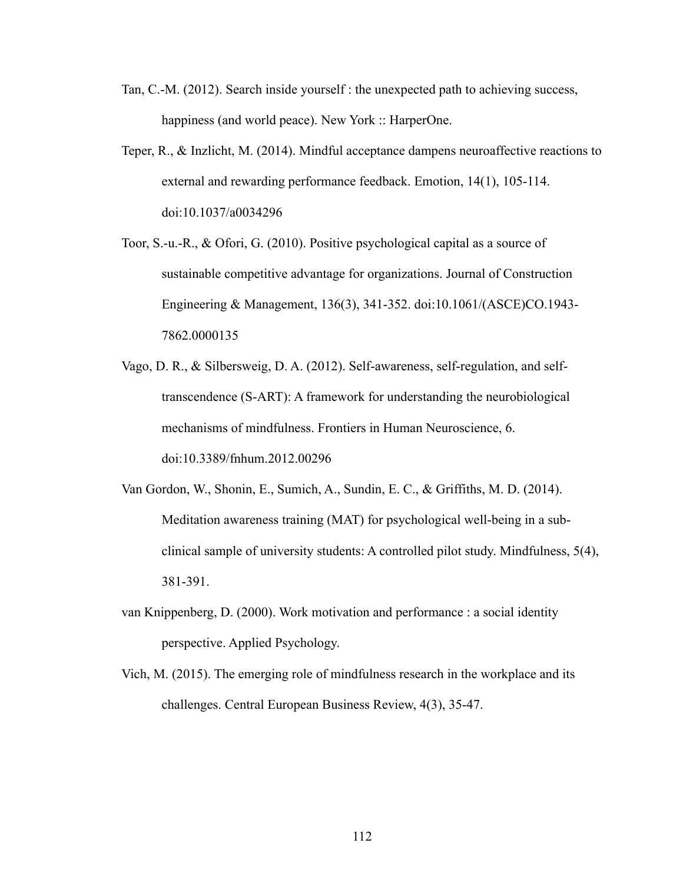- Tan, C.-M. (2012). Search inside yourself : the unexpected path to achieving success, happiness (and world peace). New York :: HarperOne.
- Teper, R., & Inzlicht, M. (2014). Mindful acceptance dampens neuroaffective reactions to external and rewarding performance feedback. Emotion, 14(1), 105-114. doi:10.1037/a0034296
- Toor, S.-u.-R., & Ofori, G. (2010). Positive psychological capital as a source of sustainable competitive advantage for organizations. Journal of Construction Engineering & Management, 136(3), 341-352. doi:10.1061/(ASCE)CO.1943- 7862.0000135
- Vago, D. R., & Silbersweig, D. A. (2012). Self-awareness, self-regulation, and selftranscendence (S-ART): A framework for understanding the neurobiological mechanisms of mindfulness. Frontiers in Human Neuroscience, 6. doi:10.3389/fnhum.2012.00296
- Van Gordon, W., Shonin, E., Sumich, A., Sundin, E. C., & Griffiths, M. D. (2014). Meditation awareness training (MAT) for psychological well-being in a subclinical sample of university students: A controlled pilot study. Mindfulness, 5(4), 381-391.
- van Knippenberg, D. (2000). Work motivation and performance : a social identity perspective. Applied Psychology.
- Vich, M. (2015). The emerging role of mindfulness research in the workplace and its challenges. Central European Business Review, 4(3), 35-47.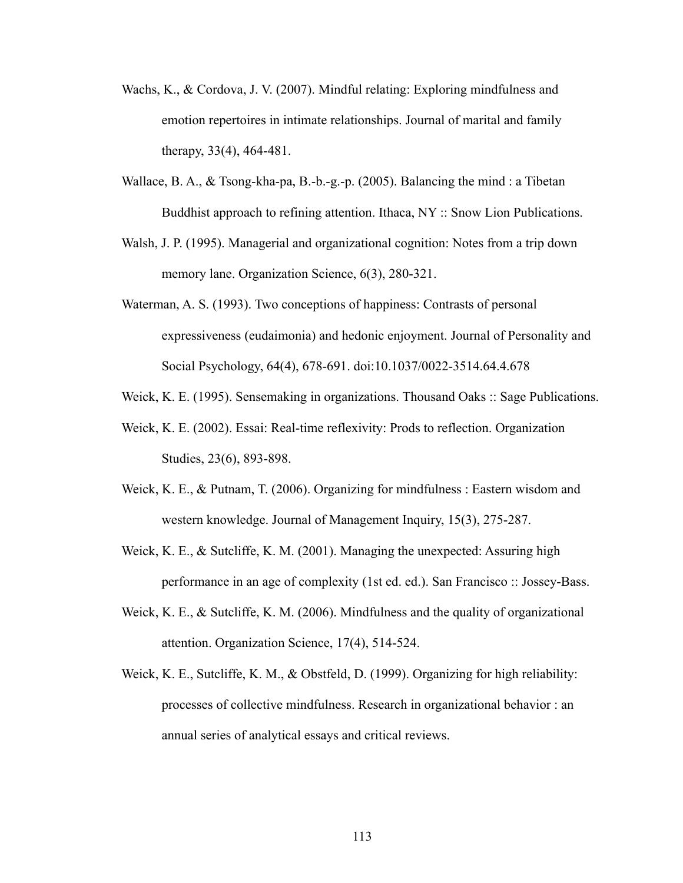- Wachs, K., & Cordova, J. V. (2007). Mindful relating: Exploring mindfulness and emotion repertoires in intimate relationships. Journal of marital and family therapy, 33(4), 464-481.
- Wallace, B. A., & Tsong-kha-pa, B.-b.-g.-p. (2005). Balancing the mind : a Tibetan Buddhist approach to refining attention. Ithaca, NY :: Snow Lion Publications.
- Walsh, J. P. (1995). Managerial and organizational cognition: Notes from a trip down memory lane. Organization Science, 6(3), 280-321.
- Waterman, A. S. (1993). Two conceptions of happiness: Contrasts of personal expressiveness (eudaimonia) and hedonic enjoyment. Journal of Personality and Social Psychology, 64(4), 678-691. doi:10.1037/0022-3514.64.4.678
- Weick, K. E. (1995). Sensemaking in organizations. Thousand Oaks :: Sage Publications.
- Weick, K. E. (2002). Essai: Real-time reflexivity: Prods to reflection. Organization Studies, 23(6), 893-898.
- Weick, K. E., & Putnam, T. (2006). Organizing for mindfulness : Eastern wisdom and western knowledge. Journal of Management Inquiry, 15(3), 275-287.
- Weick, K. E., & Sutcliffe, K. M. (2001). Managing the unexpected: Assuring high performance in an age of complexity (1st ed. ed.). San Francisco :: Jossey-Bass.
- Weick, K. E., & Sutcliffe, K. M. (2006). Mindfulness and the quality of organizational attention. Organization Science, 17(4), 514-524.
- Weick, K. E., Sutcliffe, K. M., & Obstfeld, D. (1999). Organizing for high reliability: processes of collective mindfulness. Research in organizational behavior : an annual series of analytical essays and critical reviews.